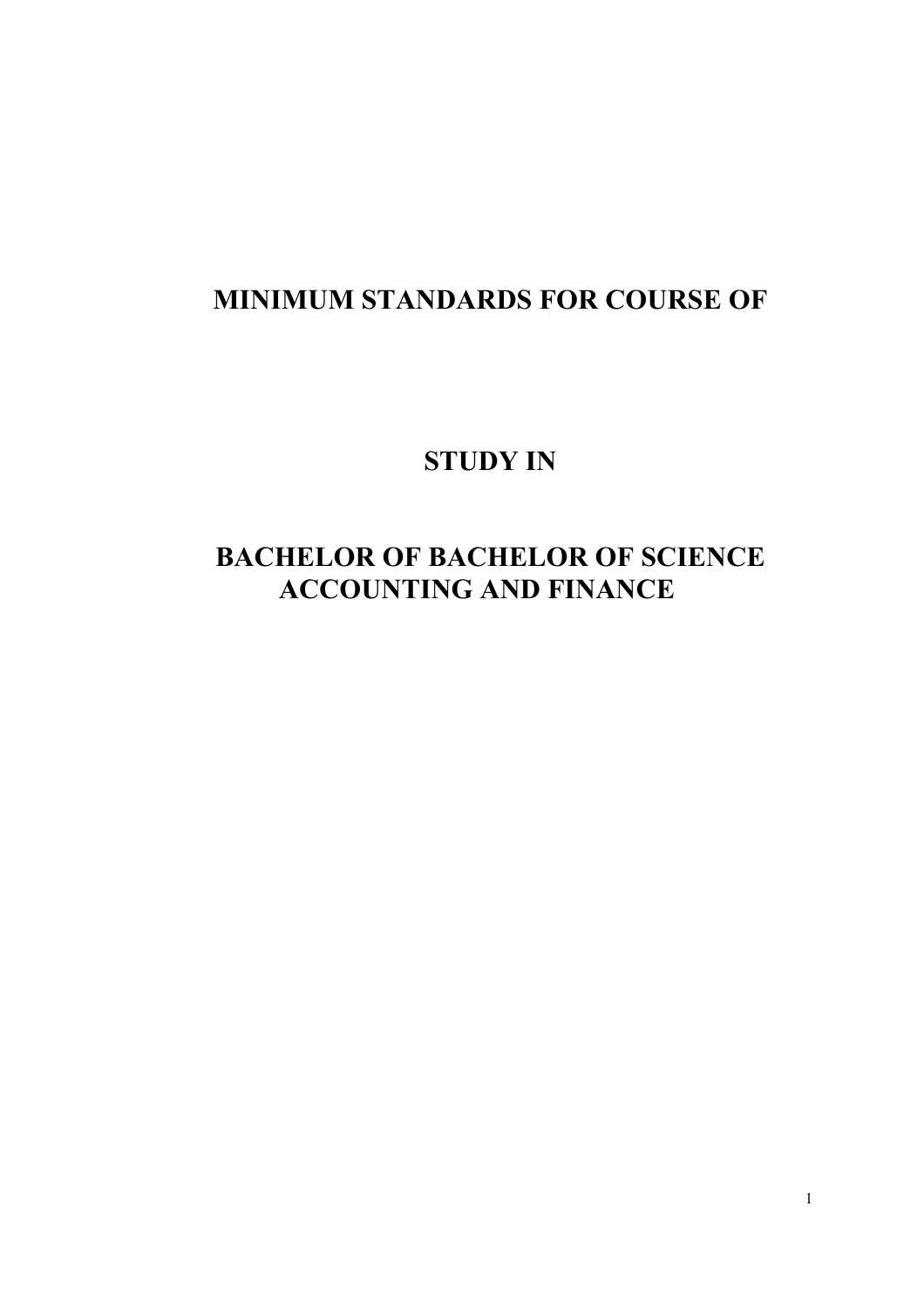# **MINIMUM STANDARDS FOR COURSE OF**

# **STUDY IN**

# **BACHELOR OF BACHELOR OF SCIENCE ACCOUNTING AND FINANCE**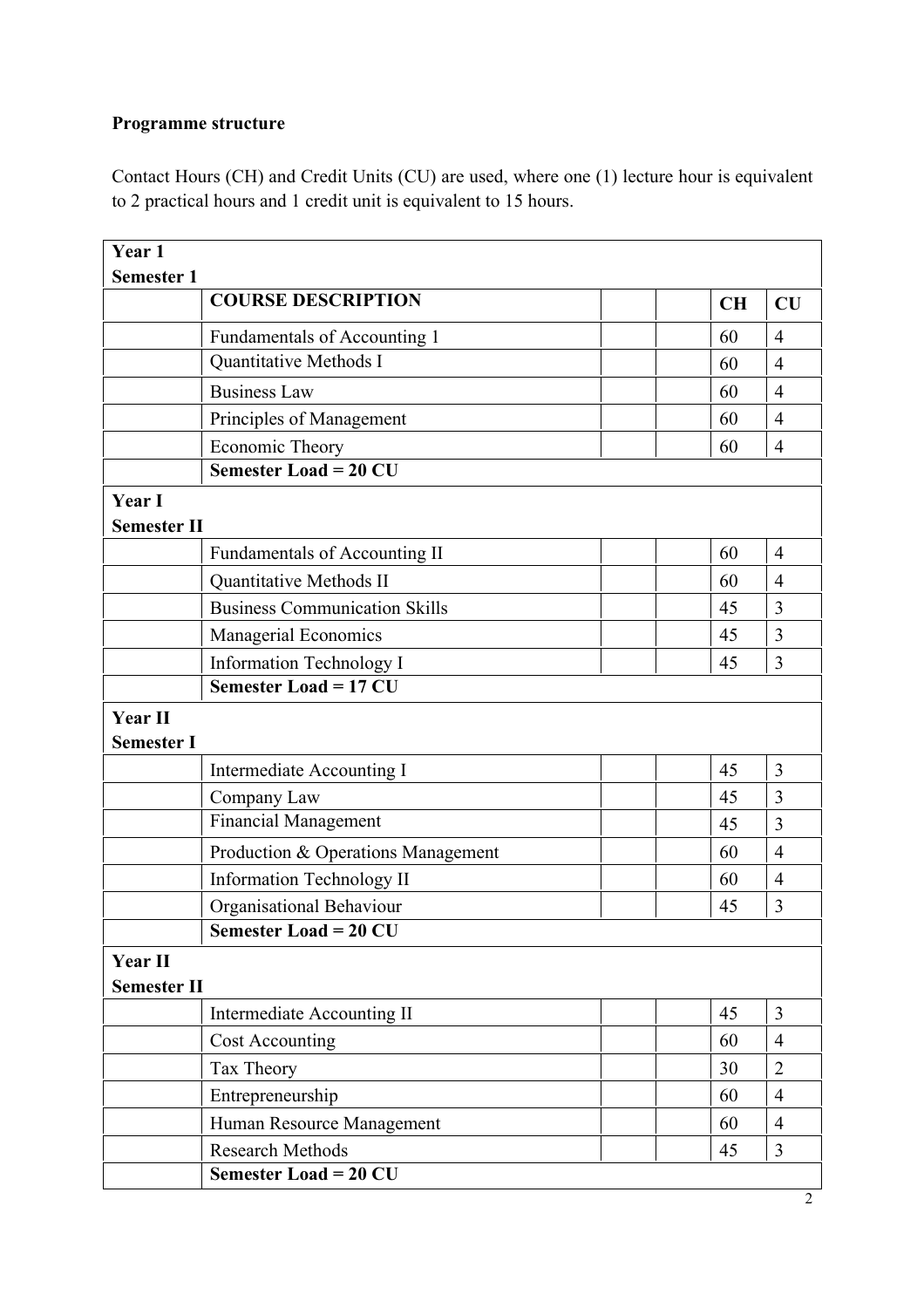# **Programme structure**

Contact Hours (CH) and Credit Units (CU) are used, where one (1) lecture hour is equivalent to 2 practical hours and 1 credit unit is equivalent to 15 hours.

| Year 1                              |                                      |           |                |  |
|-------------------------------------|--------------------------------------|-----------|----------------|--|
| <b>Semester 1</b>                   |                                      |           |                |  |
|                                     | <b>COURSE DESCRIPTION</b>            | <b>CH</b> | CU             |  |
|                                     | Fundamentals of Accounting 1         | 60        | $\overline{4}$ |  |
|                                     | Quantitative Methods I               | 60        | $\overline{4}$ |  |
|                                     | <b>Business Law</b>                  | 60        | $\overline{4}$ |  |
|                                     | Principles of Management             | 60        | $\overline{4}$ |  |
|                                     | Economic Theory                      | 60        | $\overline{4}$ |  |
|                                     | <b>Semester Load = 20 CU</b>         |           |                |  |
| <b>Year I</b><br><b>Semester II</b> |                                      |           |                |  |
|                                     | <b>Fundamentals of Accounting II</b> | 60        | $\overline{4}$ |  |
|                                     | Quantitative Methods II              | 60        | $\overline{4}$ |  |
|                                     | <b>Business Communication Skills</b> | 45        | 3              |  |
|                                     | Managerial Economics                 | 45        | 3              |  |
|                                     | Information Technology I             | 45        | 3              |  |
|                                     | <b>Semester Load = 17 CU</b>         |           |                |  |
| <b>Year II</b><br><b>Semester I</b> |                                      |           |                |  |
|                                     | Intermediate Accounting I            | 45        | 3              |  |
|                                     | Company Law                          | 45        | 3              |  |
|                                     | <b>Financial Management</b>          | 45        | 3              |  |
|                                     | Production & Operations Management   | 60        | $\overline{4}$ |  |
|                                     | Information Technology II            | 60        | $\overline{4}$ |  |
|                                     | Organisational Behaviour             | 45        | 3              |  |
|                                     | <b>Semester Load = 20 CU</b>         |           |                |  |
| Year II<br><b>Semester II</b>       |                                      |           |                |  |
|                                     | Intermediate Accounting II           | 45        | 3              |  |
|                                     | <b>Cost Accounting</b>               | 60        | $\overline{4}$ |  |
|                                     | Tax Theory                           | 30        | $\overline{2}$ |  |
|                                     | Entrepreneurship                     | 60        | $\overline{4}$ |  |
|                                     | Human Resource Management            | 60        | $\overline{4}$ |  |
|                                     | <b>Research Methods</b>              | 45        | 3              |  |
|                                     | <b>Semester Load = 20 CU</b>         |           |                |  |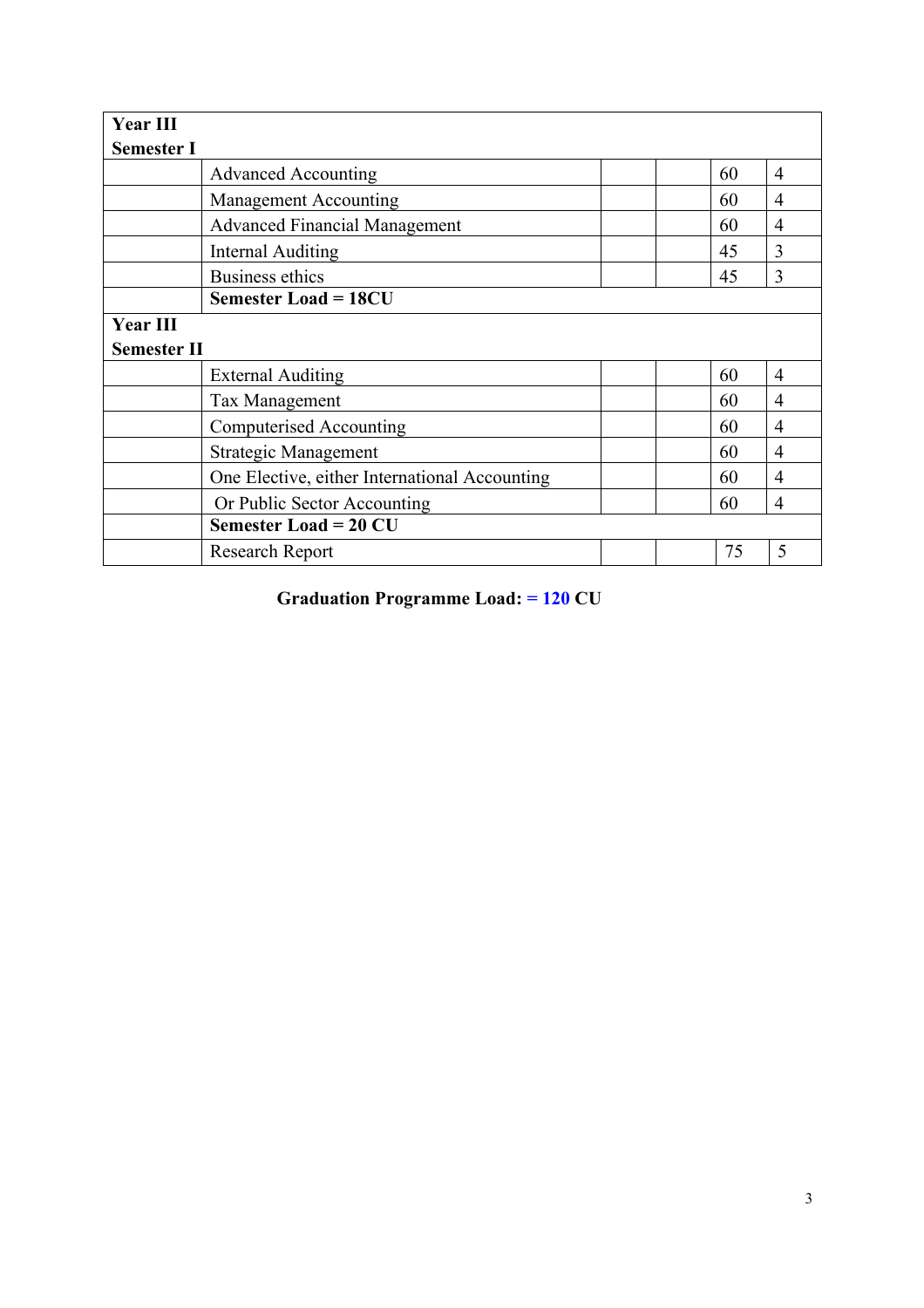| <b>Year III</b>    |                                               |    |                |
|--------------------|-----------------------------------------------|----|----------------|
| <b>Semester I</b>  |                                               |    |                |
|                    | <b>Advanced Accounting</b>                    | 60 | $\overline{4}$ |
|                    | <b>Management Accounting</b>                  | 60 | 4              |
|                    | <b>Advanced Financial Management</b>          | 60 | 4              |
|                    | <b>Internal Auditing</b>                      | 45 | 3              |
|                    | <b>Business ethics</b>                        | 45 | 3              |
|                    | <b>Semester Load = 18CU</b>                   |    |                |
| <b>Year III</b>    |                                               |    |                |
| <b>Semester II</b> |                                               |    |                |
|                    | <b>External Auditing</b>                      | 60 | $\overline{4}$ |
|                    | Tax Management                                | 60 | 4              |
|                    | Computerised Accounting                       | 60 | $\overline{4}$ |
|                    | <b>Strategic Management</b>                   | 60 | 4              |
|                    | One Elective, either International Accounting | 60 | $\overline{4}$ |
|                    | Or Public Sector Accounting                   | 60 | 4              |
|                    | <b>Semester Load = 20 CU</b>                  |    |                |
|                    | <b>Research Report</b>                        | 75 | 5              |

**Graduation Programme Load: = 120 CU**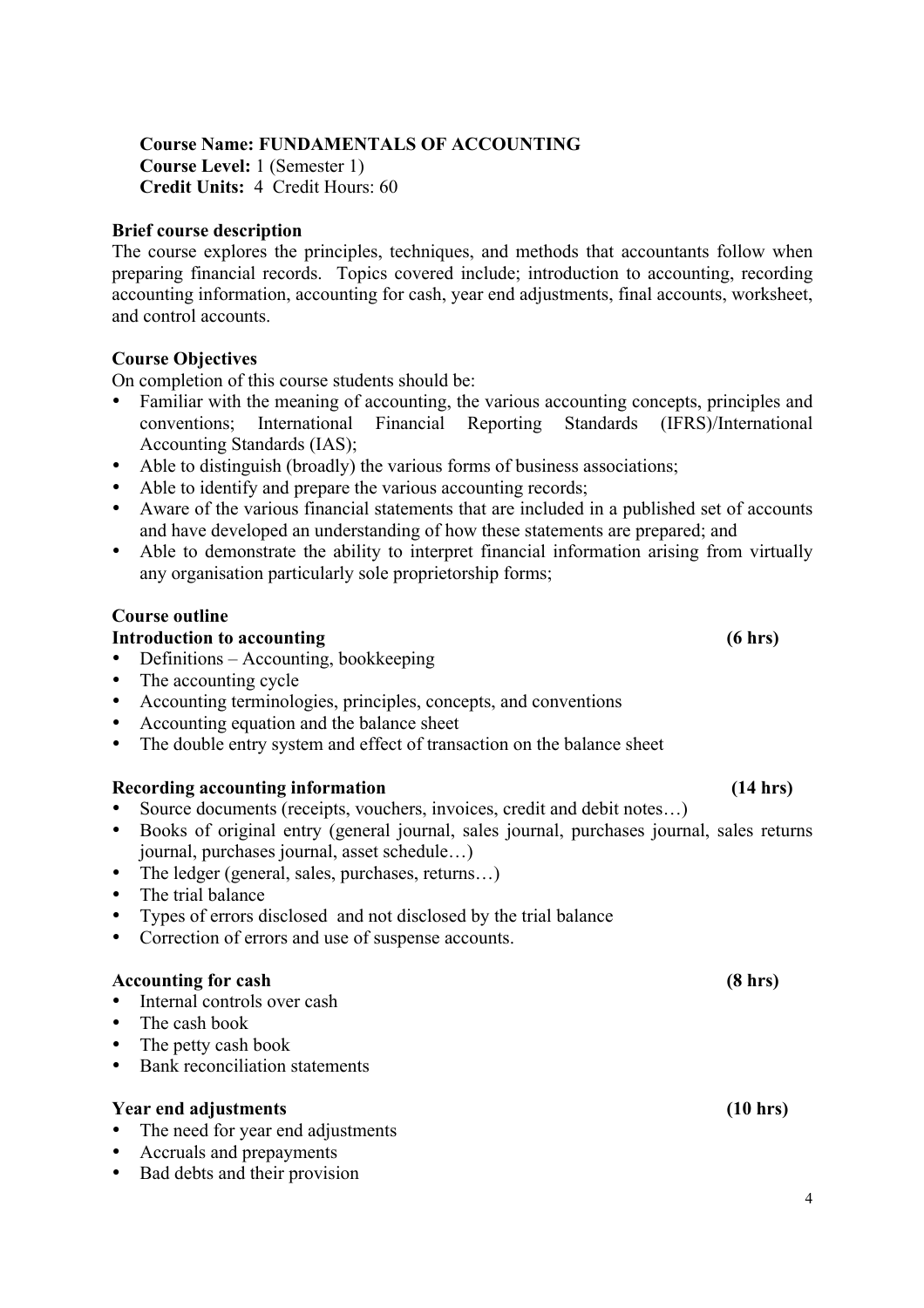### **Course Name: FUNDAMENTALS OF ACCOUNTING**

**Course Level:** 1 (Semester 1) **Credit Units:** 4 Credit Hours: 60

#### **Brief course description**

The course explores the principles, techniques, and methods that accountants follow when preparing financial records. Topics covered include; introduction to accounting, recording accounting information, accounting for cash, year end adjustments, final accounts, worksheet, and control accounts.

#### **Course Objectives**

On completion of this course students should be:

- Familiar with the meaning of accounting, the various accounting concepts, principles and conventions; International Financial Reporting Standards (IFRS)/International Accounting Standards (IAS);
- Able to distinguish (broadly) the various forms of business associations;
- Able to identify and prepare the various accounting records;
- Aware of the various financial statements that are included in a published set of accounts and have developed an understanding of how these statements are prepared; and
- Able to demonstrate the ability to interpret financial information arising from virtually any organisation particularly sole proprietorship forms;

#### **Course outline**

#### **Introduction to accounting (6 hrs)**

- Definitions Accounting, bookkeeping
- The accounting cycle
- Accounting terminologies, principles, concepts, and conventions
- Accounting equation and the balance sheet
- The double entry system and effect of transaction on the balance sheet

#### **Recording accounting information (14 hrs)**

- Source documents (receipts, vouchers, invoices, credit and debit notes…)
- Books of original entry (general journal, sales journal, purchases journal, sales returns journal, purchases journal, asset schedule…)
- The ledger (general, sales, purchases, returns...)
- The trial balance
- Types of errors disclosed and not disclosed by the trial balance
- Correction of errors and use of suspense accounts.

#### **Accounting for cash (8 hrs)**

- Internal controls over cash
- The cash book
- The petty cash book
- Bank reconciliation statements

#### **Year end adjustments (10 hrs)**

- The need for year end adjustments
- Accruals and prepayments
- Bad debts and their provision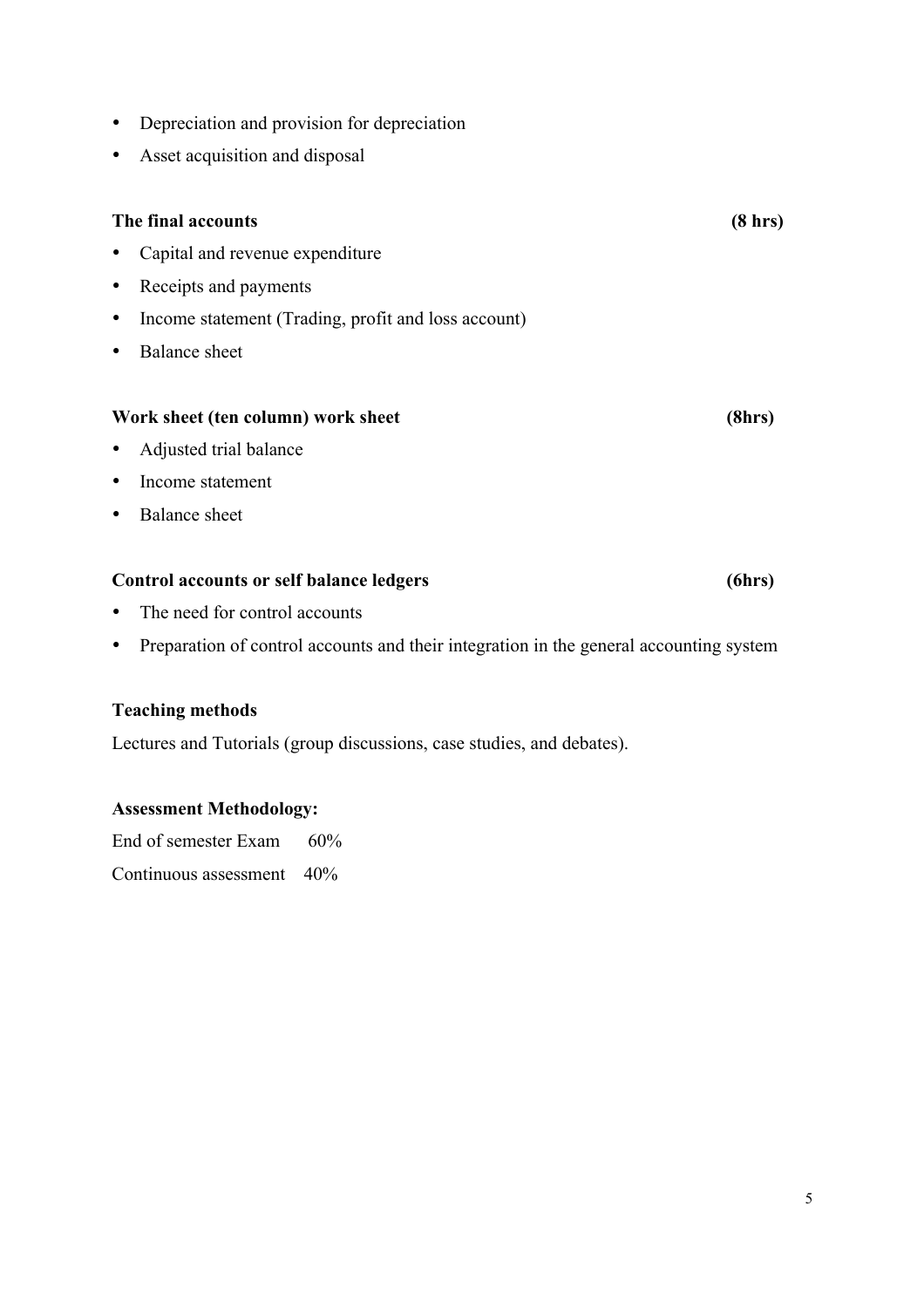- Depreciation and provision for depreciation
- Asset acquisition and disposal

### **The final accounts (8 hrs)**

- Capital and revenue expenditure
- Receipts and payments
- Income statement (Trading, profit and loss account)
- Balance sheet

#### Work sheet (ten column) work sheet (8hrs)

- Adjusted trial balance
- Income statement
- Balance sheet

#### **Control accounts or self balance ledgers (6hrs)**

- The need for control accounts
- Preparation of control accounts and their integration in the general accounting system

#### **Teaching methods**

Lectures and Tutorials (group discussions, case studies, and debates).

#### **Assessment Methodology:**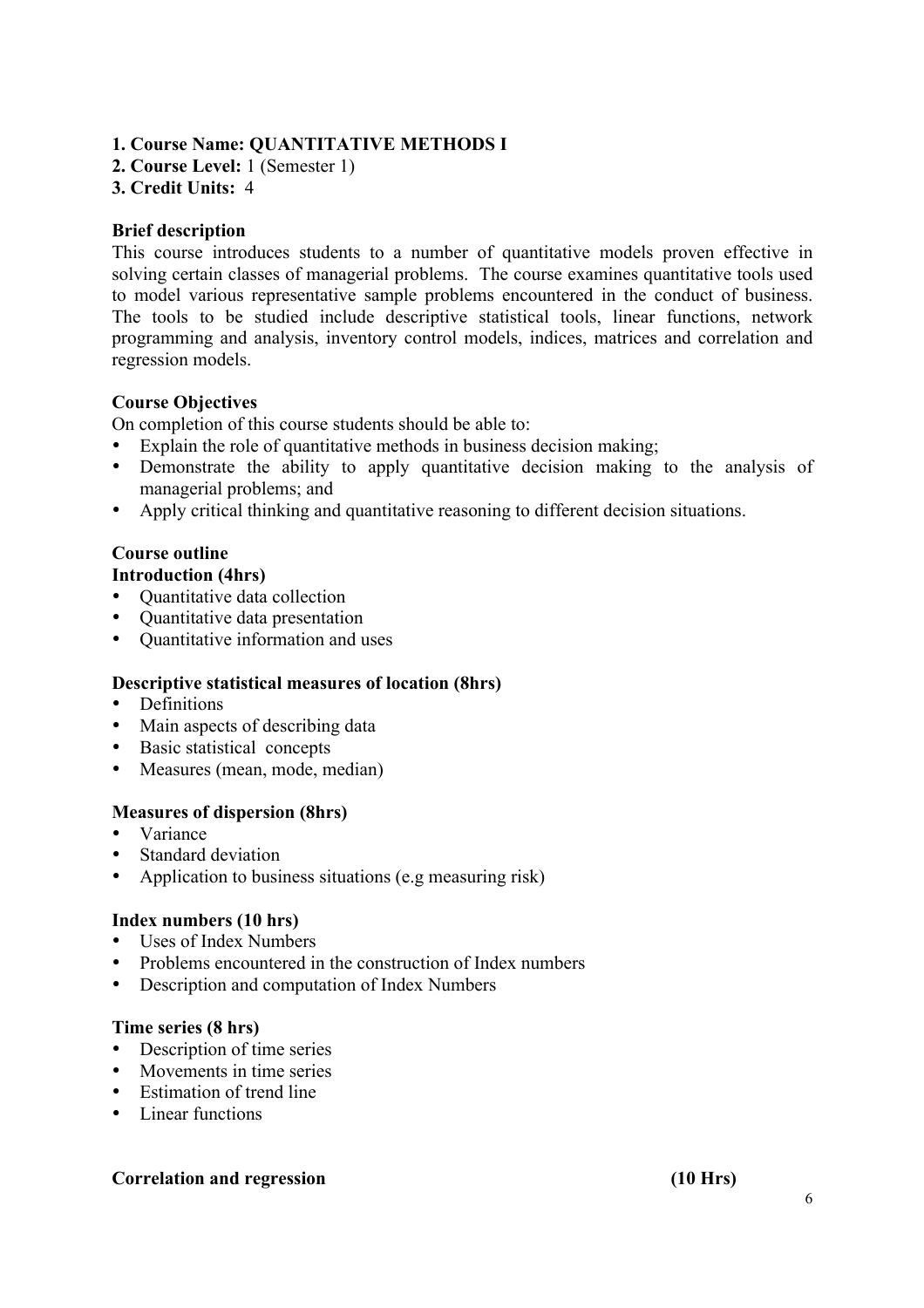#### **1. Course Name: QUANTITATIVE METHODS I**

**2. Course Level:** 1 (Semester 1)

#### **3. Credit Units:** 4

#### **Brief description**

This course introduces students to a number of quantitative models proven effective in solving certain classes of managerial problems. The course examines quantitative tools used to model various representative sample problems encountered in the conduct of business. The tools to be studied include descriptive statistical tools, linear functions, network programming and analysis, inventory control models, indices, matrices and correlation and regression models.

#### **Course Objectives**

On completion of this course students should be able to:

- Explain the role of quantitative methods in business decision making;
- Demonstrate the ability to apply quantitative decision making to the analysis of managerial problems; and
- Apply critical thinking and quantitative reasoning to different decision situations.

#### **Course outline**

#### **Introduction (4hrs)**

- Quantitative data collection
- Quantitative data presentation
- Quantitative information and uses

#### **Descriptive statistical measures of location (8hrs)**

- Definitions
- Main aspects of describing data
- Basic statistical concepts
- Measures (mean, mode, median)

#### **Measures of dispersion (8hrs)**

- Variance
- Standard deviation
- Application to business situations (e.g measuring risk)

#### **Index numbers (10 hrs)**

- Uses of Index Numbers
- Problems encountered in the construction of Index numbers
- Description and computation of Index Numbers

#### **Time series (8 hrs)**

- Description of time series
- Movements in time series
- Estimation of trend line
- Linear functions

#### **Correlation and regression (10 Hrs)**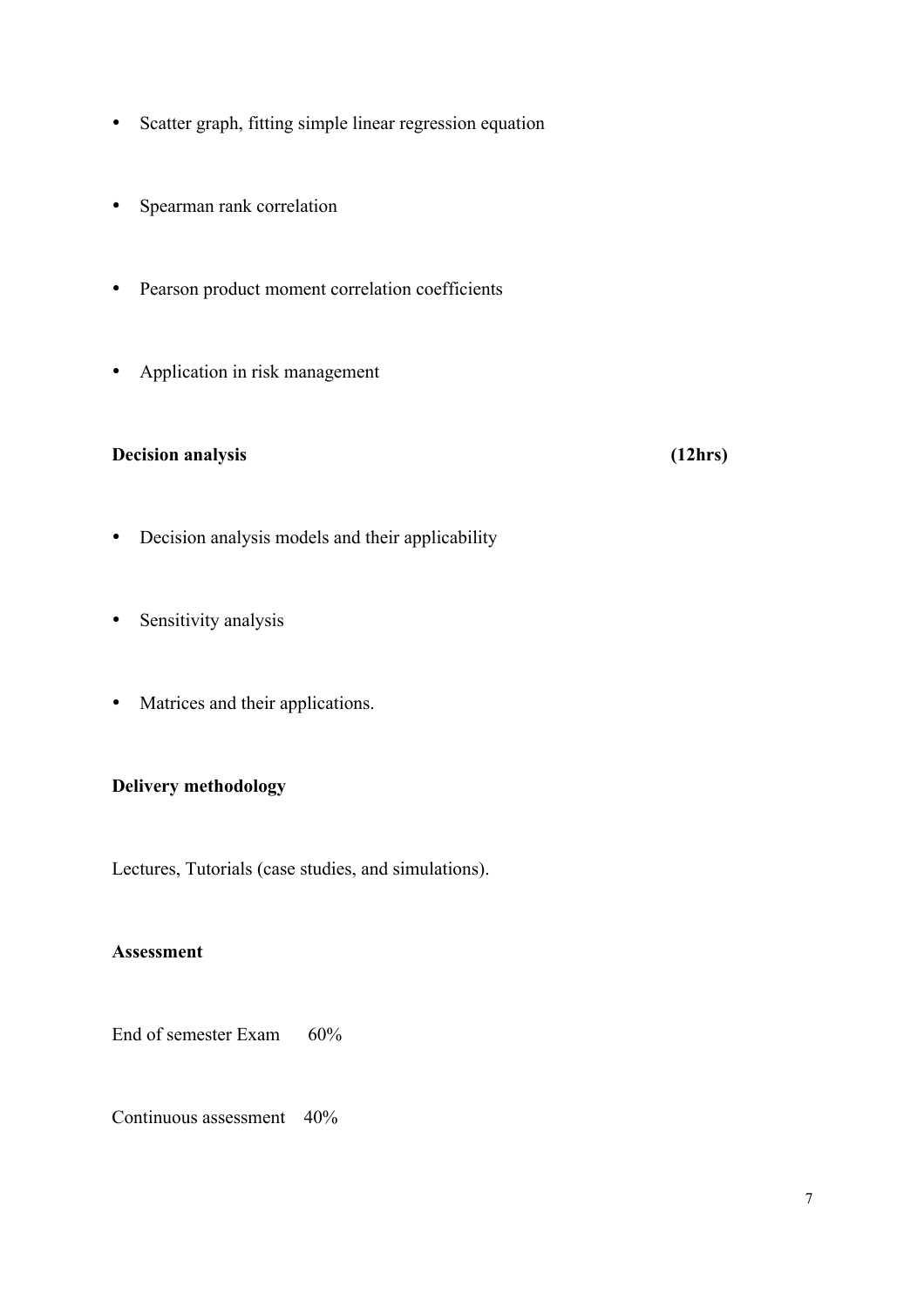- Scatter graph, fitting simple linear regression equation
- Spearman rank correlation
- Pearson product moment correlation coefficients
- Application in risk management

## **Decision analysis (12hrs)**

- Decision analysis models and their applicability
- Sensitivity analysis
- Matrices and their applications.

#### **Delivery methodology**

Lectures, Tutorials (case studies, and simulations).

#### **Assessment**

End of semester Exam 60%

Continuous assessment 40%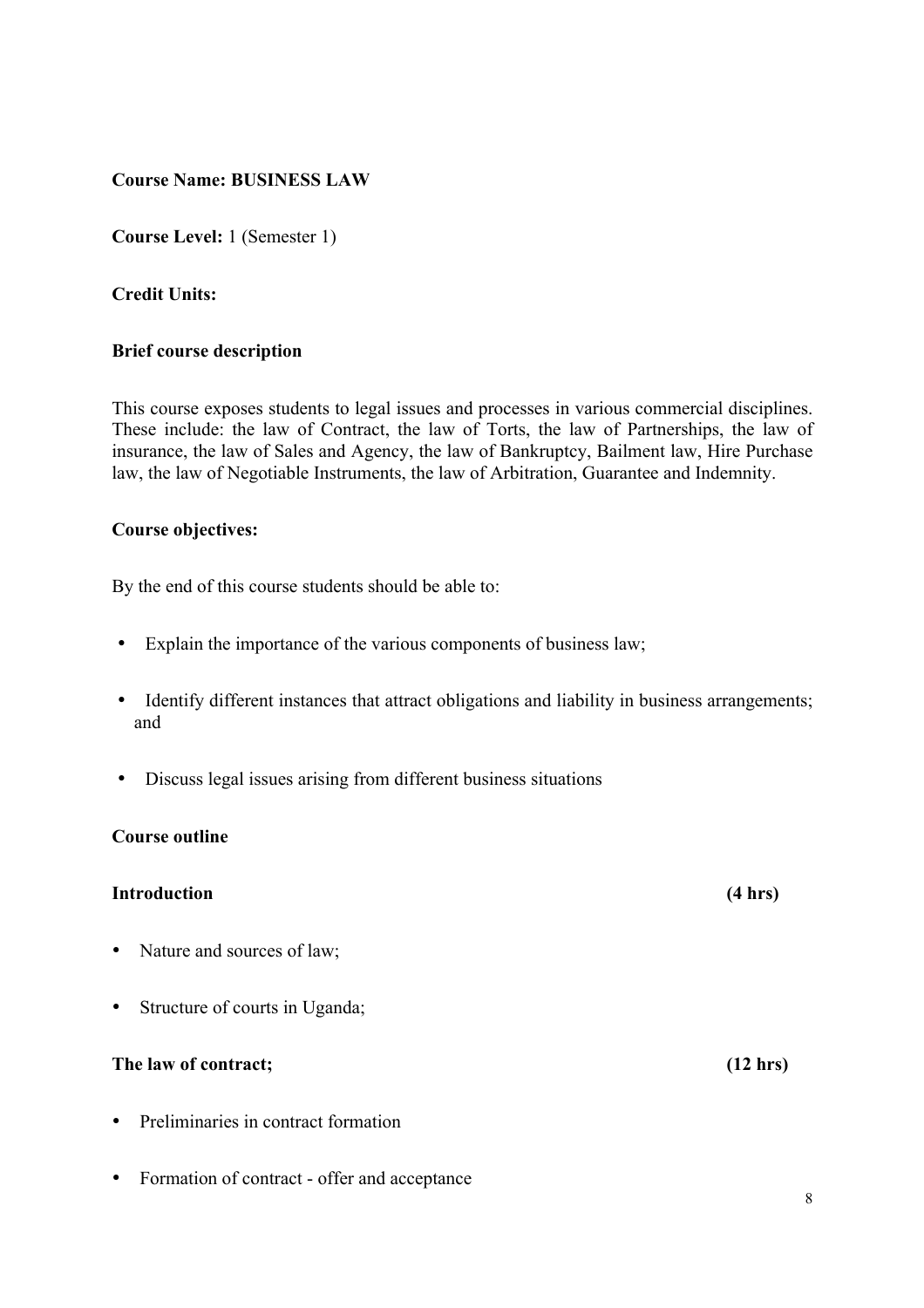#### **Course Name: BUSINESS LAW**

**Course Level:** 1 (Semester 1)

#### **Credit Units:**

#### **Brief course description**

This course exposes students to legal issues and processes in various commercial disciplines. These include: the law of Contract, the law of Torts, the law of Partnerships, the law of insurance, the law of Sales and Agency, the law of Bankruptcy, Bailment law, Hire Purchase law, the law of Negotiable Instruments, the law of Arbitration, Guarantee and Indemnity.

#### **Course objectives:**

By the end of this course students should be able to:

- Explain the importance of the various components of business law;
- Identify different instances that attract obligations and liability in business arrangements; and
- Discuss legal issues arising from different business situations

#### **Course outline**

#### **Introduction (4 hrs)**

- Nature and sources of law;
- Structure of courts in Uganda;

#### **The law of contract; (12 hrs)**

- Preliminaries in contract formation
- Formation of contract offer and acceptance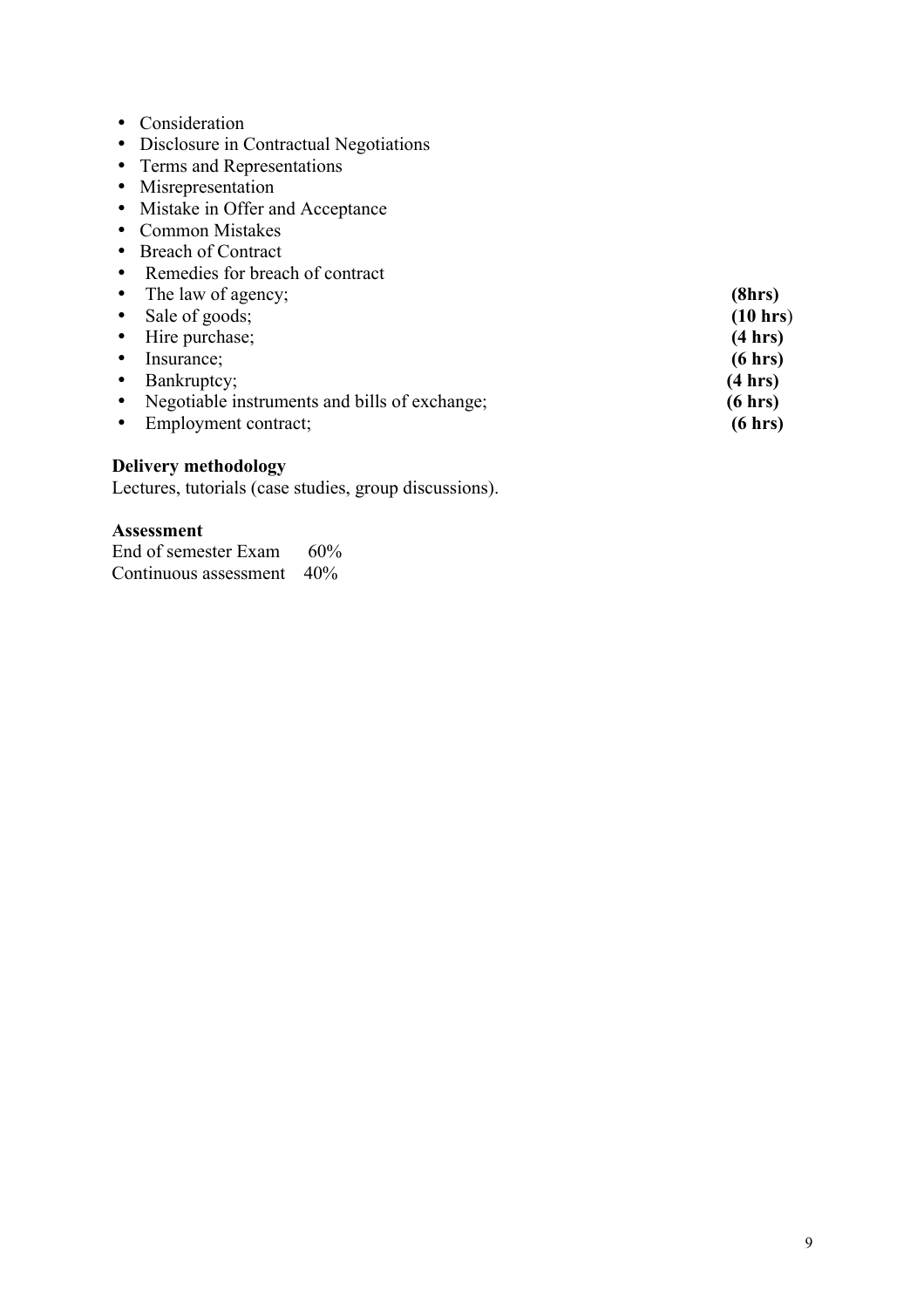- Consideration
- Disclosure in Contractual Negotiations
- Terms and Representations
- Misrepresentation
- Mistake in Offer and Acceptance
- Common Mistakes
- Breach of Contract
- Remedies for breach of contract
- The law of agency; **(8hrs)**<br>• Sale of goods; **(10 hrs)**
- 
- Sale of goods; (10 hrs) (10 hrs) • Hire purchase; (4 hrs)<br>• Insurance; (6 hrs)
- 
- Insurance; (6 hrs)<br>• Bankruptcy; (4 hrs)
- Bankruptcy; (4 hrs)<br>• Negotiable instruments and bills of exchange; (6 hrs) • Negotiable instruments and bills of exchange; **(6 hrs)**<br>• Employment contract; **(6 hrs)**
- Employment contract;

#### **Delivery methodology**

Lectures, tutorials (case studies, group discussions).

#### **Assessment**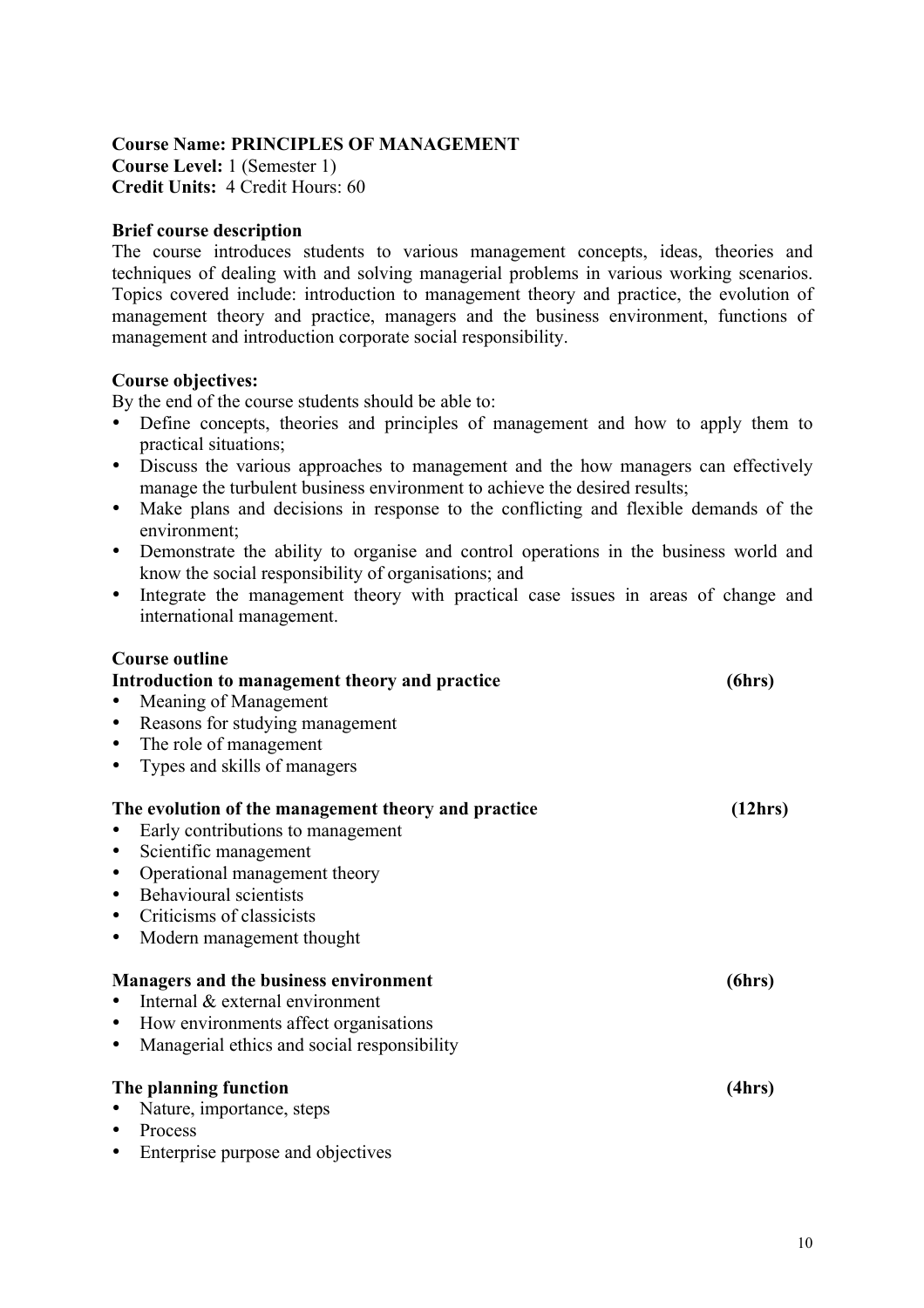### **Course Name: PRINCIPLES OF MANAGEMENT Course Level:** 1 (Semester 1) **Credit Units:** 4 Credit Hours: 60

#### **Brief course description**

The course introduces students to various management concepts, ideas, theories and techniques of dealing with and solving managerial problems in various working scenarios. Topics covered include: introduction to management theory and practice, the evolution of management theory and practice, managers and the business environment, functions of management and introduction corporate social responsibility.

#### **Course objectives:**

By the end of the course students should be able to:

- Define concepts, theories and principles of management and how to apply them to practical situations;
- Discuss the various approaches to management and the how managers can effectively manage the turbulent business environment to achieve the desired results;
- Make plans and decisions in response to the conflicting and flexible demands of the environment;
- Demonstrate the ability to organise and control operations in the business world and know the social responsibility of organisations; and
- Integrate the management theory with practical case issues in areas of change and international management.

| <b>Course outline</b>                                    |         |
|----------------------------------------------------------|---------|
| Introduction to management theory and practice           |         |
| Meaning of Management<br>$\bullet$                       |         |
| Reasons for studying management<br>$\bullet$             |         |
| The role of management<br>$\bullet$                      |         |
| Types and skills of managers<br>$\bullet$                |         |
| The evolution of the management theory and practice      | (12hrs) |
| Early contributions to management                        |         |
| Scientific management<br>$\bullet$                       |         |
| Operational management theory<br>$\bullet$               |         |
| Behavioural scientists<br>$\bullet$                      |         |
| Criticisms of classicists<br>$\bullet$                   |         |
| Modern management thought<br>$\bullet$                   |         |
| <b>Managers and the business environment</b>             | (6hrs)  |
| Internal & external environment                          |         |
| How environments affect organisations<br>$\bullet$       |         |
| Managerial ethics and social responsibility<br>$\bullet$ |         |
| The planning function                                    | (4hrs)  |
| Nature, importance, steps<br>$\bullet$                   |         |
| Process<br>$\bullet$                                     |         |
| Enterprise purpose and objectives                        |         |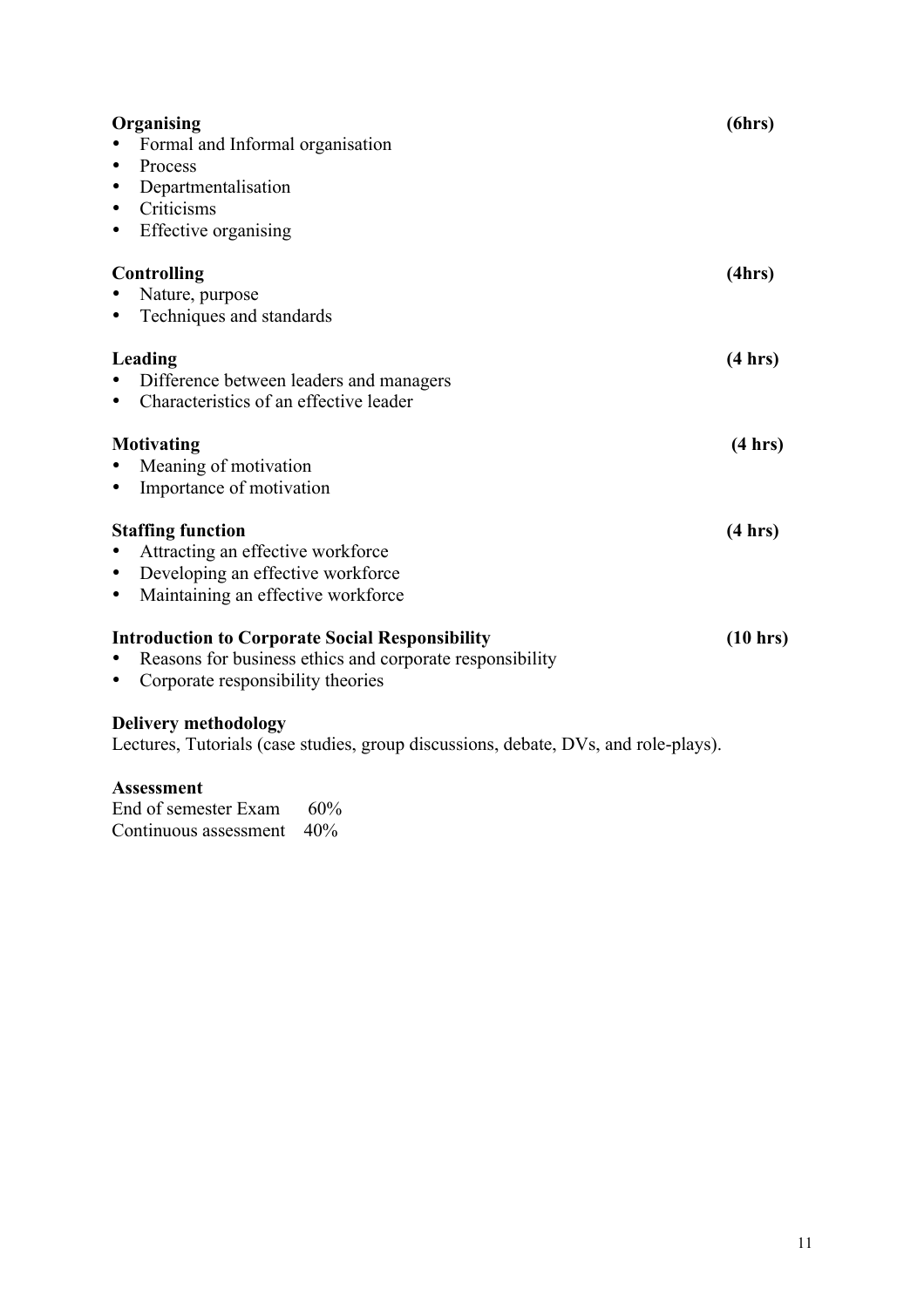| Organising<br>Formal and Informal organisation<br>Process<br>$\bullet$<br>Departmentalisation<br>٠<br>Criticisms<br>$\bullet$<br>Effective organising<br>$\bullet$ | (6hrs)             |
|--------------------------------------------------------------------------------------------------------------------------------------------------------------------|--------------------|
| <b>Controlling</b><br>Nature, purpose<br>Techniques and standards<br>$\bullet$                                                                                     | (4hrs)             |
| Leading<br>Difference between leaders and managers<br>Characteristics of an effective leader                                                                       | (4 hrs)            |
| Motivating<br>Meaning of motivation<br>Importance of motivation<br>$\bullet$                                                                                       | (4 hrs)            |
| <b>Staffing function</b><br>Attracting an effective workforce<br>Developing an effective workforce<br>$\bullet$<br>Maintaining an effective workforce<br>$\bullet$ | (4 hrs)            |
| <b>Introduction to Corporate Social Responsibility</b><br>Reasons for business ethics and corporate responsibility<br>Corporate responsibility theories            | $(10 \text{ hrs})$ |
| <b>Delivery methodology</b><br>Lectures, Tutorials (case studies, group discussions, debate, DVs, and role-plays).                                                 |                    |

#### **Assessment**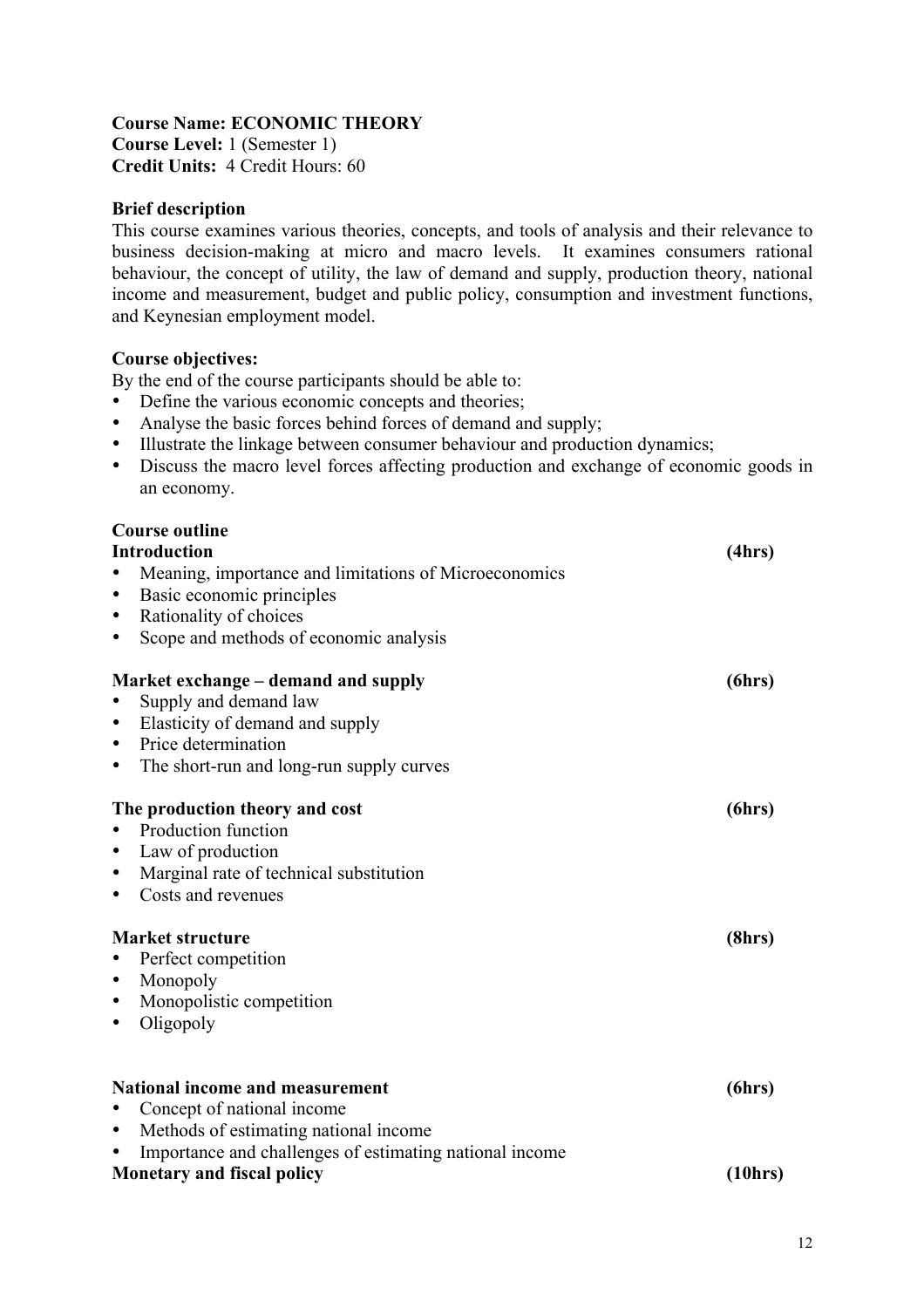## **Course Name: ECONOMIC THEORY**

**Course Level:** 1 (Semester 1) **Credit Units:** 4 Credit Hours: 60

#### **Brief description**

This course examines various theories, concepts, and tools of analysis and their relevance to business decision-making at micro and macro levels. It examines consumers rational behaviour, the concept of utility, the law of demand and supply, production theory, national income and measurement, budget and public policy, consumption and investment functions, and Keynesian employment model.

#### **Course objectives:**

By the end of the course participants should be able to:

- Define the various economic concepts and theories;
- Analyse the basic forces behind forces of demand and supply;
- Illustrate the linkage between consumer behaviour and production dynamics;
- Discuss the macro level forces affecting production and exchange of economic goods in an economy.

#### **Course outline**

| <b>Introduction</b>                                     | (4hrs)   |
|---------------------------------------------------------|----------|
| Meaning, importance and limitations of Microeconomics   |          |
| Basic economic principles<br>$\bullet$                  |          |
| Rationality of choices<br>$\bullet$                     |          |
| Scope and methods of economic analysis<br>$\bullet$     |          |
| Market exchange – demand and supply                     | (6hrs)   |
| Supply and demand law                                   |          |
| Elasticity of demand and supply<br>$\bullet$            |          |
| Price determination<br>$\bullet$                        |          |
| The short-run and long-run supply curves<br>$\bullet$   |          |
| The production theory and cost                          | (6hrs)   |
| Production function                                     |          |
| Law of production<br>$\bullet$                          |          |
| Marginal rate of technical substitution<br>$\bullet$    |          |
| Costs and revenues<br>$\bullet$                         |          |
| <b>Market structure</b>                                 | (8hrs)   |
| Perfect competition                                     |          |
| Monopoly<br>$\bullet$                                   |          |
| Monopolistic competition<br>$\bullet$                   |          |
| Oligopoly<br>$\bullet$                                  |          |
|                                                         |          |
| <b>National income and measurement</b>                  | (6hrs)   |
| Concept of national income                              |          |
| Methods of estimating national income<br>$\bullet$      |          |
| Importance and challenges of estimating national income |          |
| <b>Monetary and fiscal policy</b>                       | (10 hrs) |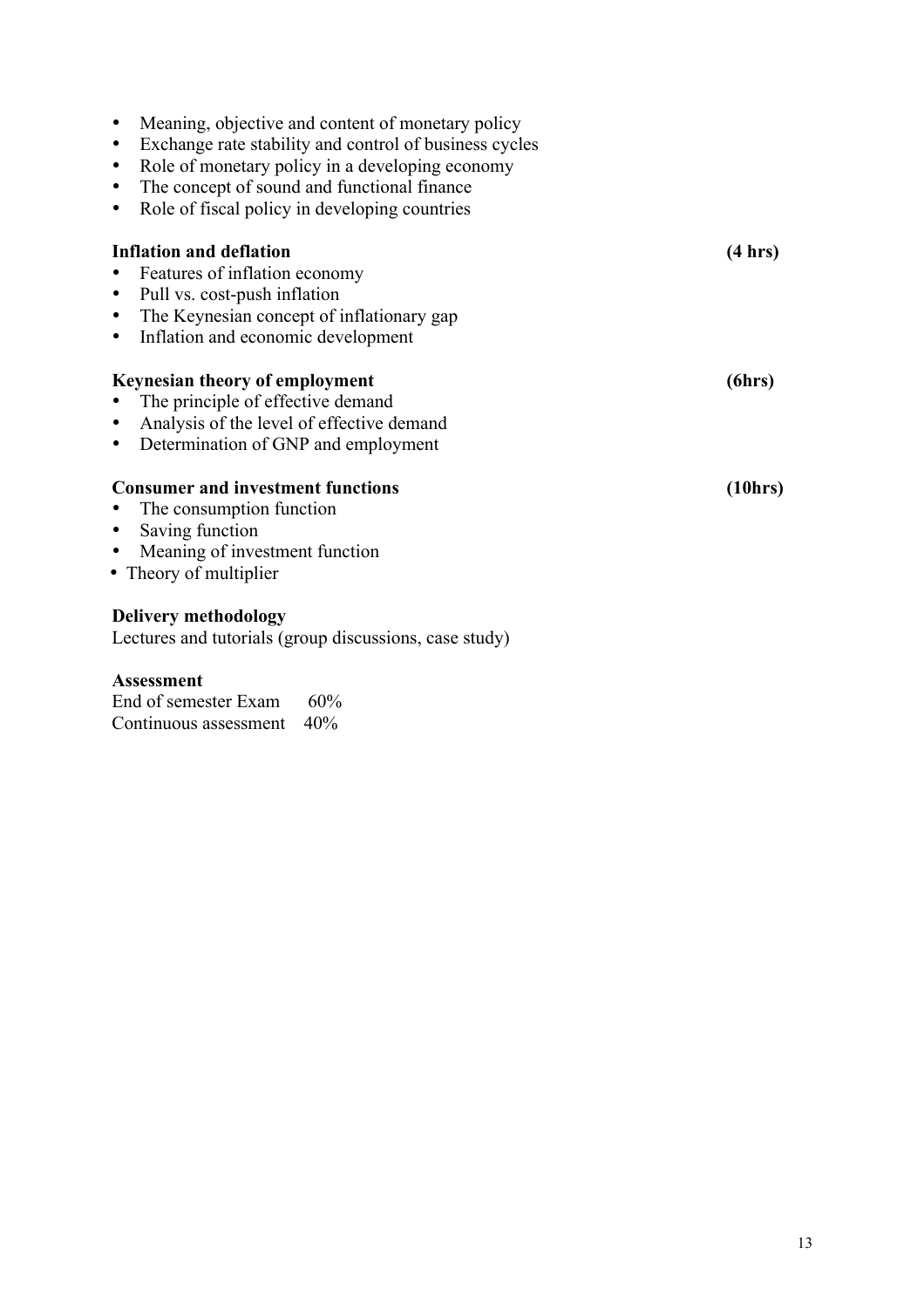| $\bullet$<br>$\bullet$<br>$\bullet$<br>$\bullet$<br>$\bullet$ | Meaning, objective and content of monetary policy<br>Exchange rate stability and control of business cycles<br>Role of monetary policy in a developing economy<br>The concept of sound and functional finance<br>Role of fiscal policy in developing countries |         |
|---------------------------------------------------------------|----------------------------------------------------------------------------------------------------------------------------------------------------------------------------------------------------------------------------------------------------------------|---------|
|                                                               | <b>Inflation and deflation</b>                                                                                                                                                                                                                                 | (4 hrs) |
| $\bullet$                                                     | Features of inflation economy                                                                                                                                                                                                                                  |         |
| $\bullet$                                                     | Pull vs. cost-push inflation                                                                                                                                                                                                                                   |         |
| $\bullet$                                                     | The Keynesian concept of inflationary gap                                                                                                                                                                                                                      |         |
| $\bullet$                                                     | Inflation and economic development                                                                                                                                                                                                                             |         |
|                                                               | Keynesian theory of employment                                                                                                                                                                                                                                 | (6hrs)  |
| $\bullet$                                                     | The principle of effective demand                                                                                                                                                                                                                              |         |
| $\bullet$                                                     | Analysis of the level of effective demand                                                                                                                                                                                                                      |         |
| $\bullet$                                                     | Determination of GNP and employment                                                                                                                                                                                                                            |         |
|                                                               | <b>Consumer and investment functions</b>                                                                                                                                                                                                                       | (10hrs) |
| $\bullet$                                                     | The consumption function                                                                                                                                                                                                                                       |         |
| $\bullet$                                                     | Saving function                                                                                                                                                                                                                                                |         |
| $\bullet$                                                     | Meaning of investment function                                                                                                                                                                                                                                 |         |
|                                                               | • Theory of multiplier                                                                                                                                                                                                                                         |         |
|                                                               | Delivery methodology<br>Lectures and tutorials (group discussions, case study)                                                                                                                                                                                 |         |

# **Assessment**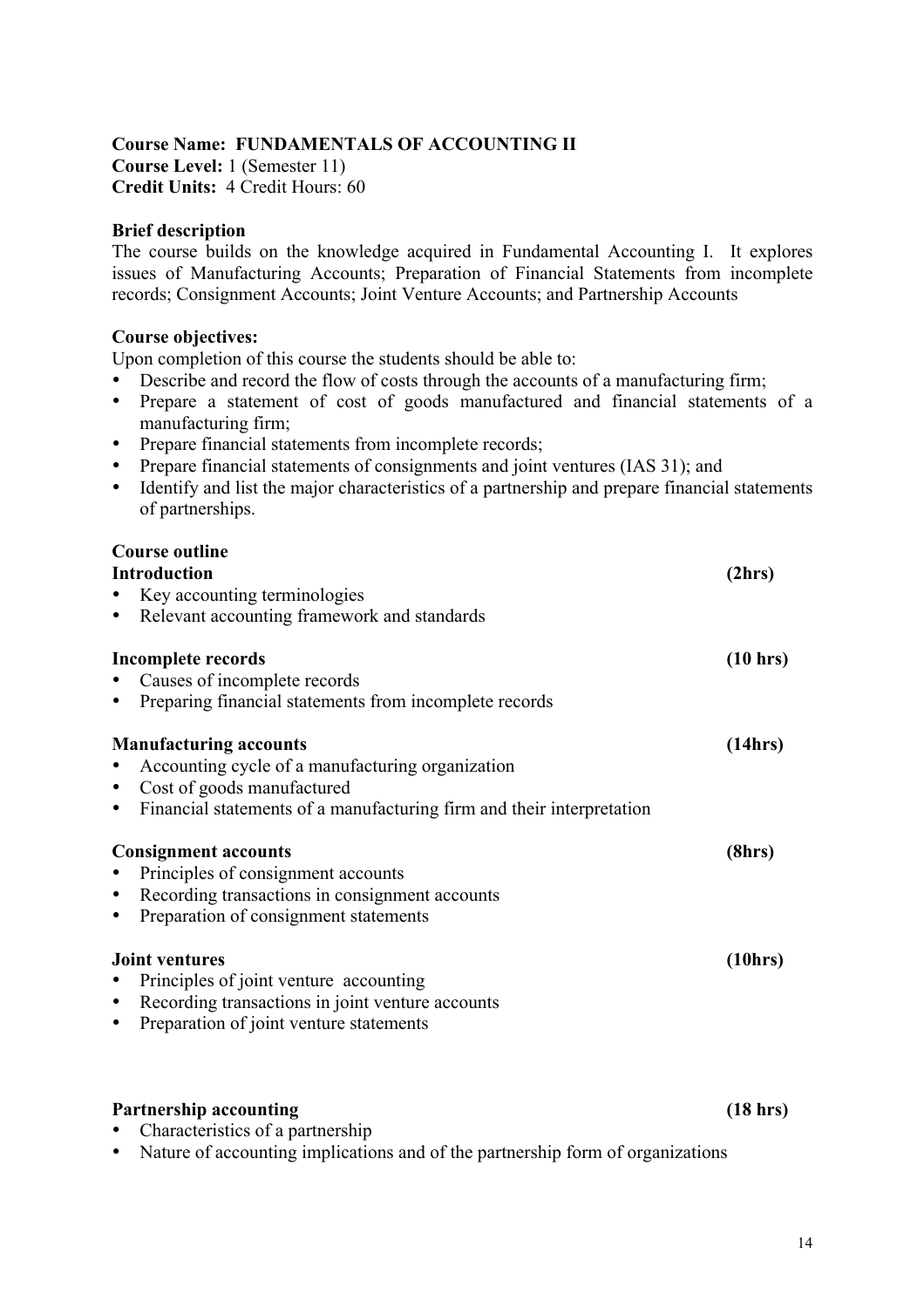### **Course Name: FUNDAMENTALS OF ACCOUNTING II**

**Course Level:** 1 (Semester 11) **Credit Units:** 4 Credit Hours: 60

#### **Brief description**

The course builds on the knowledge acquired in Fundamental Accounting I. It explores issues of Manufacturing Accounts; Preparation of Financial Statements from incomplete records; Consignment Accounts; Joint Venture Accounts; and Partnership Accounts

#### **Course objectives:**

Upon completion of this course the students should be able to:

- Describe and record the flow of costs through the accounts of a manufacturing firm;
- Prepare a statement of cost of goods manufactured and financial statements of a manufacturing firm;
- Prepare financial statements from incomplete records;
- Prepare financial statements of consignments and joint ventures (IAS 31); and
- Identify and list the major characteristics of a partnership and prepare financial statements of partnerships.

| <b>Course outline</b><br><b>Introduction</b><br>Key accounting terminologies<br>Relevant accounting framework and standards<br>$\bullet$                                                                           | (2hrs)   |
|--------------------------------------------------------------------------------------------------------------------------------------------------------------------------------------------------------------------|----------|
| Incomplete records<br>Causes of incomplete records<br>Preparing financial statements from incomplete records<br>$\bullet$                                                                                          | (10 hrs) |
| <b>Manufacturing accounts</b><br>Accounting cycle of a manufacturing organization<br>Cost of goods manufactured<br>$\bullet$<br>Financial statements of a manufacturing firm and their interpretation<br>$\bullet$ | (14hrs)  |
| <b>Consignment accounts</b><br>Principles of consignment accounts<br>Recording transactions in consignment accounts<br>٠<br>Preparation of consignment statements<br>٠                                             | (8hrs)   |
| <b>Joint ventures</b><br>Principles of joint venture accounting<br>Recording transactions in joint venture accounts<br>$\bullet$<br>Preparation of joint venture statements<br>٠                                   | (10hrs)  |

#### Partnership accounting (18 hrs)

- Characteristics of a partnership
- Nature of accounting implications and of the partnership form of organizations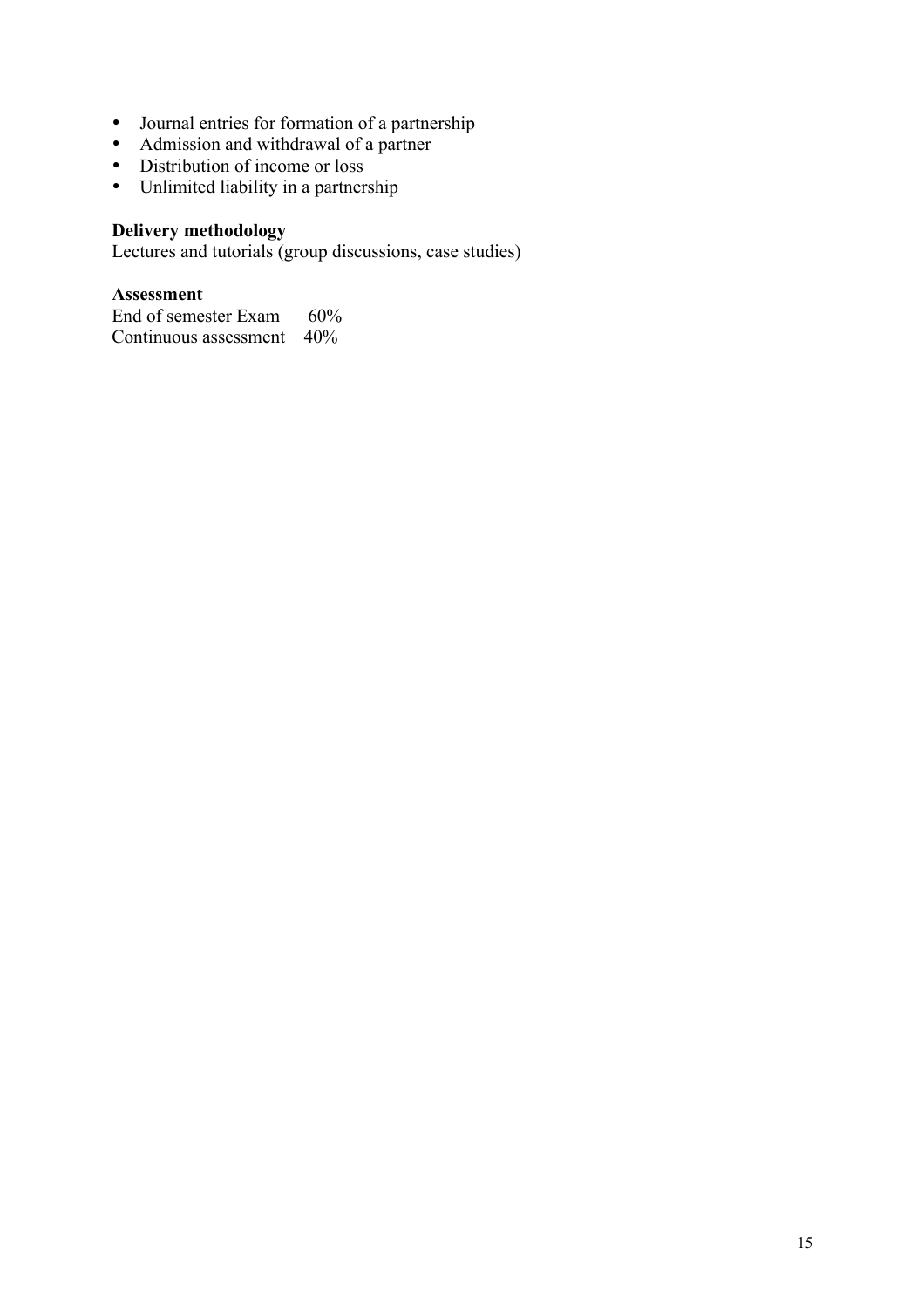- Journal entries for formation of a partnership
- Admission and withdrawal of a partner
- Distribution of income or loss
- Unlimited liability in a partnership

## **Delivery methodology**

Lectures and tutorials (group discussions, case studies)

#### **Assessment**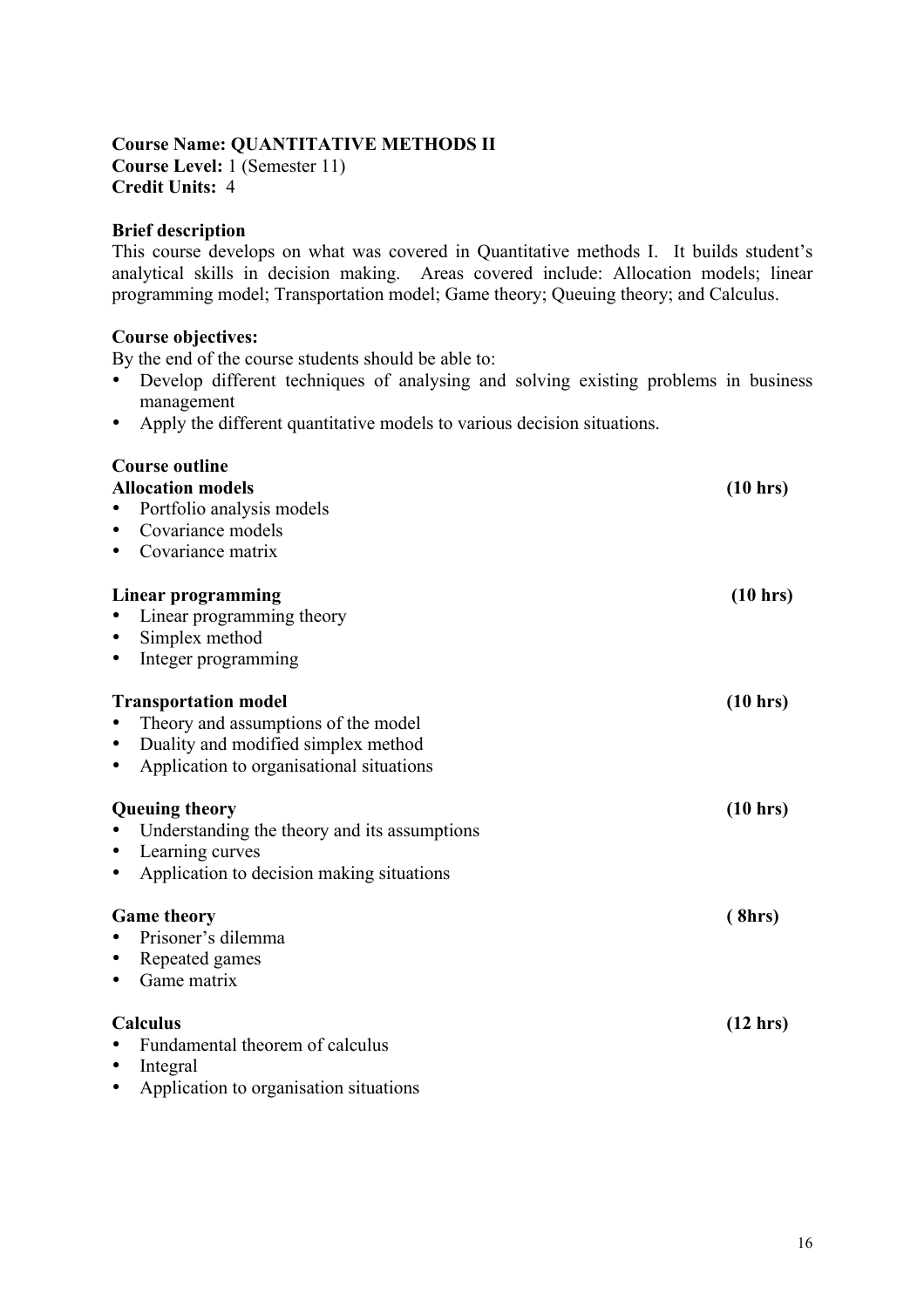#### **Course Name: QUANTITATIVE METHODS II Course Level:** 1 (Semester 11)

**Credit Units:** 4

### **Brief description**

This course develops on what was covered in Quantitative methods I. It builds student's analytical skills in decision making. Areas covered include: Allocation models; linear programming model; Transportation model; Game theory; Queuing theory; and Calculus.

#### **Course objectives:**

By the end of the course students should be able to:

- Develop different techniques of analysing and solving existing problems in business management
- Apply the different quantitative models to various decision situations.

# **Course outline Allocation models (10 hrs)** • Portfolio analysis models • Covariance models • Covariance matrix **Linear programming (10 hrs)** • Linear programming theory • Simplex method • Integer programming **Transportation model (10 hrs)** • Theory and assumptions of the model • Duality and modified simplex method • Application to organisational situations **Queuing theory (10 hrs)** • Understanding the theory and its assumptions • Learning curves • Application to decision making situations Game theory (8hrs) • Prisoner's dilemma • Repeated games • Game matrix **Calculus (12 hrs)** • Fundamental theorem of calculus • Integral • Application to organisation situations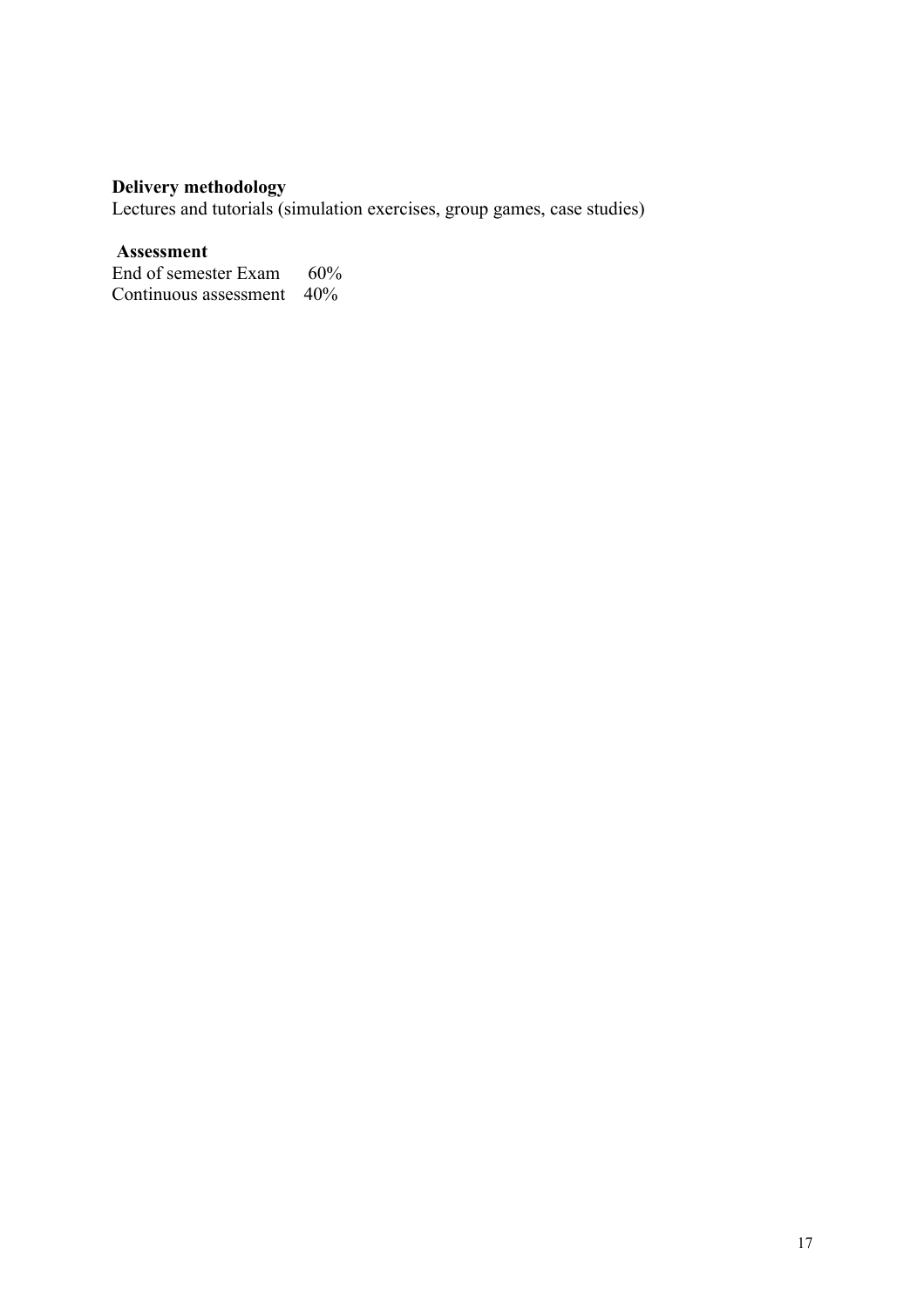#### **Delivery methodology**

Lectures and tutorials (simulation exercises, group games, case studies)

#### **Assessment**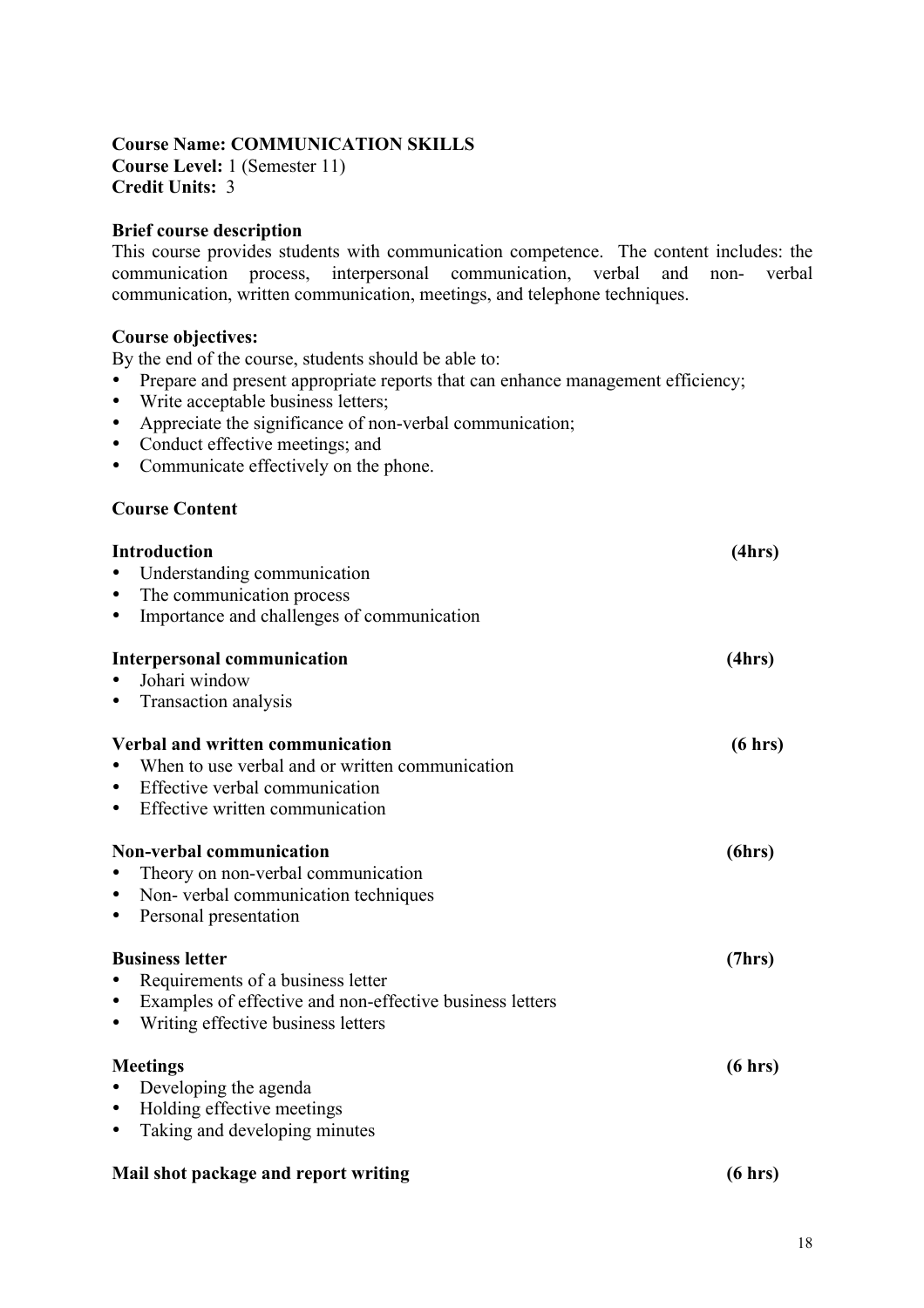## **Course Name: COMMUNICATION SKILLS**

**Course Level:** 1 (Semester 11) **Credit Units:** 3

#### **Brief course description**

This course provides students with communication competence. The content includes: the communication process, interpersonal communication, verbal and non- verbal communication, written communication, meetings, and telephone techniques.

#### **Course objectives:**

By the end of the course, students should be able to:

- Prepare and present appropriate reports that can enhance management efficiency;
- Write acceptable business letters;
- Appreciate the significance of non-verbal communication;
- Conduct effective meetings; and
- Communicate effectively on the phone.

#### **Course Content**

| <b>Introduction</b><br>Understanding communication<br>The communication process<br>$\bullet$<br>Importance and challenges of communication<br>$\bullet$                                 | (4hrs)  |
|-----------------------------------------------------------------------------------------------------------------------------------------------------------------------------------------|---------|
| <b>Interpersonal communication</b><br>Johari window<br>Transaction analysis                                                                                                             | (4hrs)  |
| Verbal and written communication<br>When to use verbal and or written communication<br>Effective verbal communication<br>$\bullet$<br>Effective written communication<br>$\bullet$      | (6 hrs) |
| <b>Non-verbal communication</b><br>Theory on non-verbal communication<br>Non-verbal communication techniques<br>$\bullet$<br>Personal presentation<br>$\bullet$                         | (6hrs)  |
| <b>Business letter</b><br>Requirements of a business letter<br>Examples of effective and non-effective business letters<br>$\bullet$<br>Writing effective business letters<br>$\bullet$ | (7hrs)  |
| <b>Meetings</b><br>Developing the agenda<br>$\bullet$<br>Holding effective meetings<br>$\bullet$<br>Taking and developing minutes<br>$\bullet$                                          | (6 hrs) |
| Mail shot package and report writing                                                                                                                                                    | (6 hrs) |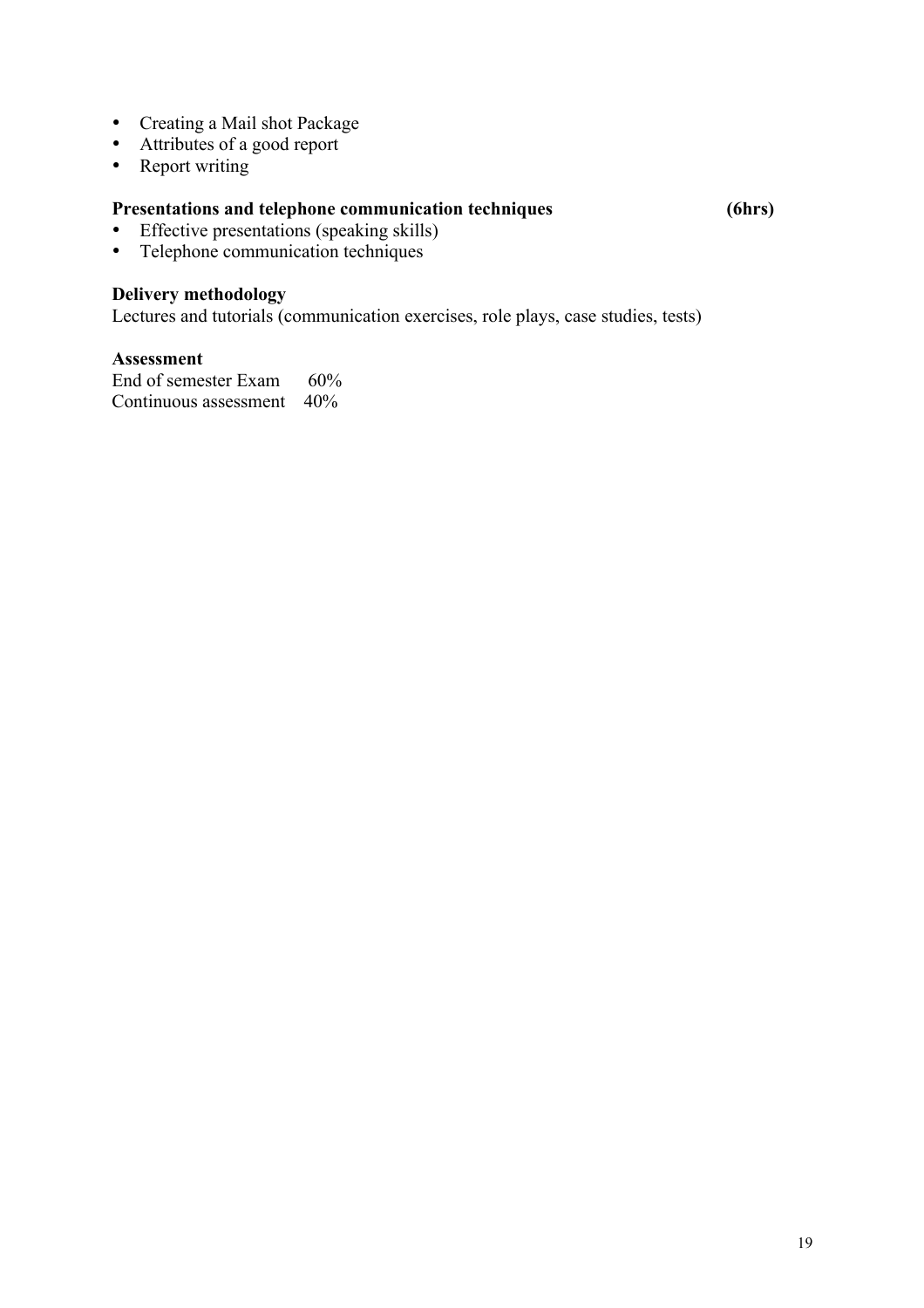- Creating a Mail shot Package
- Attributes of a good report
- Report writing

## **Presentations and telephone communication techniques (6hrs)**

- Effective presentations (speaking skills)<br>• Telephone communication techniques
- Telephone communication techniques

### **Delivery methodology**

Lectures and tutorials (communication exercises, role plays, case studies, tests)

#### **Assessment**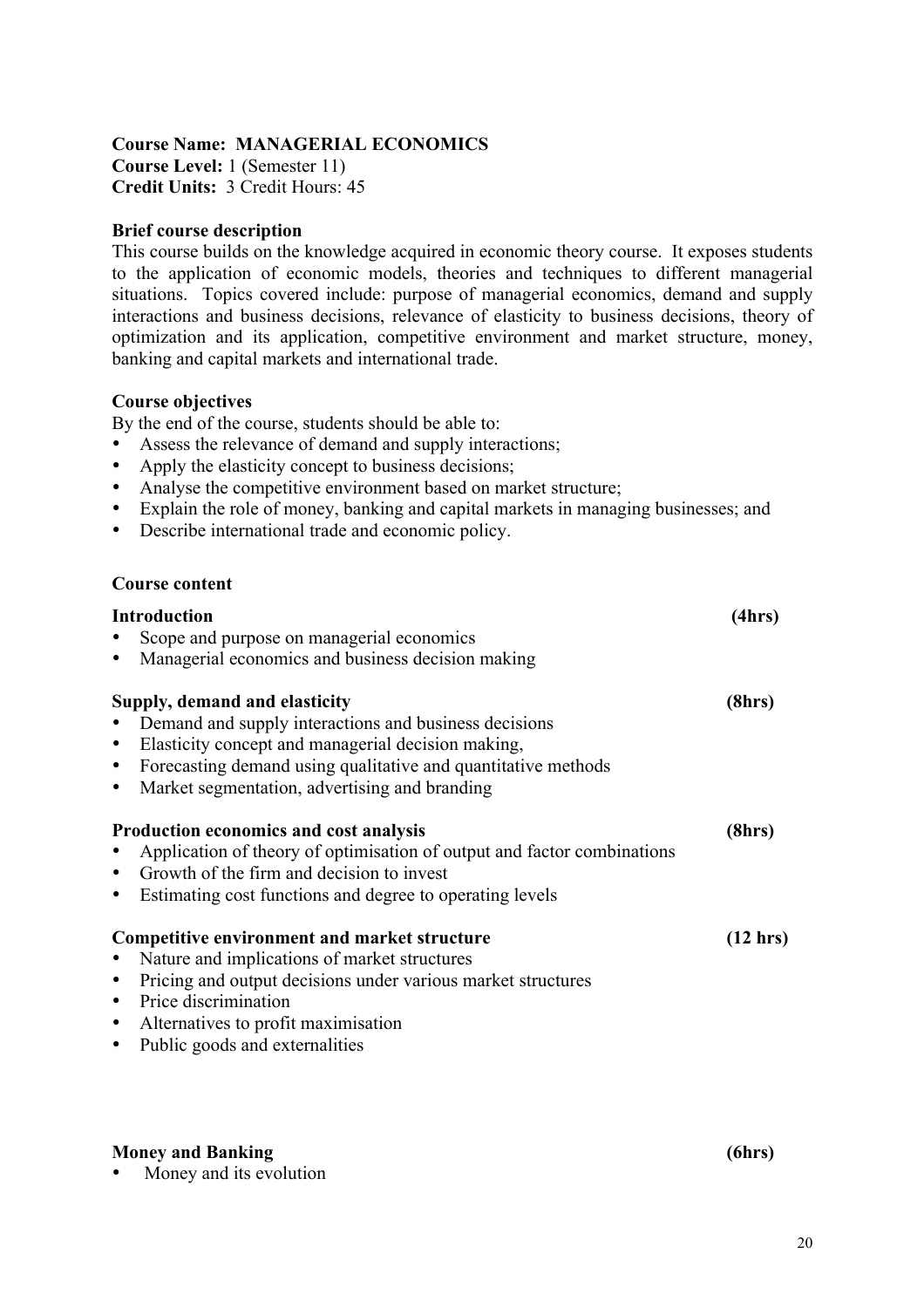#### **Course Name: MANAGERIAL ECONOMICS Course Level:** 1 (Semester 11) **Credit Units:** 3 Credit Hours: 45

#### **Brief course description**

This course builds on the knowledge acquired in economic theory course. It exposes students to the application of economic models, theories and techniques to different managerial situations. Topics covered include: purpose of managerial economics, demand and supply interactions and business decisions, relevance of elasticity to business decisions, theory of optimization and its application, competitive environment and market structure, money, banking and capital markets and international trade.

#### **Course objectives**

By the end of the course, students should be able to:

- Assess the relevance of demand and supply interactions;
- Apply the elasticity concept to business decisions;
- Analyse the competitive environment based on market structure;
- Explain the role of money, banking and capital markets in managing businesses; and
- Describe international trade and economic policy.

#### **Course content**

| <b>Introduction</b>                                                     | (4hrs)             |
|-------------------------------------------------------------------------|--------------------|
| Scope and purpose on managerial economics                               |                    |
| Managerial economics and business decision making                       |                    |
| Supply, demand and elasticity                                           | (8hrs)             |
| Demand and supply interactions and business decisions                   |                    |
| Elasticity concept and managerial decision making,                      |                    |
| Forecasting demand using qualitative and quantitative methods           |                    |
| Market segmentation, advertising and branding                           |                    |
| Production economics and cost analysis                                  | (8hrs)             |
| Application of theory of optimisation of output and factor combinations |                    |
| Growth of the firm and decision to invest                               |                    |
| Estimating cost functions and degree to operating levels                |                    |
| Competitive environment and market structure                            | $(12 \text{ hrs})$ |
| Nature and implications of market structures                            |                    |
| Pricing and output decisions under various market structures            |                    |
| Price discrimination                                                    |                    |
| Alternatives to profit maximisation                                     |                    |
| Public goods and externalities                                          |                    |
|                                                                         |                    |
|                                                                         |                    |

#### **Money and Banking (6hrs)**

Money and its evolution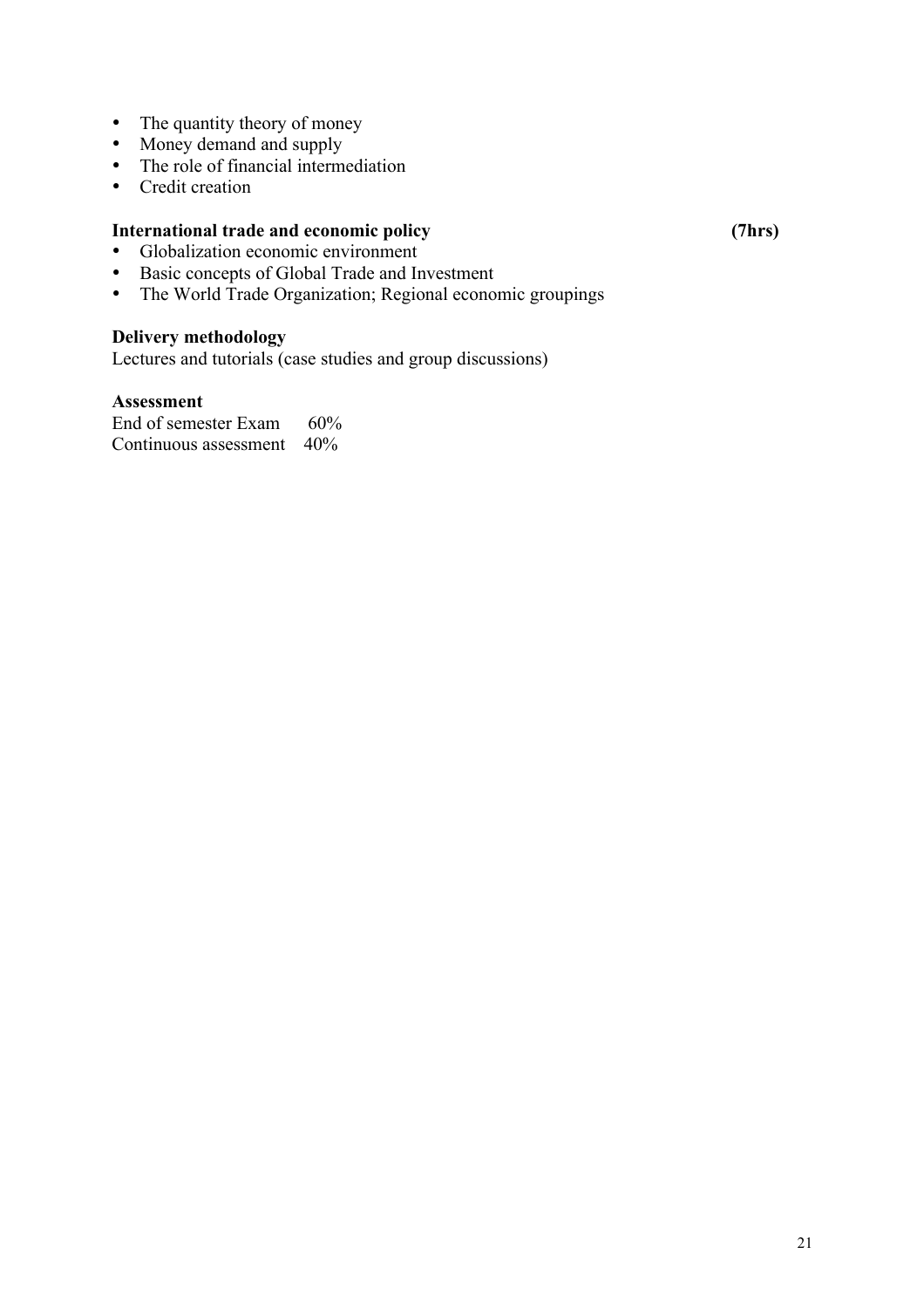- The quantity theory of money
- Money demand and supply
- The role of financial intermediation
- Credit creation

#### **International trade and economic policy (7hrs)**

- Globalization economic environment<br>• Basic concents of Global Trade and In
- Basic concepts of Global Trade and Investment
- The World Trade Organization; Regional economic groupings

## **Delivery methodology**

Lectures and tutorials (case studies and group discussions)

### **Assessment**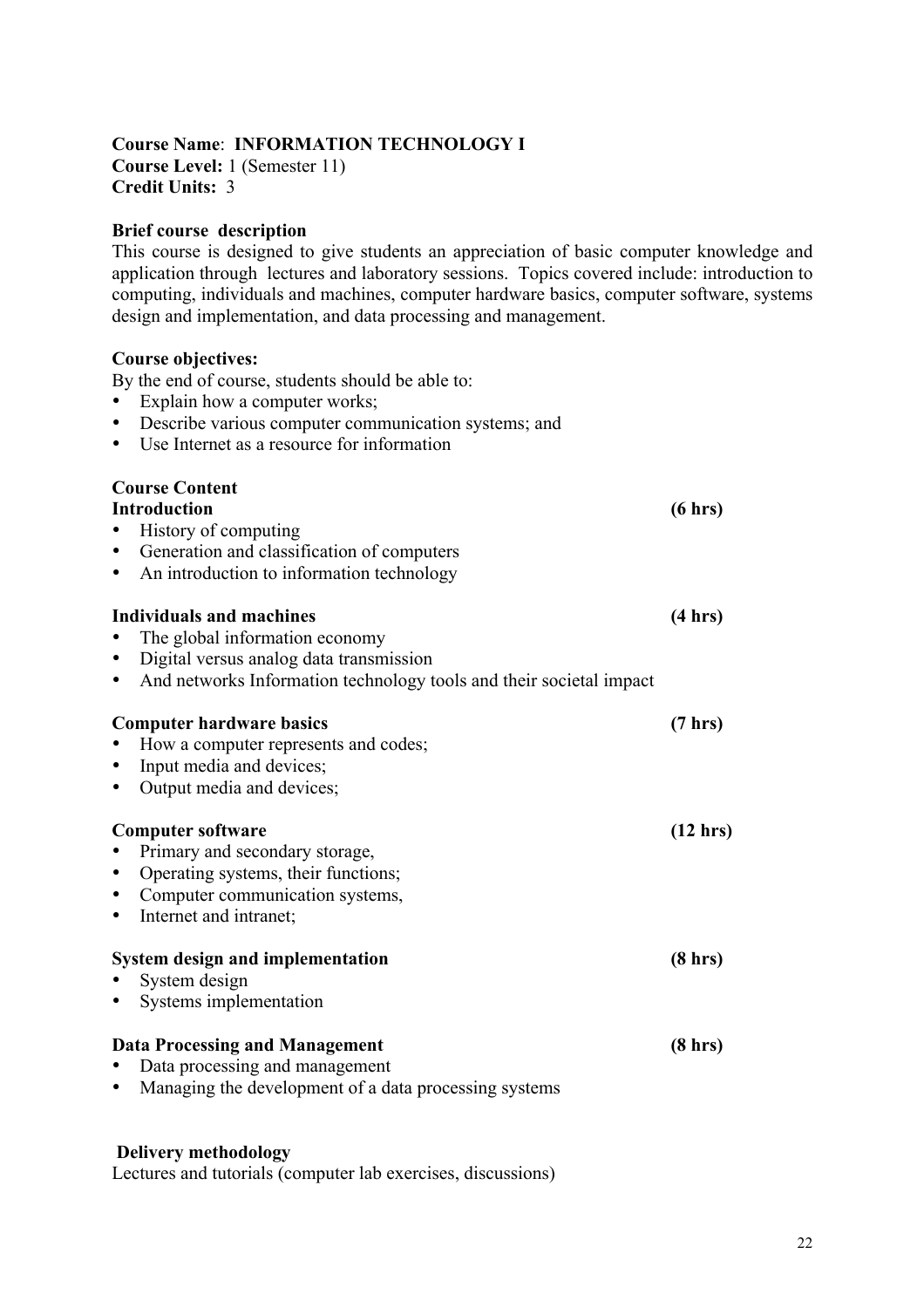#### **Course Name**: **INFORMATION TECHNOLOGY I Course Level:** 1 (Semester 11) **Credit Units:** 3

#### **Brief course description**

This course is designed to give students an appreciation of basic computer knowledge and application through lectures and laboratory sessions. Topics covered include: introduction to computing, individuals and machines, computer hardware basics, computer software, systems design and implementation, and data processing and management.

#### **Course objectives:**

By the end of course, students should be able to:

- Explain how a computer works;
- Describe various computer communication systems; and
- Use Internet as a resource for information

# **Course Content**

# **Introduction (6 hrs)** • History of computing • Generation and classification of computers • An introduction to information technology **Individuals and machines (4 hrs)**  • The global information economy • Digital versus analog data transmission • And networks Information technology tools and their societal impact **Computer hardware basics (7 hrs)** • How a computer represents and codes; • Input media and devices; • Output media and devices; **Computer software (12 hrs)** • Primary and secondary storage, • Operating systems, their functions; • Computer communication systems. Internet and intranet: **System design and implementation (8 hrs)** System design • Systems implementation Data Processing and Management (8 hrs) • Data processing and management • Managing the development of a data processing systems

#### **Delivery methodology**

Lectures and tutorials (computer lab exercises, discussions)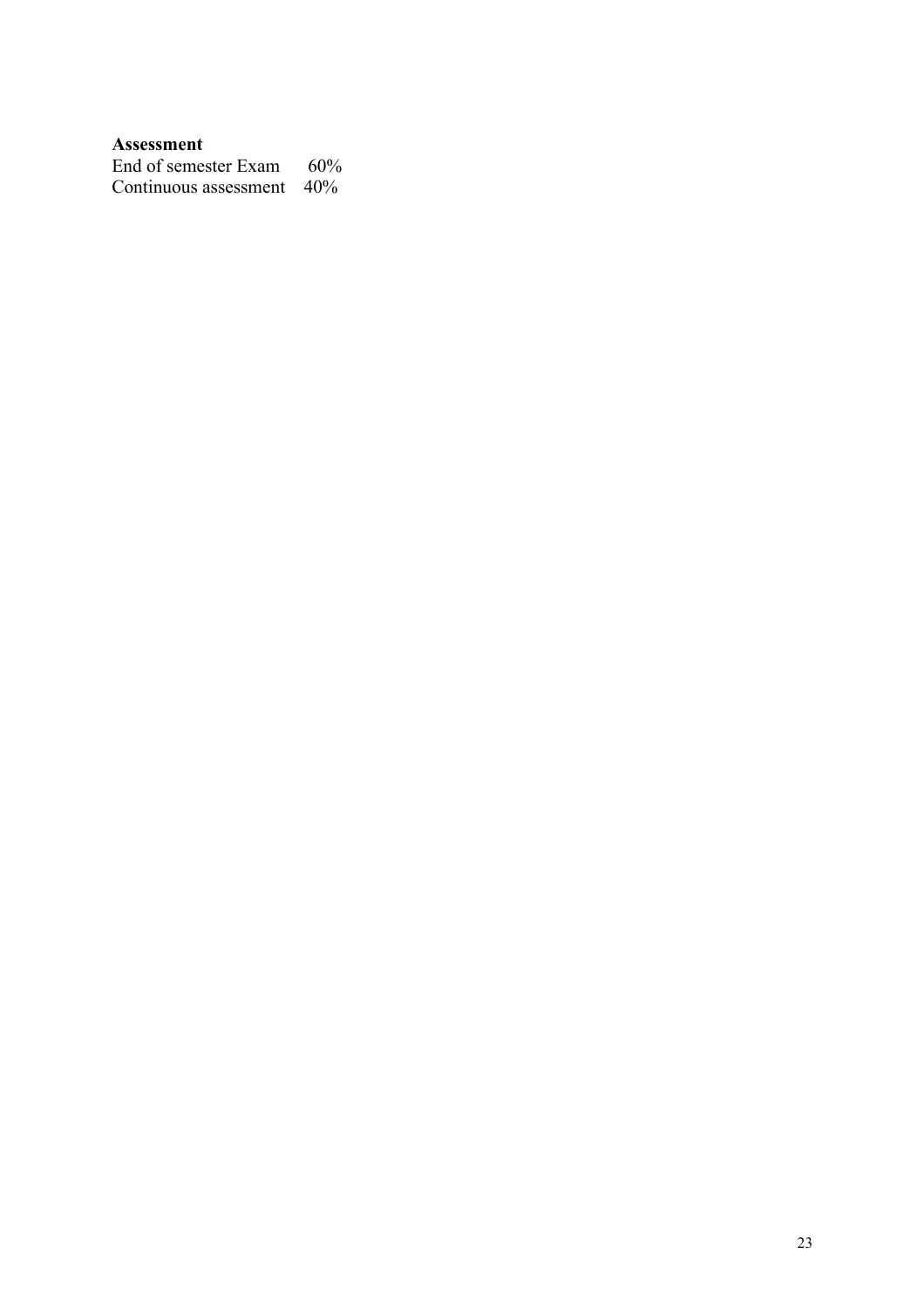### **Assessment**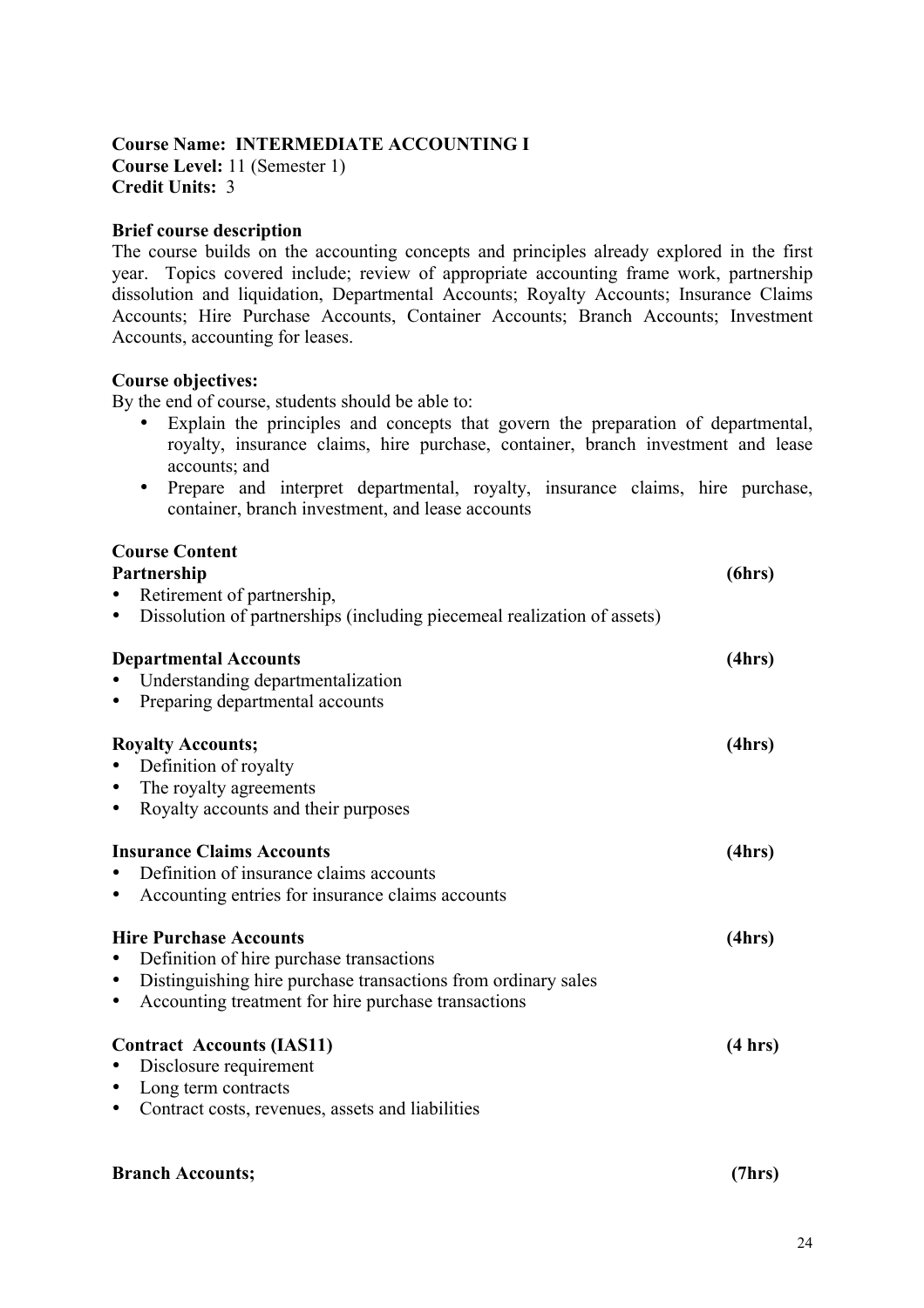#### **Course Name: INTERMEDIATE ACCOUNTING I Course Level:** 11 (Semester 1) **Credit Units:** 3

#### **Brief course description**

The course builds on the accounting concepts and principles already explored in the first year. Topics covered include; review of appropriate accounting frame work, partnership dissolution and liquidation, Departmental Accounts; Royalty Accounts; Insurance Claims Accounts; Hire Purchase Accounts, Container Accounts; Branch Accounts; Investment Accounts, accounting for leases.

#### **Course objectives:**

By the end of course, students should be able to:

- Explain the principles and concepts that govern the preparation of departmental, royalty, insurance claims, hire purchase, container, branch investment and lease accounts; and
- Prepare and interpret departmental, royalty, insurance claims, hire purchase, container, branch investment, and lease accounts

| <b>Course Content</b>                                                                |         |
|--------------------------------------------------------------------------------------|---------|
| Partnership                                                                          | (6hrs)  |
| Retirement of partnership,<br>$\bullet$                                              |         |
| Dissolution of partnerships (including piecemeal realization of assets)<br>$\bullet$ |         |
| <b>Departmental Accounts</b>                                                         | (4hrs)  |
| Understanding departmentalization                                                    |         |
| Preparing departmental accounts<br>$\bullet$                                         |         |
| <b>Royalty Accounts;</b>                                                             | (4hrs)  |
| Definition of royalty<br>$\bullet$                                                   |         |
| The royalty agreements<br>$\bullet$                                                  |         |
| Royalty accounts and their purposes<br>$\bullet$                                     |         |
| <b>Insurance Claims Accounts</b>                                                     | (4hrs)  |
| Definition of insurance claims accounts<br>$\bullet$                                 |         |
| Accounting entries for insurance claims accounts<br>$\bullet$                        |         |
| <b>Hire Purchase Accounts</b>                                                        | (4hrs)  |
| Definition of hire purchase transactions<br>$\bullet$                                |         |
| Distinguishing hire purchase transactions from ordinary sales<br>$\bullet$           |         |
| Accounting treatment for hire purchase transactions<br>$\bullet$                     |         |
| <b>Contract Accounts (IAS11)</b>                                                     | (4 hrs) |
| Disclosure requirement<br>$\bullet$                                                  |         |
| Long term contracts<br>$\bullet$                                                     |         |
| Contract costs, revenues, assets and liabilities<br>$\bullet$                        |         |
|                                                                                      |         |

#### **Branch Accounts; (7hrs)**

24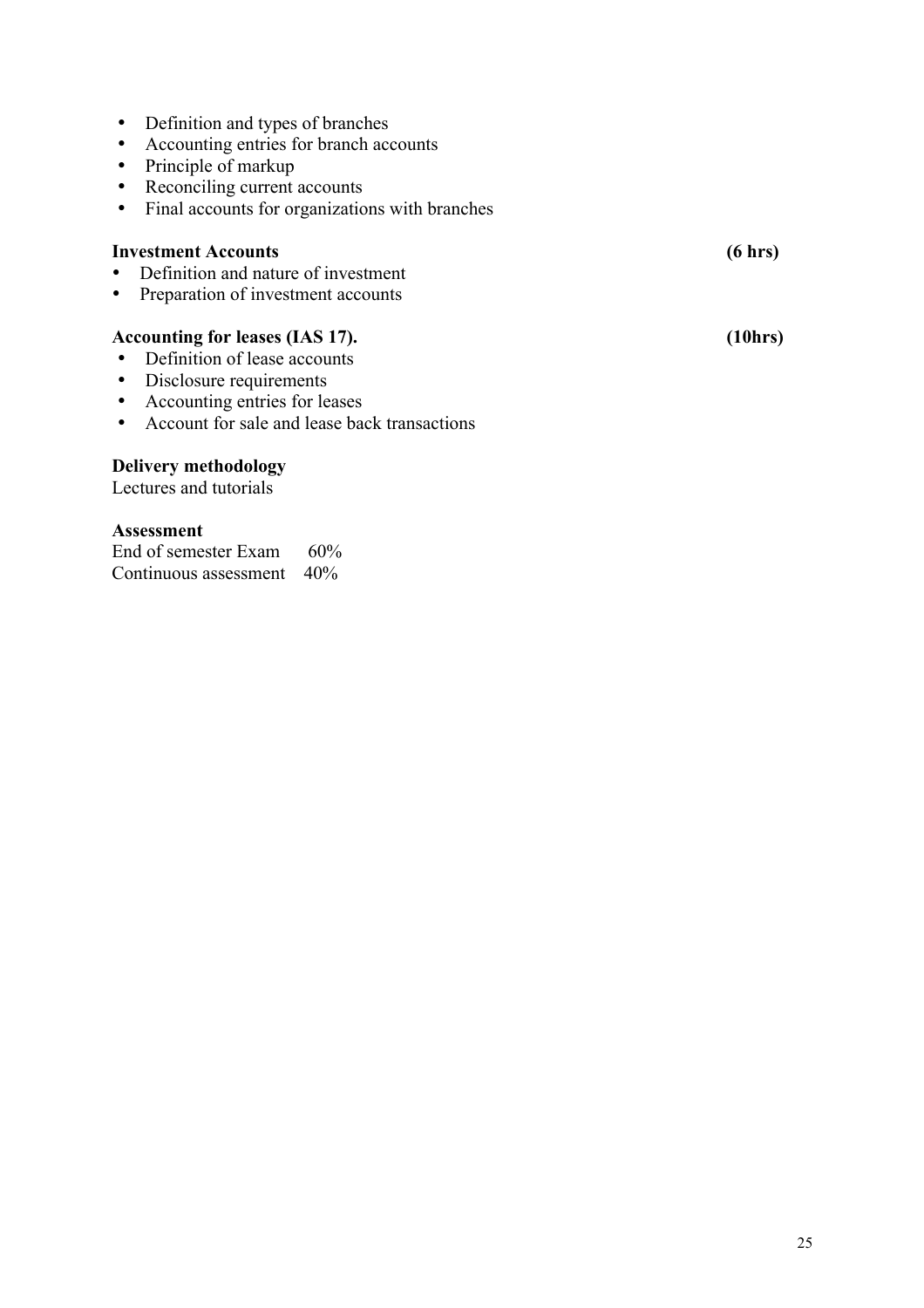#### • Definition and types of branches

- Accounting entries for branch accounts
- Principle of markup
- Reconciling current accounts
- Final accounts for organizations with branches

## **Investment Accounts (6 hrs)**

- Definition and nature of investment
- Preparation of investment accounts

# **Accounting for leases (IAS 17). (10hrs)**

- Definition of lease accounts
- Disclosure requirements
- Accounting entries for leases
- Account for sale and lease back transactions

# **Delivery methodology**

Lectures and tutorials

## **Assessment**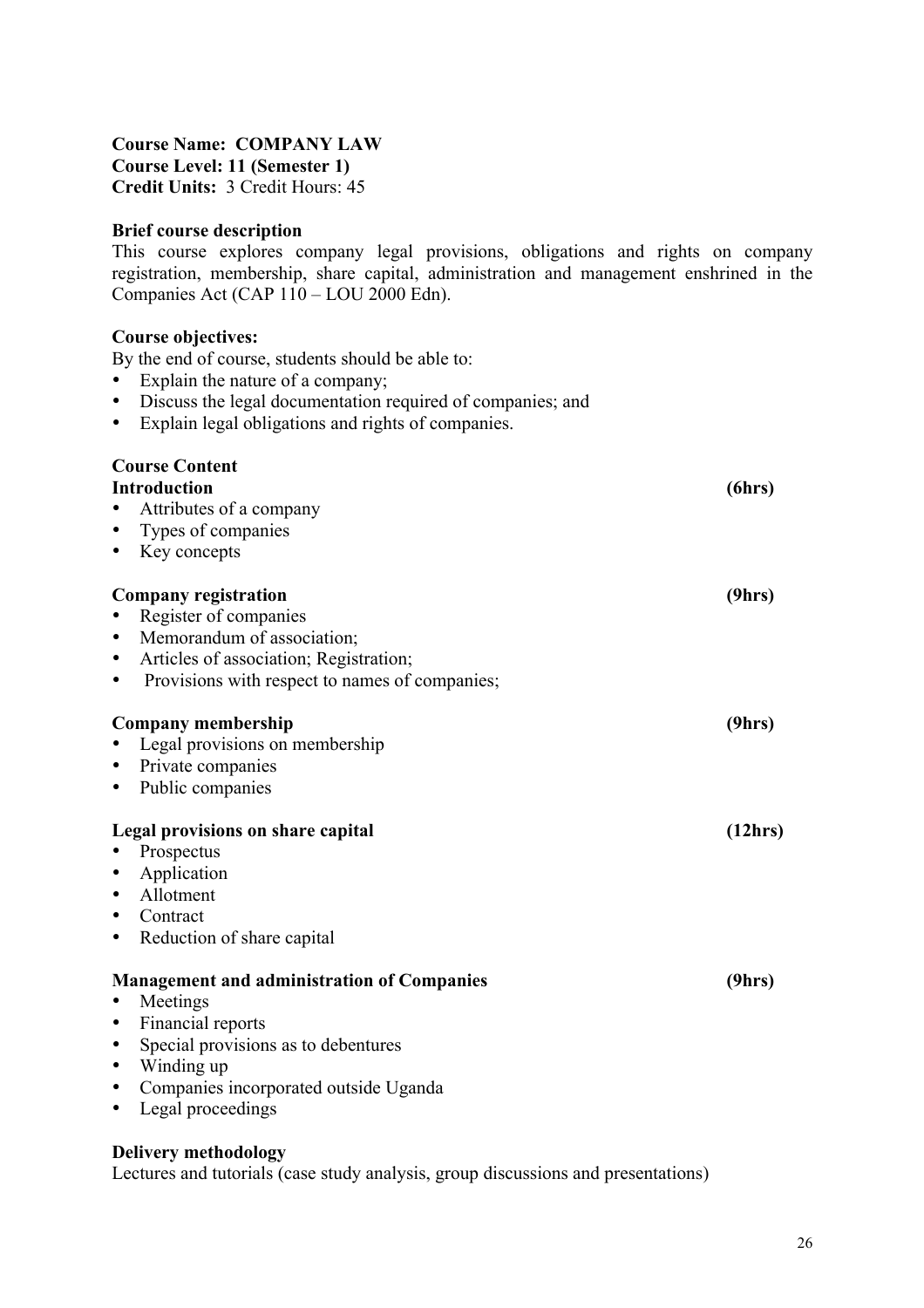#### **Course Name: COMPANY LAW Course Level: 11 (Semester 1) Credit Units:** 3 Credit Hours: 45

#### **Brief course description**

This course explores company legal provisions, obligations and rights on company registration, membership, share capital, administration and management enshrined in the Companies Act (CAP 110 – LOU 2000 Edn).

#### **Course objectives:**

By the end of course, students should be able to:

- Explain the nature of a company;
- Discuss the legal documentation required of companies; and
- Explain legal obligations and rights of companies.

| <b>Course Content</b>                               |         |
|-----------------------------------------------------|---------|
| <b>Introduction</b>                                 | (6hrs)  |
| Attributes of a company                             |         |
| Types of companies<br>$\bullet$                     |         |
| Key concepts<br>٠                                   |         |
| <b>Company registration</b>                         | (9hrs)  |
| Register of companies                               |         |
| Memorandum of association;<br>$\bullet$             |         |
| Articles of association; Registration;<br>$\bullet$ |         |
| Provisions with respect to names of companies;<br>٠ |         |
|                                                     |         |
| Company membership                                  | (9hrs)  |
| Legal provisions on membership                      |         |
| Private companies<br>$\bullet$                      |         |
| Public companies<br>$\bullet$                       |         |
|                                                     |         |
| Legal provisions on share capital                   | (12hrs) |
| Prospectus                                          |         |
| Application<br>$\bullet$                            |         |
| Allotment                                           |         |
| Contract<br>٠                                       |         |
| Reduction of share capital<br>٠                     |         |
|                                                     |         |
| <b>Management and administration of Companies</b>   | (9hrs)  |
| Meetings                                            |         |
| Financial reports<br>$\bullet$                      |         |
| Special provisions as to debentures<br>$\bullet$    |         |
| Winding up<br>$\bullet$                             |         |
| Companies incorporated outside Uganda<br>$\bullet$  |         |
| Legal proceedings<br>٠                              |         |
|                                                     |         |

#### **Delivery methodology**

Lectures and tutorials (case study analysis, group discussions and presentations)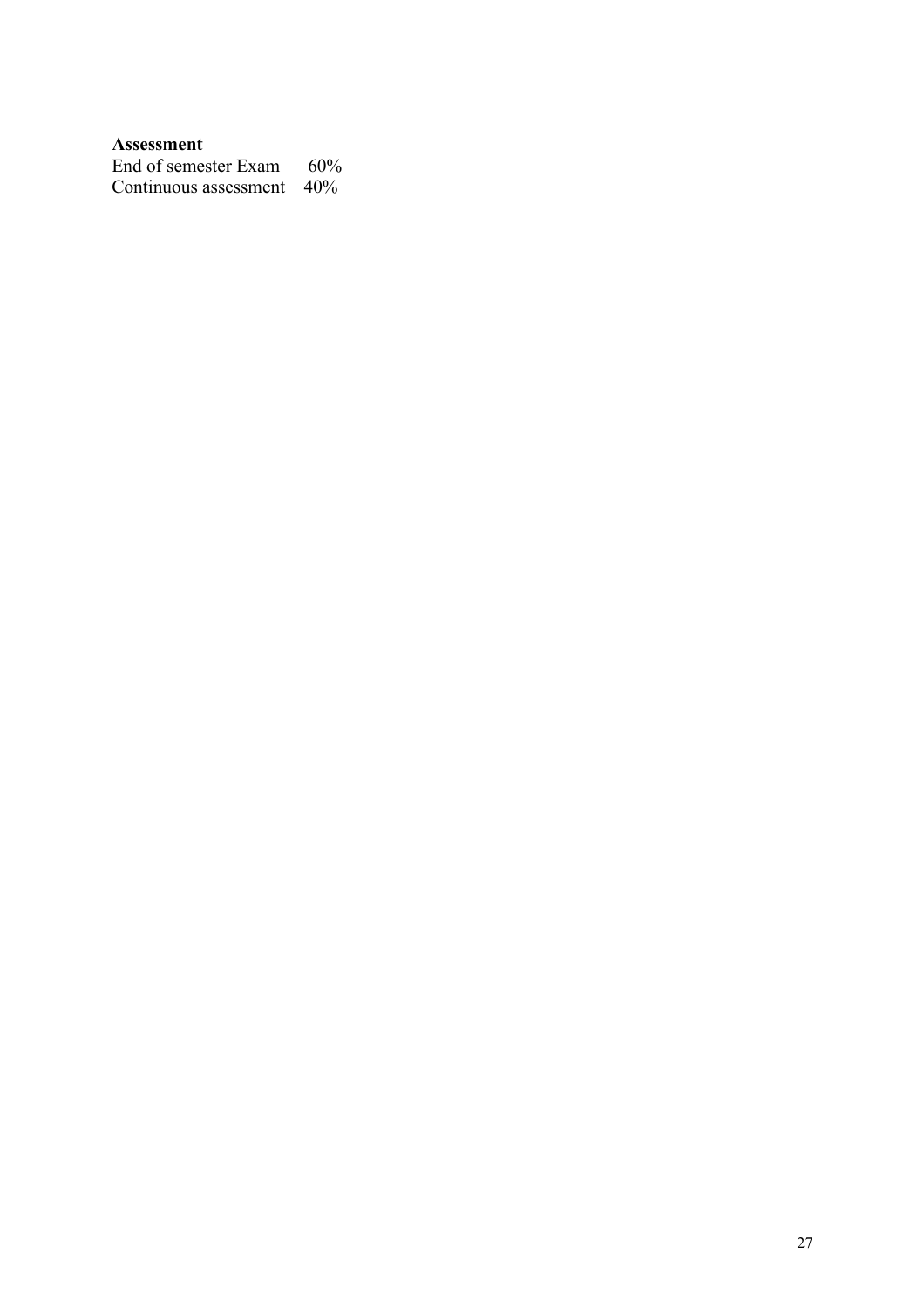### **Assessment**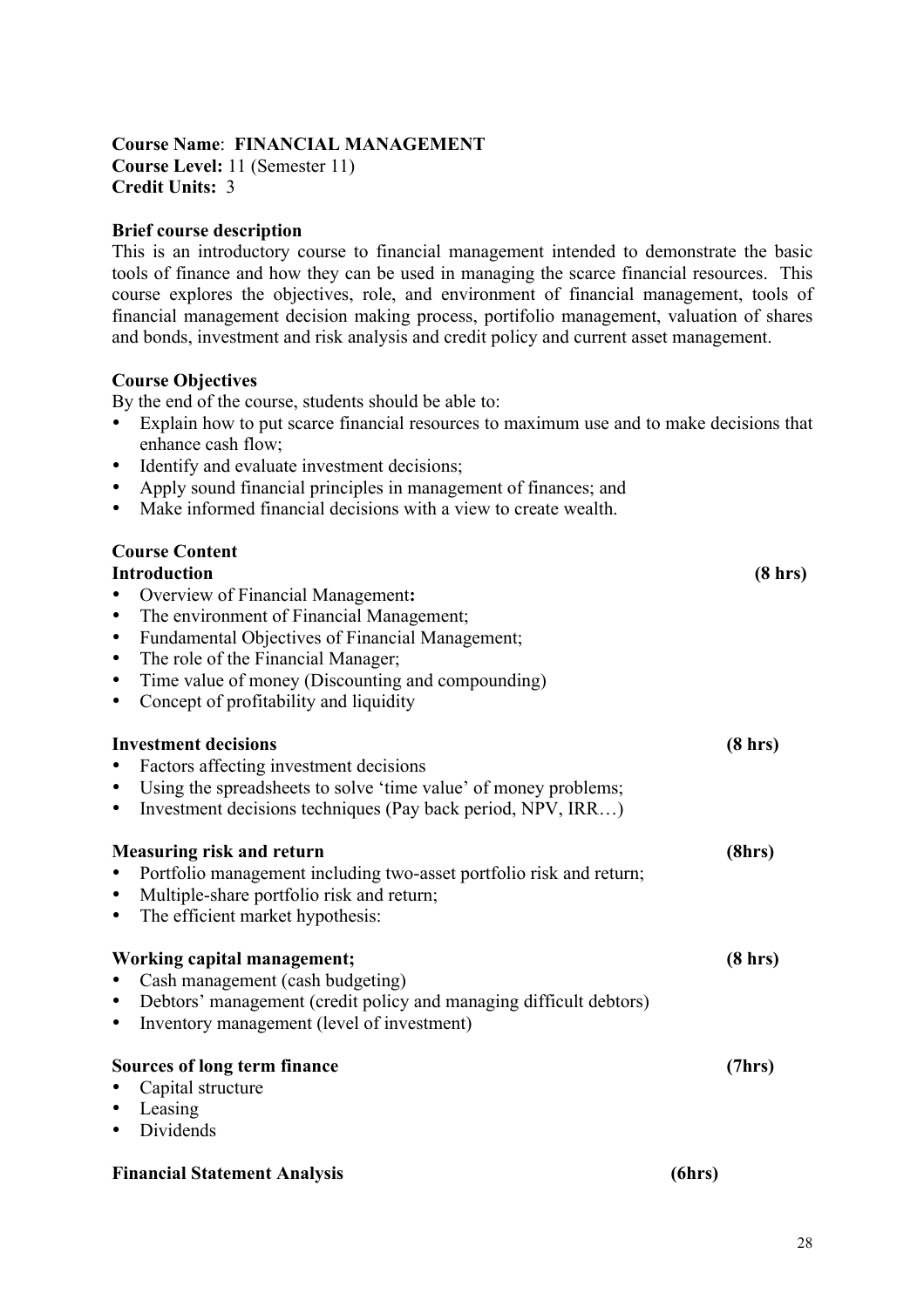#### **Course Name**: **FINANCIAL MANAGEMENT Course Level:** 11 (Semester 11) **Credit Units:** 3

#### **Brief course description**

This is an introductory course to financial management intended to demonstrate the basic tools of finance and how they can be used in managing the scarce financial resources. This course explores the objectives, role, and environment of financial management, tools of financial management decision making process, portifolio management, valuation of shares and bonds, investment and risk analysis and credit policy and current asset management.

#### **Course Objectives**

By the end of the course, students should be able to:

- Explain how to put scarce financial resources to maximum use and to make decisions that enhance cash flow;
- Identify and evaluate investment decisions;
- Apply sound financial principles in management of finances; and
- Make informed financial decisions with a view to create wealth.

| <b>Course Content</b>                                                            |                   |
|----------------------------------------------------------------------------------|-------------------|
| <b>Introduction</b>                                                              | $(8 \text{ hrs})$ |
| Overview of Financial Management:<br>$\bullet$                                   |                   |
| The environment of Financial Management;<br>$\bullet$                            |                   |
| Fundamental Objectives of Financial Management;<br>$\bullet$                     |                   |
| The role of the Financial Manager;<br>$\bullet$                                  |                   |
| Time value of money (Discounting and compounding)<br>$\bullet$                   |                   |
| Concept of profitability and liquidity<br>$\bullet$                              |                   |
| <b>Investment decisions</b>                                                      | $(8 \text{ hrs})$ |
| Factors affecting investment decisions<br>$\bullet$                              |                   |
| Using the spreadsheets to solve 'time value' of money problems;<br>$\bullet$     |                   |
| Investment decisions techniques (Pay back period, NPV, IRR)<br>$\bullet$         |                   |
| <b>Measuring risk and return</b>                                                 | (8hrs)            |
| Portfolio management including two-asset portfolio risk and return;<br>$\bullet$ |                   |
| Multiple-share portfolio risk and return;<br>$\bullet$                           |                   |
| The efficient market hypothesis:<br>$\bullet$                                    |                   |
| Working capital management;                                                      | (8 hrs)           |
| Cash management (cash budgeting)                                                 |                   |
| Debtors' management (credit policy and managing difficult debtors)<br>$\bullet$  |                   |
| Inventory management (level of investment)<br>٠                                  |                   |
| Sources of long term finance                                                     | (7hrs)            |
| Capital structure                                                                |                   |
| Leasing<br>$\bullet$                                                             |                   |
| Dividends<br>$\bullet$                                                           |                   |
| <b>Financial Statement Analysis</b>                                              | (6hrs)            |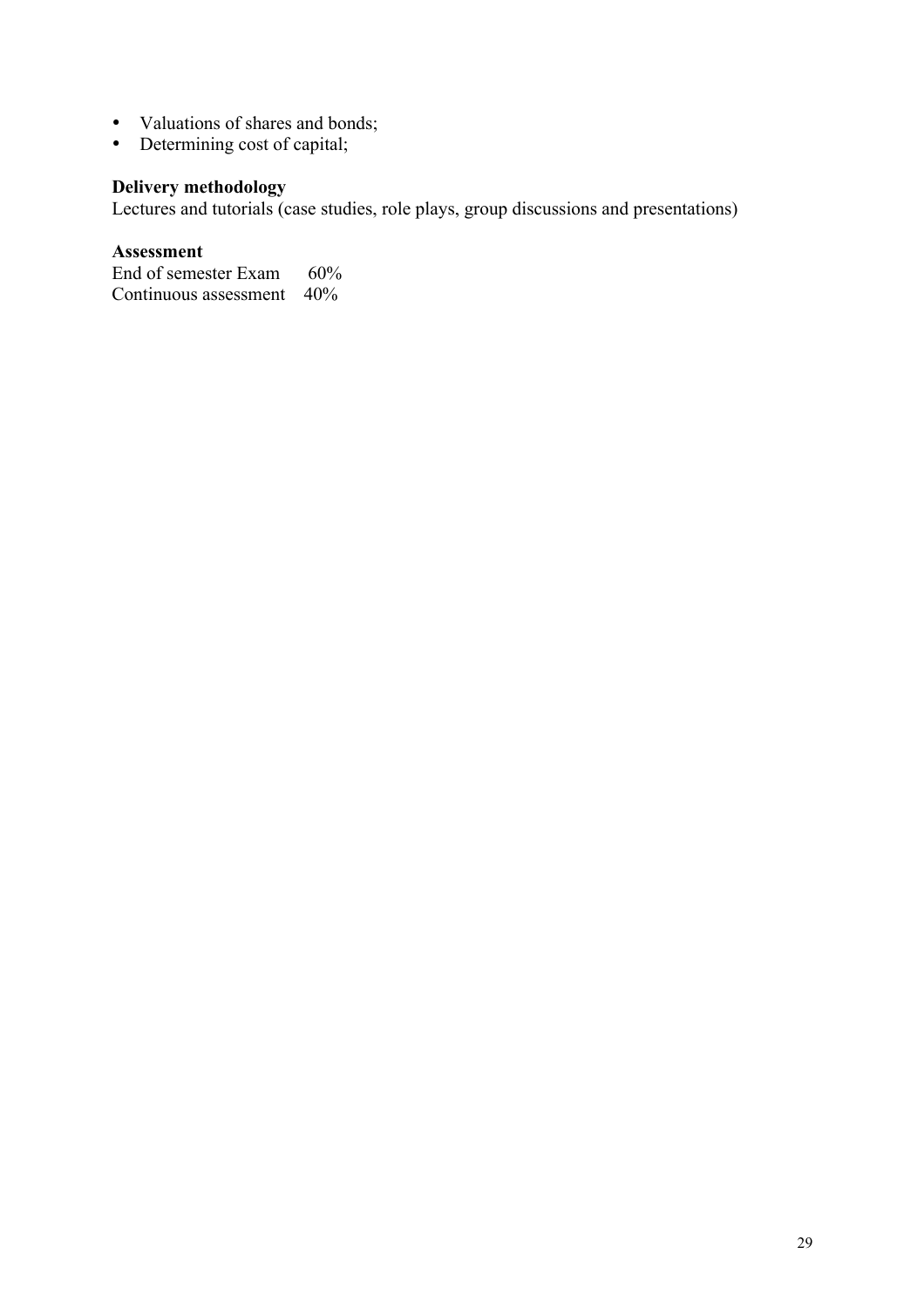- Valuations of shares and bonds;
- Determining cost of capital;

## **Delivery methodology**

Lectures and tutorials (case studies, role plays, group discussions and presentations)

#### **Assessment**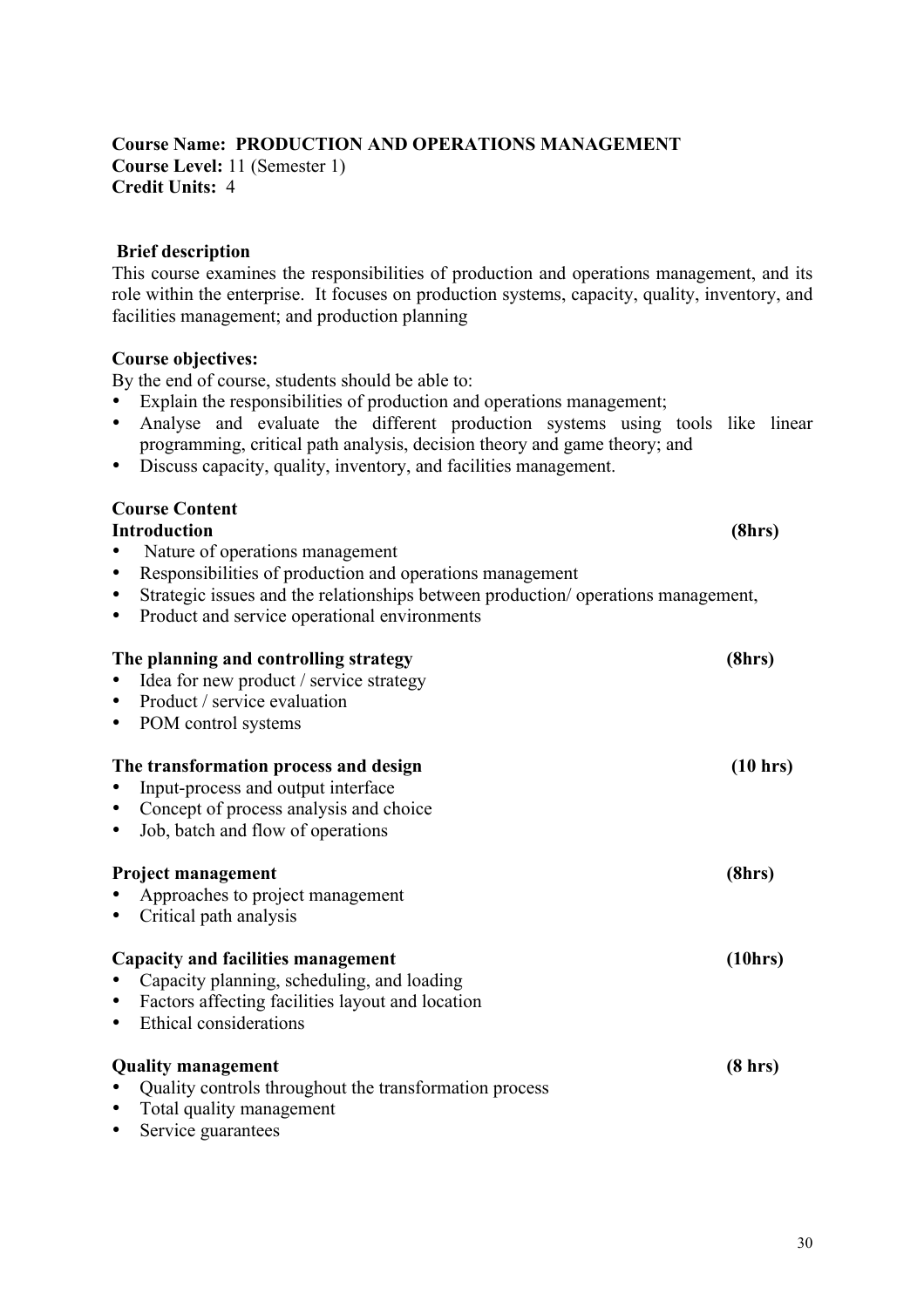#### **Course Name: PRODUCTION AND OPERATIONS MANAGEMENT Course Level:** 11 (Semester 1) **Credit Units:** 4

#### **Brief description**

This course examines the responsibilities of production and operations management, and its role within the enterprise. It focuses on production systems, capacity, quality, inventory, and facilities management; and production planning

#### **Course objectives:**

By the end of course, students should be able to:

- Explain the responsibilities of production and operations management;
- Analyse and evaluate the different production systems using tools like linear programming, critical path analysis, decision theory and game theory; and
- Discuss capacity, quality, inventory, and facilities management.

#### **Course Content**

|           | <b>Introduction</b>                                                              | (8hrs)   |
|-----------|----------------------------------------------------------------------------------|----------|
|           | Nature of operations management                                                  |          |
| ٠         | Responsibilities of production and operations management                         |          |
| $\bullet$ | Strategic issues and the relationships between production/operations management, |          |
| $\bullet$ | Product and service operational environments                                     |          |
|           | The planning and controlling strategy                                            | (8hrs)   |
|           | Idea for new product / service strategy                                          |          |
| $\bullet$ | Product / service evaluation                                                     |          |
| ٠         | POM control systems                                                              |          |
|           | The transformation process and design<br>Input-process and output interface      | (10 hrs) |
| $\bullet$ | Concept of process analysis and choice                                           |          |
| ٠         | Job, batch and flow of operations                                                |          |
|           |                                                                                  |          |
|           | <b>Project management</b>                                                        | (8hrs)   |
|           | Approaches to project management                                                 |          |
|           | Critical path analysis                                                           |          |
|           | <b>Capacity and facilities management</b>                                        | (10hrs)  |
|           | Capacity planning, scheduling, and loading                                       |          |
| ٠         | Factors affecting facilities layout and location                                 |          |
| $\bullet$ | Ethical considerations                                                           |          |
|           | <b>Quality management</b>                                                        | (8 hr)   |
|           | Quality controls throughout the transformation process                           |          |
| $\bullet$ | Total quality management                                                         |          |
|           | Service guarantees                                                               |          |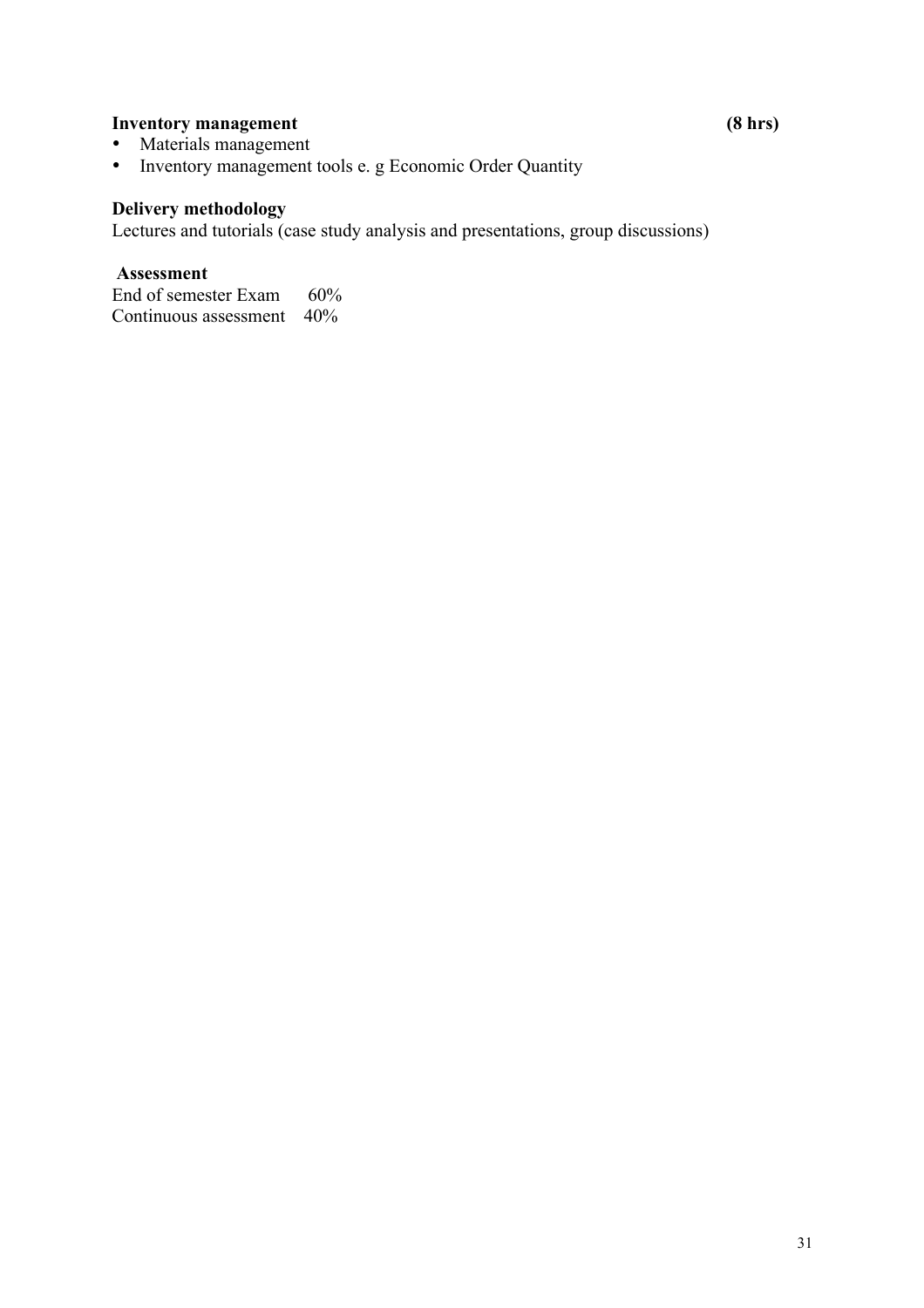### **Inventory management** (8 hrs)

- Materials management
- Inventory management tools e. g Economic Order Quantity

### **Delivery methodology**

Lectures and tutorials (case study analysis and presentations, group discussions)

#### **Assessment**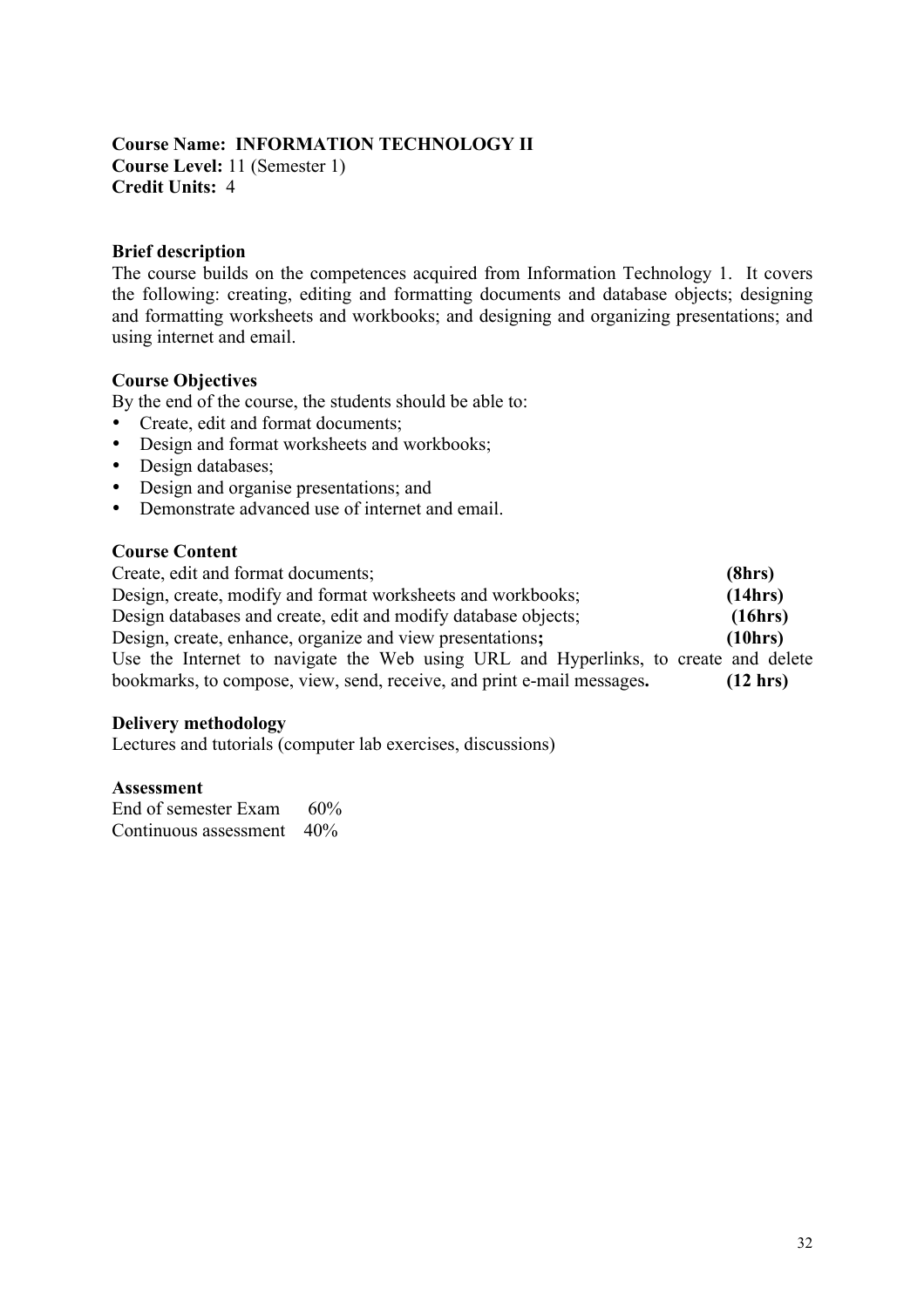#### **Course Name: INFORMATION TECHNOLOGY II Course Level:** 11 (Semester 1) **Credit Units:** 4

#### **Brief description**

The course builds on the competences acquired from Information Technology 1. It covers the following: creating, editing and formatting documents and database objects; designing and formatting worksheets and workbooks; and designing and organizing presentations; and using internet and email.

#### **Course Objectives**

By the end of the course, the students should be able to:

- Create, edit and format documents;
- Design and format worksheets and workbooks;
- Design databases;
- Design and organise presentations; and
- Demonstrate advanced use of internet and email.

#### **Course Content**

Create, edit and format documents; **(8hrs)** Design, create, modify and format worksheets and workbooks; **(14hrs)** Design databases and create, edit and modify database objects; **(16hrs)** Design, create, enhance, organize and view presentations**; (10hrs)** Use the Internet to navigate the Web using URL and Hyperlinks, to create and delete bookmarks, to compose, view, send, receive, and print e-mail messages**. (12 hrs)**

#### **Delivery methodology**

Lectures and tutorials (computer lab exercises, discussions)

#### **Assessment**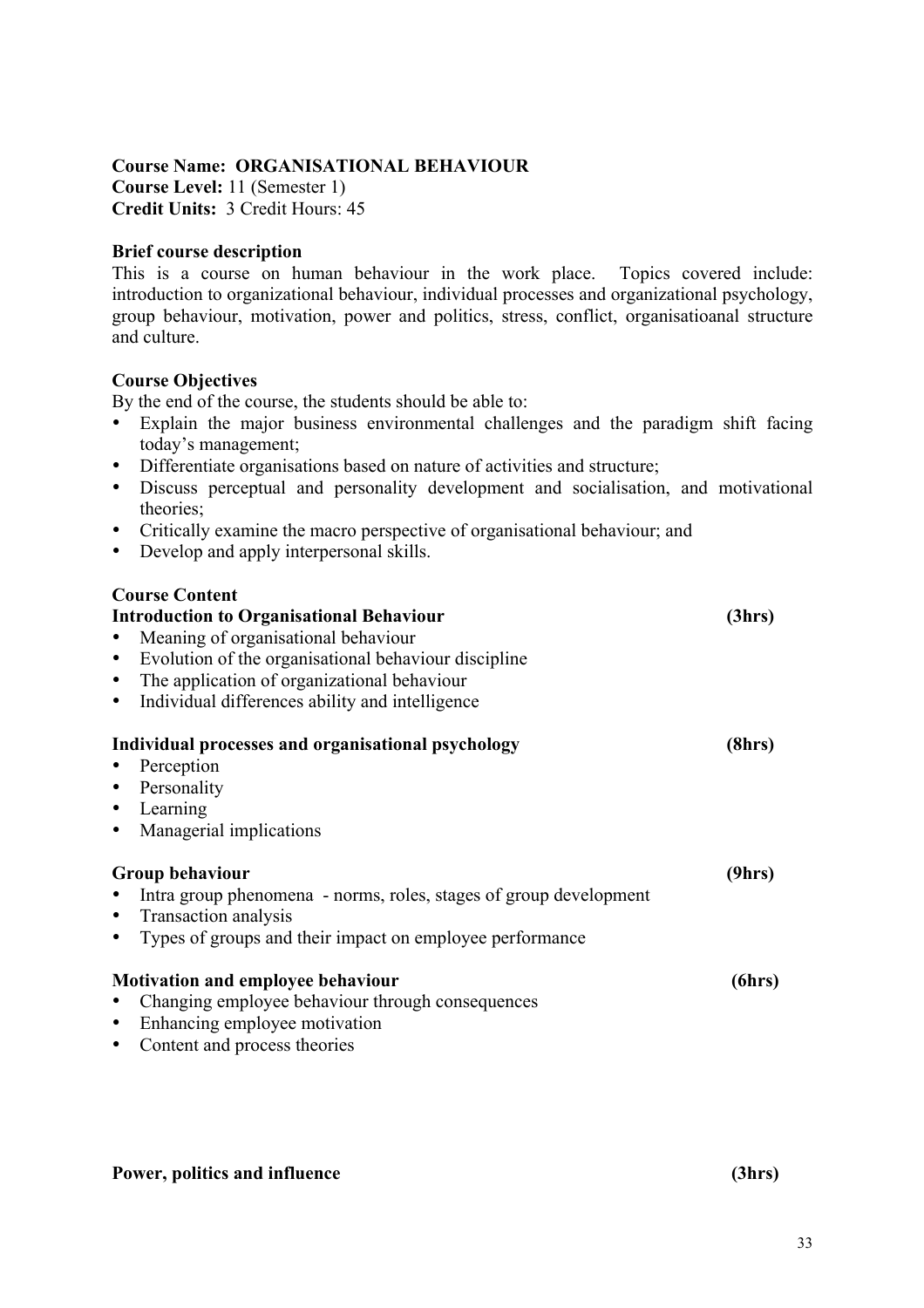### **Course Name: ORGANISATIONAL BEHAVIOUR**

**Course Level:** 11 (Semester 1) **Credit Units:** 3 Credit Hours: 45

#### **Brief course description**

This is a course on human behaviour in the work place. Topics covered include: introduction to organizational behaviour, individual processes and organizational psychology, group behaviour, motivation, power and politics, stress, conflict, organisatioanal structure and culture.

#### **Course Objectives**

By the end of the course, the students should be able to:

- Explain the major business environmental challenges and the paradigm shift facing today's management;
- Differentiate organisations based on nature of activities and structure;
- Discuss perceptual and personality development and socialisation, and motivational theories;
- Critically examine the macro perspective of organisational behaviour; and
- Develop and apply interpersonal skills.

### **Course Content**

| <b>Introduction to Organisational Behaviour</b>                       | (3hrs) |
|-----------------------------------------------------------------------|--------|
| Meaning of organisational behaviour                                   |        |
| Evolution of the organisational behaviour discipline<br>$\bullet$     |        |
| The application of organizational behaviour<br>$\bullet$              |        |
| Individual differences ability and intelligence<br>$\bullet$          |        |
| Individual processes and organisational psychology                    | (8hrs) |
| Perception                                                            |        |
| • Personality                                                         |        |
| • Learning                                                            |        |
| Managerial implications                                               |        |
| Group behaviour                                                       | (9hrs) |
| Intra group phenomena - norms, roles, stages of group development     |        |
| Transaction analysis                                                  |        |
| Types of groups and their impact on employee performance<br>$\bullet$ |        |
| <b>Motivation and employee behaviour</b>                              | (6hrs) |
| Changing employee behaviour through consequences                      |        |
| Enhancing employee motivation<br>$\bullet$                            |        |
| Content and process theories                                          |        |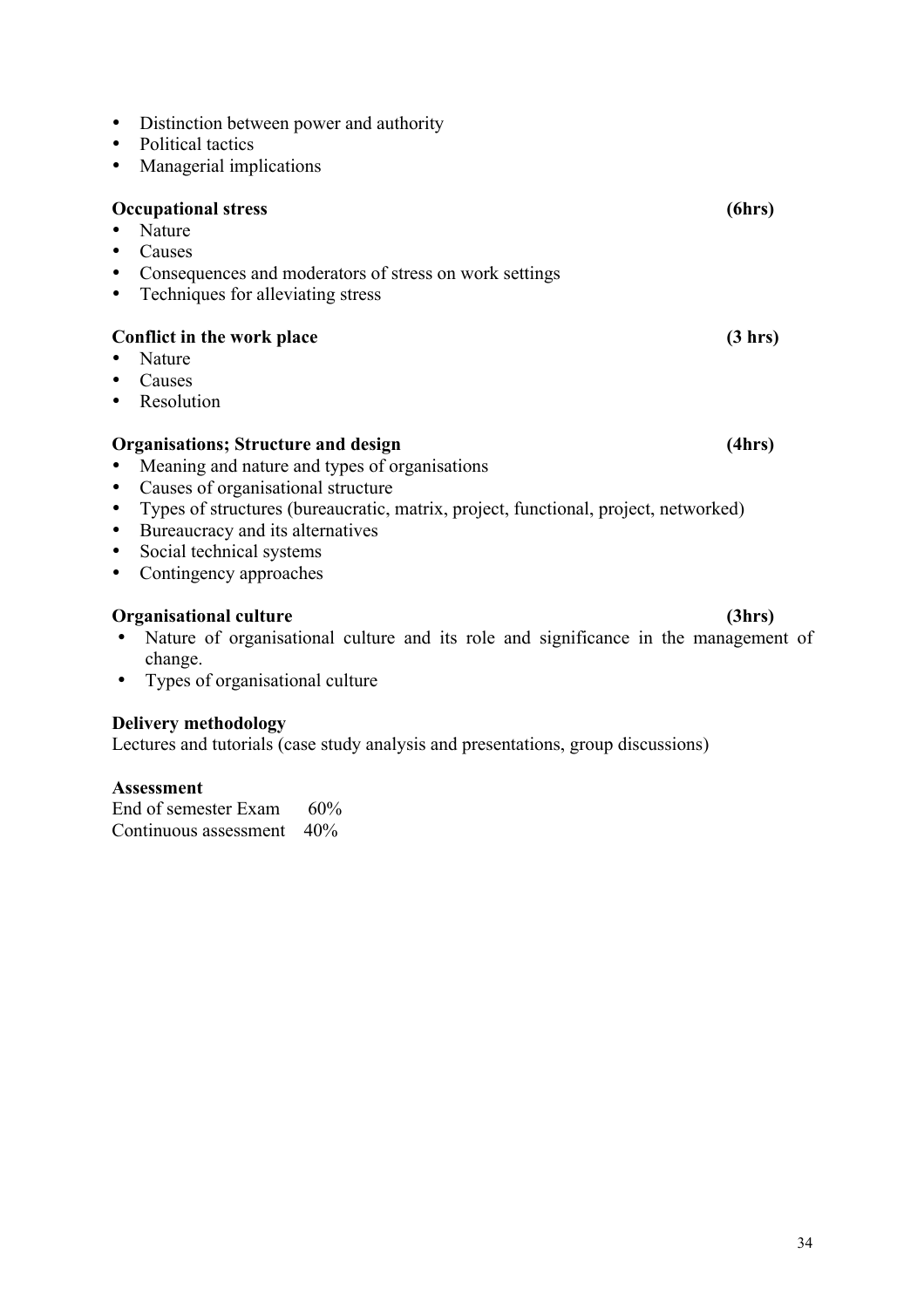| presentations, group discussions) |  |
|-----------------------------------|--|
|                                   |  |

- 
- 

# • Managerial implications

• Distinction between power and authority

**Occupational stress (6hrs)**

• Political tactics

- Nature
- Causes
- Consequences and moderators of stress on work settings
- Techniques for alleviating stress

# **Conflict in the work place (3 hrs)**

- Nature
- Causes
- Resolution

# **Organisations; Structure and design (4hrs)**

- Meaning and nature and types of organisations
- Causes of organisational structure
- Types of structures (bureaucratic, matrix, project, functional, project, networked)
- Bureaucracy and its alternatives
- Social technical systems
- Contingency approaches

# **Organisational culture (3hrs)**

- Nature of organisational culture and its role and significance in the management of change.
- Types of organisational culture

# **Delivery methodology**

Lectures and tutorials (case study analysis and

# **Assessment**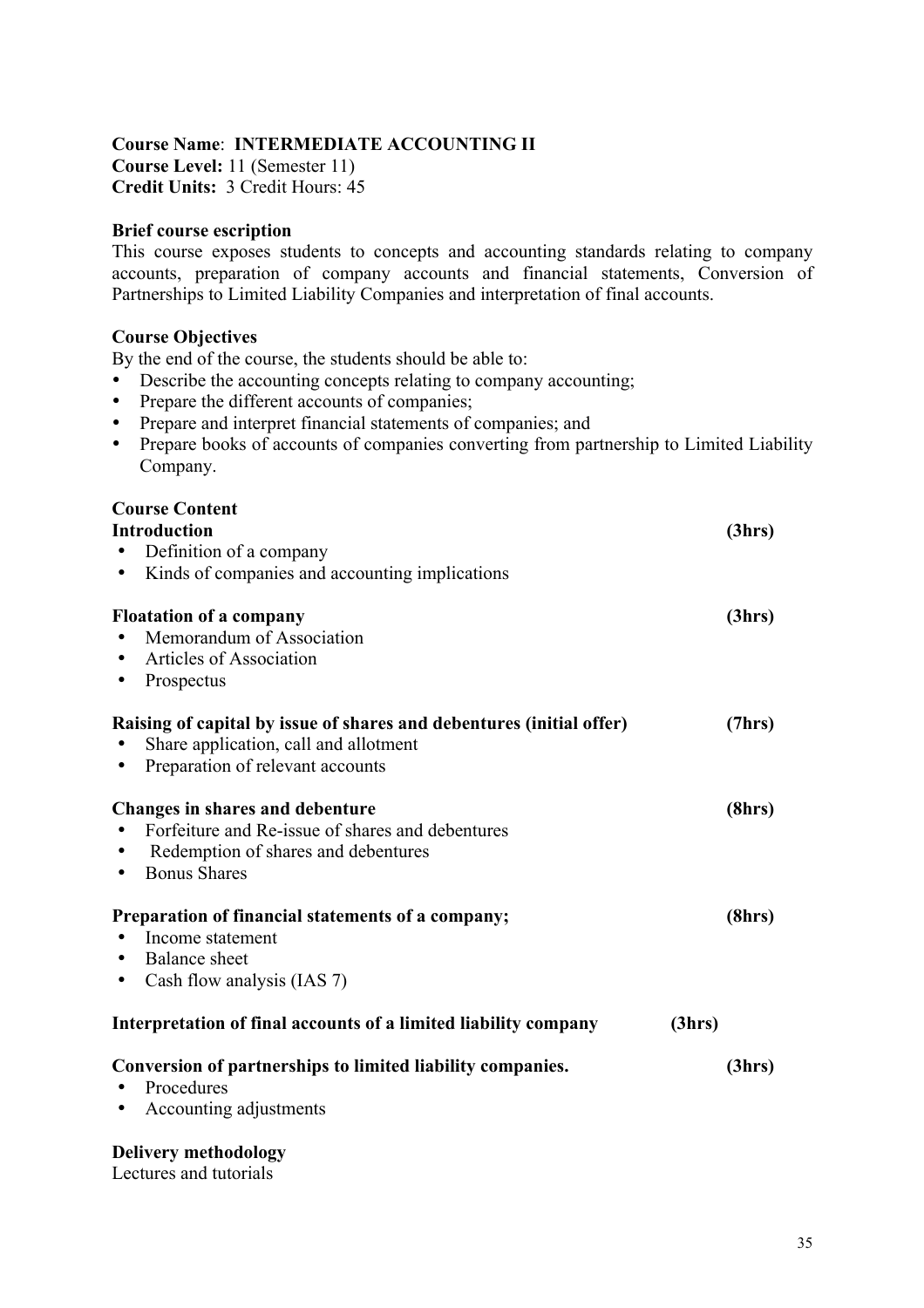### **Course Name**: **INTERMEDIATE ACCOUNTING II**

**Course Level:** 11 (Semester 11) **Credit Units:** 3 Credit Hours: 45

#### **Brief course escription**

This course exposes students to concepts and accounting standards relating to company accounts, preparation of company accounts and financial statements, Conversion of Partnerships to Limited Liability Companies and interpretation of final accounts.

#### **Course Objectives**

By the end of the course, the students should be able to:

- Describe the accounting concepts relating to company accounting;
- Prepare the different accounts of companies;
- Prepare and interpret financial statements of companies; and
- Prepare books of accounts of companies converting from partnership to Limited Liability Company.

#### **Course Content**

| <b>Introduction</b>                                                  | (3hrs) |
|----------------------------------------------------------------------|--------|
| Definition of a company                                              |        |
| Kinds of companies and accounting implications                       |        |
| <b>Floatation of a company</b>                                       | (3hrs) |
| Memorandum of Association                                            |        |
| Articles of Association<br>$\bullet$                                 |        |
| Prospectus<br>٠                                                      |        |
| Raising of capital by issue of shares and debentures (initial offer) | (7hrs) |
| Share application, call and allotment                                |        |
| Preparation of relevant accounts<br>$\bullet$                        |        |
| Changes in shares and debenture                                      | (8hrs) |
| Forfeiture and Re-issue of shares and debentures                     |        |
| Redemption of shares and debentures                                  |        |
| <b>Bonus Shares</b><br>٠                                             |        |
| Preparation of financial statements of a company;                    | (8hrs) |
| Income statement                                                     |        |
| Balance sheet                                                        |        |
| Cash flow analysis (IAS 7)<br>٠                                      |        |
| Interpretation of final accounts of a limited liability company      | (3hrs) |
| Conversion of partnerships to limited liability companies.           | (3hrs) |
| Procedures                                                           |        |
| Accounting adjustments<br>$\bullet$                                  |        |
| <b>Delivery methodology</b>                                          |        |

Lectures and tutorials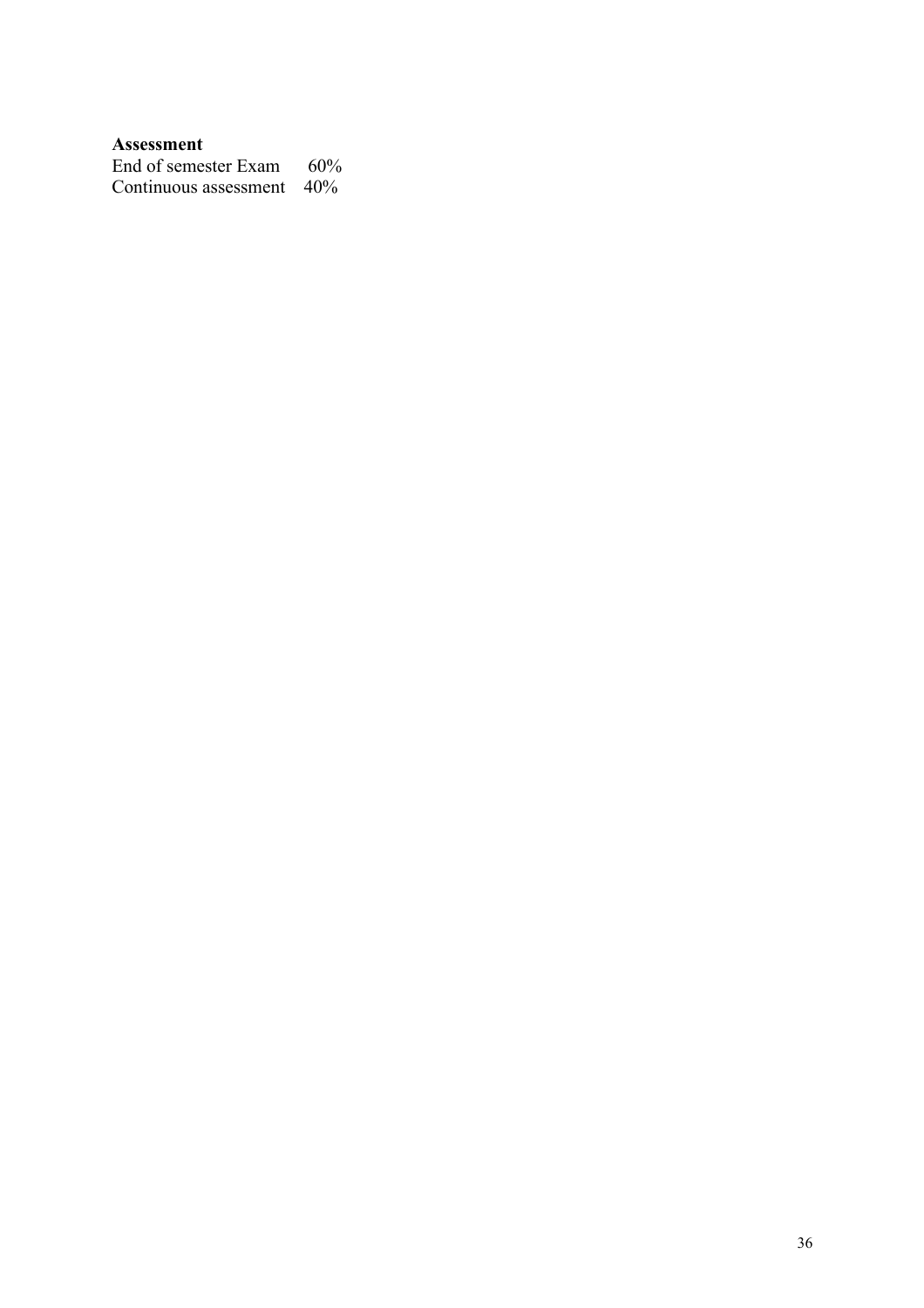#### **Assessment**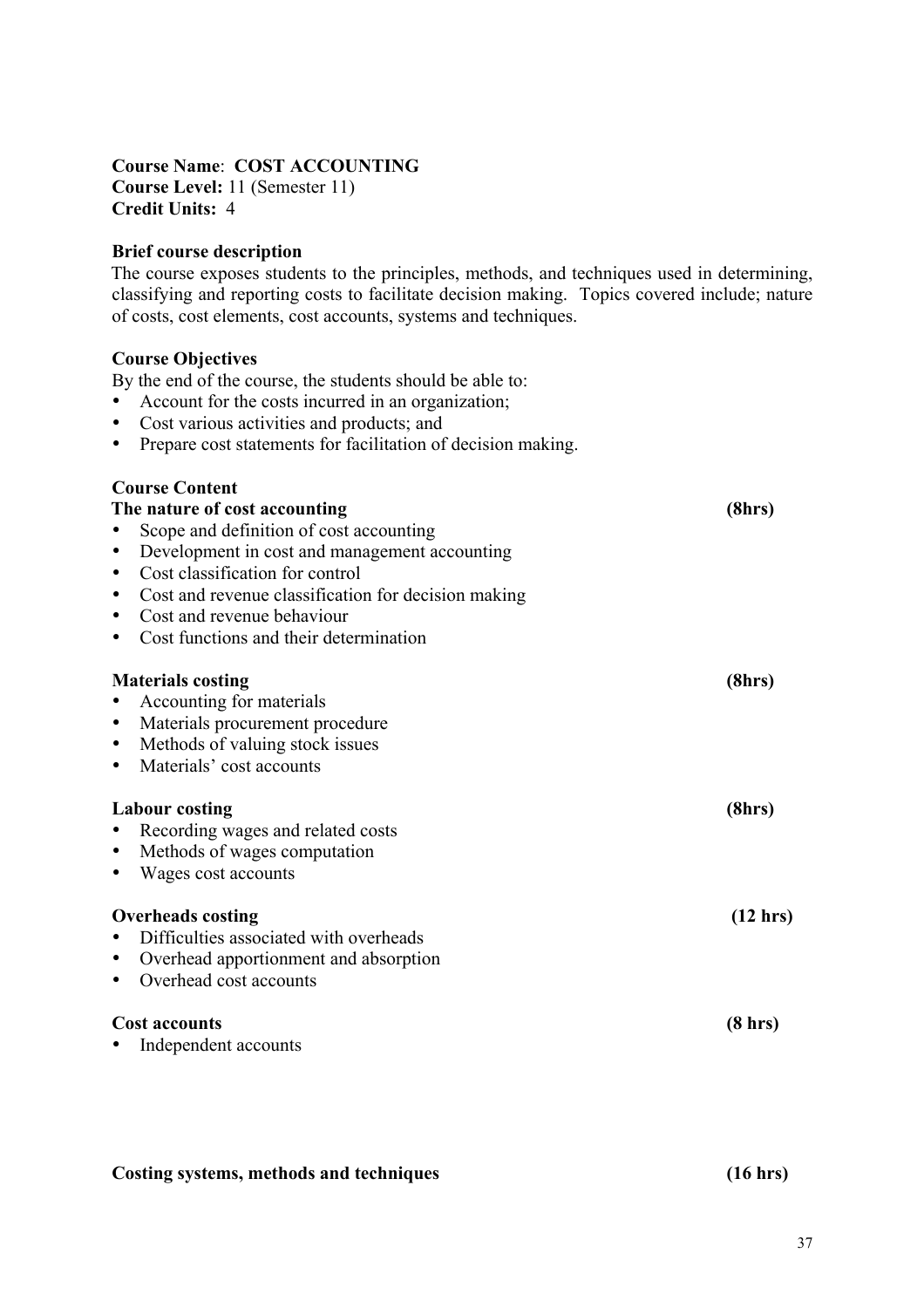**Course Name**: **COST ACCOUNTING Course Level:** 11 (Semester 11) **Credit Units:** 4

#### **Brief course description**

The course exposes students to the principles, methods, and techniques used in determining, classifying and reporting costs to facilitate decision making. Topics covered include; nature of costs, cost elements, cost accounts, systems and techniques.

#### **Course Objectives**

By the end of the course, the students should be able to:

- Account for the costs incurred in an organization;
- Cost various activities and products; and
- Prepare cost statements for facilitation of decision making.

| <b>Course Content</b>                               |                    |
|-----------------------------------------------------|--------------------|
| The nature of cost accounting                       | (8hrs)             |
| Scope and definition of cost accounting             |                    |
| Development in cost and management accounting       |                    |
| Cost classification for control                     |                    |
| Cost and revenue classification for decision making |                    |
| Cost and revenue behaviour                          |                    |
| Cost functions and their determination              |                    |
| <b>Materials costing</b>                            | (8hrs)             |
| Accounting for materials                            |                    |
| Materials procurement procedure<br>$\bullet$        |                    |
| Methods of valuing stock issues                     |                    |
| Materials' cost accounts                            |                    |
| <b>Labour costing</b>                               |                    |
| Recording wages and related costs                   | (8hrs)             |
| Methods of wages computation                        |                    |
| Wages cost accounts                                 |                    |
|                                                     |                    |
| <b>Overheads costing</b>                            | $(12 \text{ hrs})$ |
| Difficulties associated with overheads              |                    |
| Overhead apportionment and absorption               |                    |
| Overhead cost accounts                              |                    |
| <b>Cost accounts</b>                                |                    |
| Independent accounts                                | $(8 \text{ hrs})$  |
|                                                     |                    |

#### **Costing systems, methods and techniques (16 hrs)**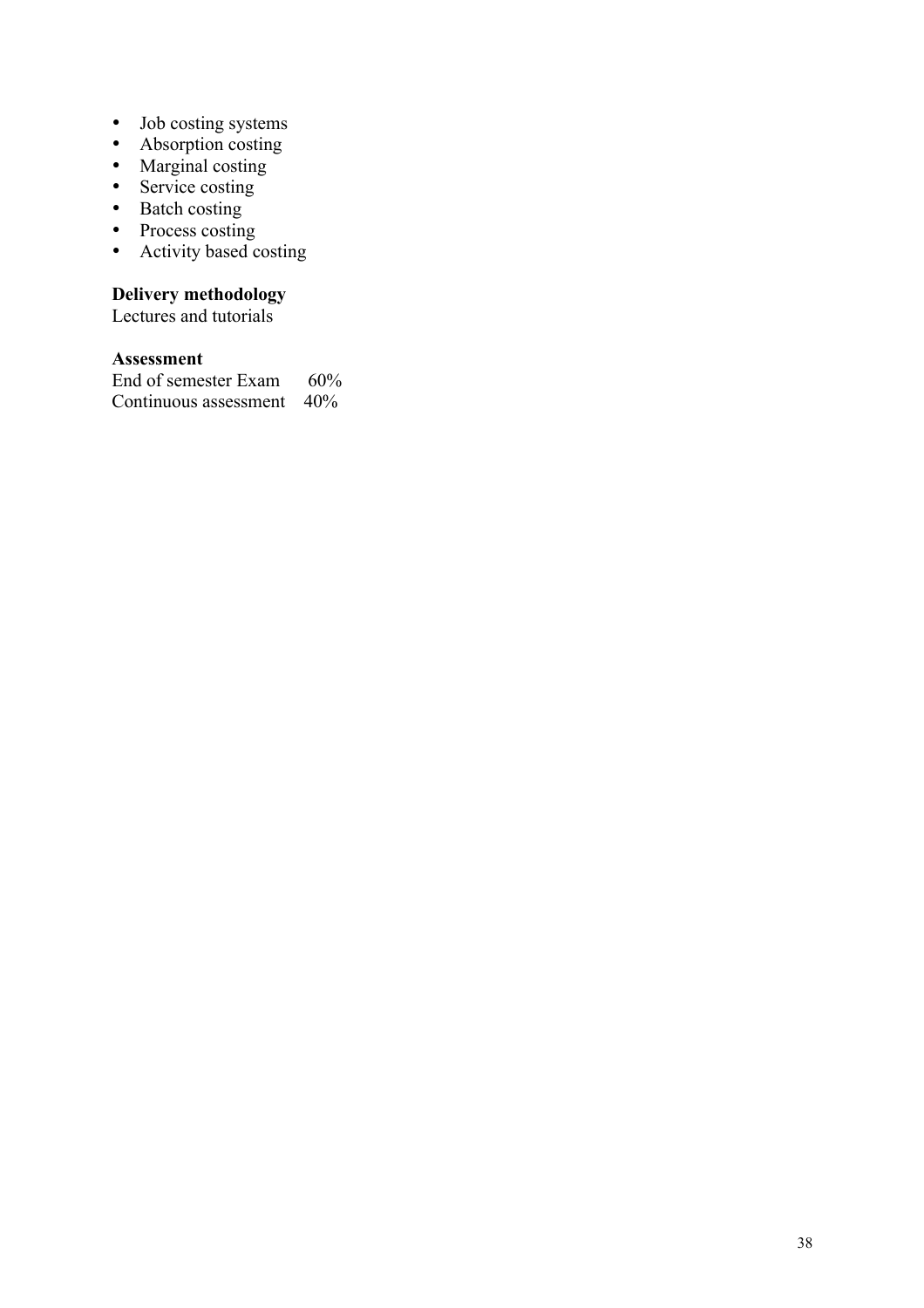- Job costing systems
- Absorption costing
- Marginal costing
- Service costing
- Batch costing
- Process costing
- Activity based costing

#### **Delivery methodology**

Lectures and tutorials

#### **Assessment**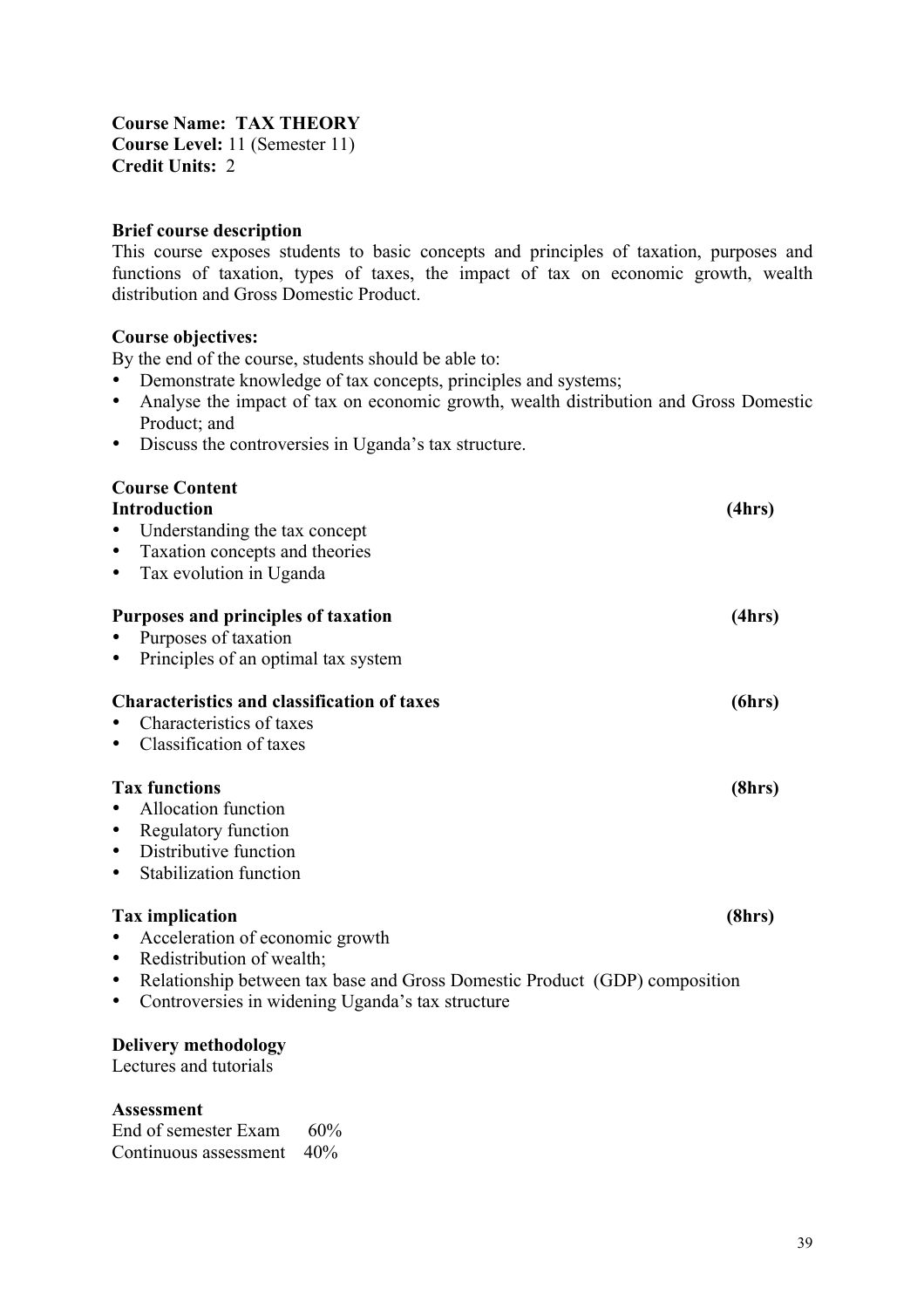**Course Name: TAX THEORY Course Level:** 11 (Semester 11) **Credit Units:** 2

#### **Brief course description**

This course exposes students to basic concepts and principles of taxation, purposes and functions of taxation, types of taxes, the impact of tax on economic growth, wealth distribution and Gross Domestic Product.

#### **Course objectives:**

By the end of the course, students should be able to:

- Demonstrate knowledge of tax concepts, principles and systems;
- Analyse the impact of tax on economic growth, wealth distribution and Gross Domestic Product; and
- Discuss the controversies in Uganda's tax structure.

# **Course Content**

| <b>Introduction</b>                                                        | (4hrs) |
|----------------------------------------------------------------------------|--------|
| Understanding the tax concept                                              |        |
| Taxation concepts and theories                                             |        |
| Tax evolution in Uganda                                                    |        |
| Purposes and principles of taxation                                        | (4hrs) |
| Purposes of taxation                                                       |        |
| Principles of an optimal tax system                                        |        |
| <b>Characteristics and classification of taxes</b>                         | (6hrs) |
| Characteristics of taxes                                                   |        |
| Classification of taxes                                                    |        |
| <b>Tax functions</b>                                                       | (8hrs) |
| Allocation function                                                        |        |
| Regulatory function                                                        |        |
| Distributive function                                                      |        |
| Stabilization function                                                     |        |
| <b>Tax implication</b>                                                     | (8hrs) |
| Acceleration of economic growth                                            |        |
| Redistribution of wealth;                                                  |        |
| Relationship between tax base and Gross Domestic Product (GDP) composition |        |
| Controversies in widening Uganda's tax structure<br>٠                      |        |
| <b>Delivery methodology</b>                                                |        |

Lectures and tutorials

#### **Assessment**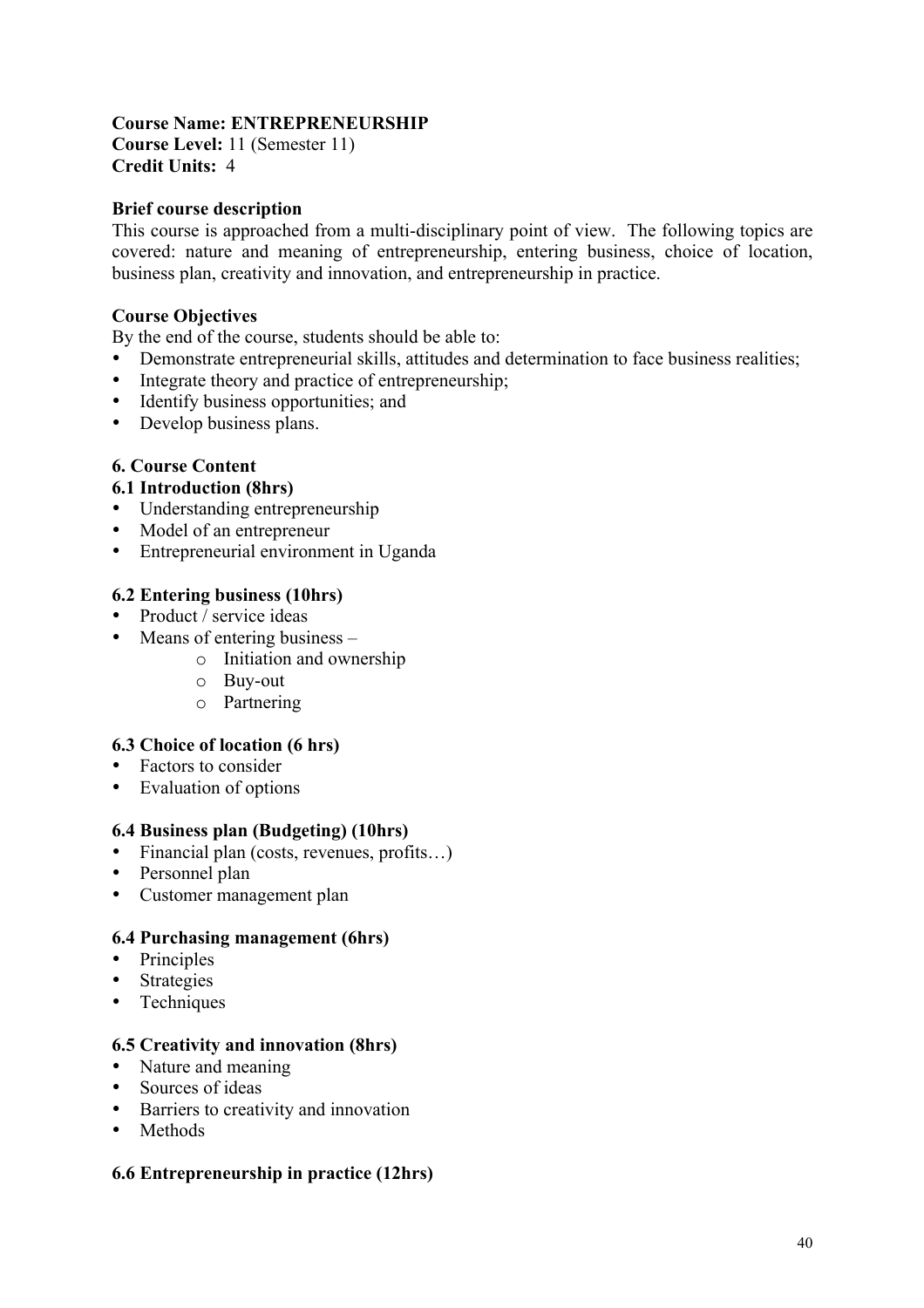## **Course Name: ENTREPRENEURSHIP**

**Course Level:** 11 (Semester 11) **Credit Units:** 4

#### **Brief course description**

This course is approached from a multi-disciplinary point of view. The following topics are covered: nature and meaning of entrepreneurship, entering business, choice of location, business plan, creativity and innovation, and entrepreneurship in practice.

#### **Course Objectives**

By the end of the course, students should be able to:

- Demonstrate entrepreneurial skills, attitudes and determination to face business realities;
- Integrate theory and practice of entrepreneurship;
- Identify business opportunities; and
- Develop business plans.

#### **6. Course Content**

#### **6.1 Introduction (8hrs)**

- Understanding entrepreneurship
- Model of an entrepreneur
- Entrepreneurial environment in Uganda

#### **6.2 Entering business (10hrs)**

- Product / service ideas
- Means of entering business
	- o Initiation and ownership
	- o Buy-out
	- o Partnering

#### **6.3 Choice of location (6 hrs)**

- Factors to consider
- Evaluation of options

#### **6.4 Business plan (Budgeting) (10hrs)**

- Financial plan (costs, revenues, profits...)
- Personnel plan
- Customer management plan

#### **6.4 Purchasing management (6hrs)**

- Principles
- Strategies
- Techniques

#### **6.5 Creativity and innovation (8hrs)**

- Nature and meaning
- Sources of ideas
- Barriers to creativity and innovation
- Methods

#### **6.6 Entrepreneurship in practice (12hrs)**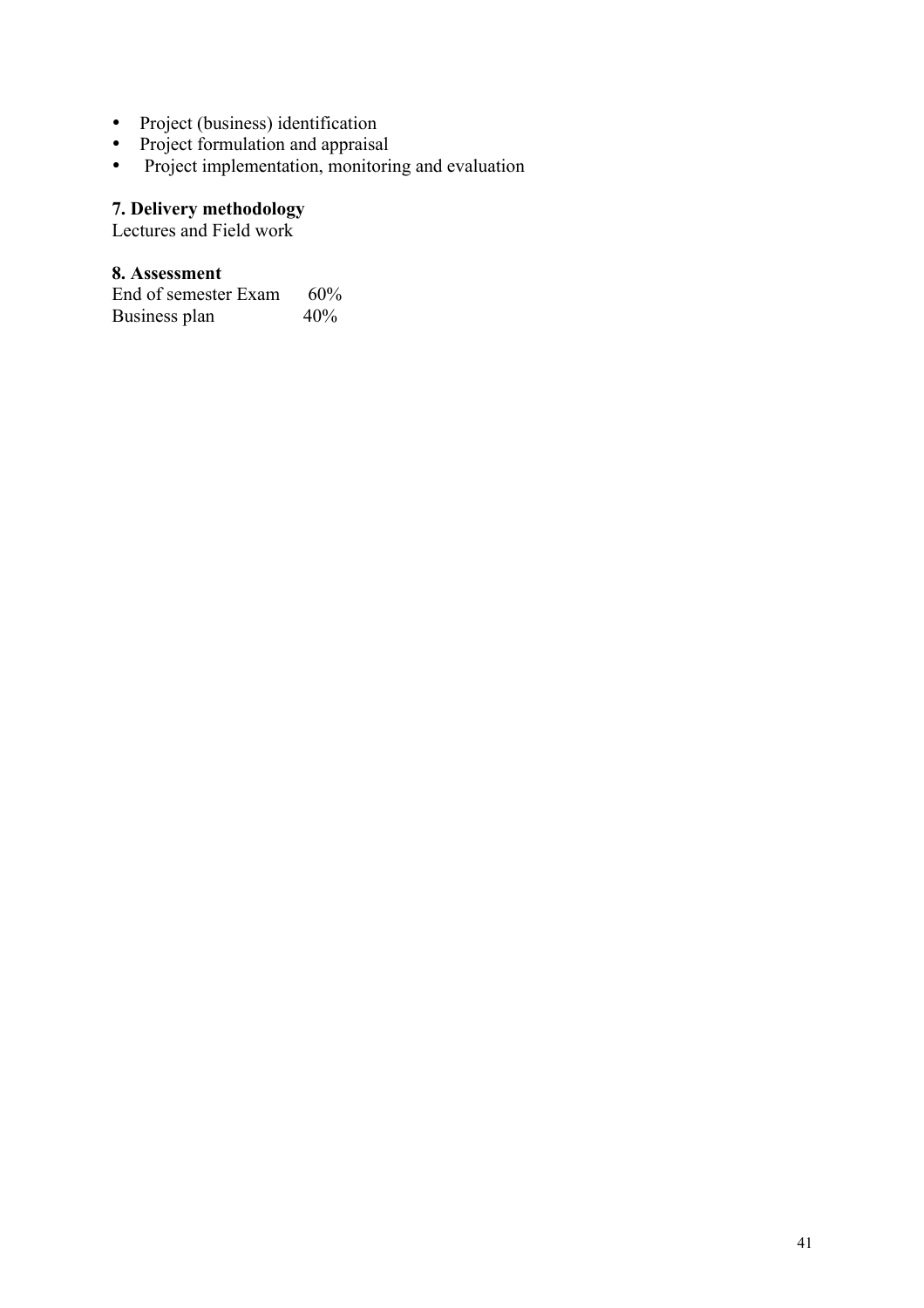- Project (business) identification
- Project formulation and appraisal
- Project implementation, monitoring and evaluation

#### **7. Delivery methodology**

Lectures and Field work

#### **8. Assessment**

End of semester Exam 60%<br>Business plan 40% Business plan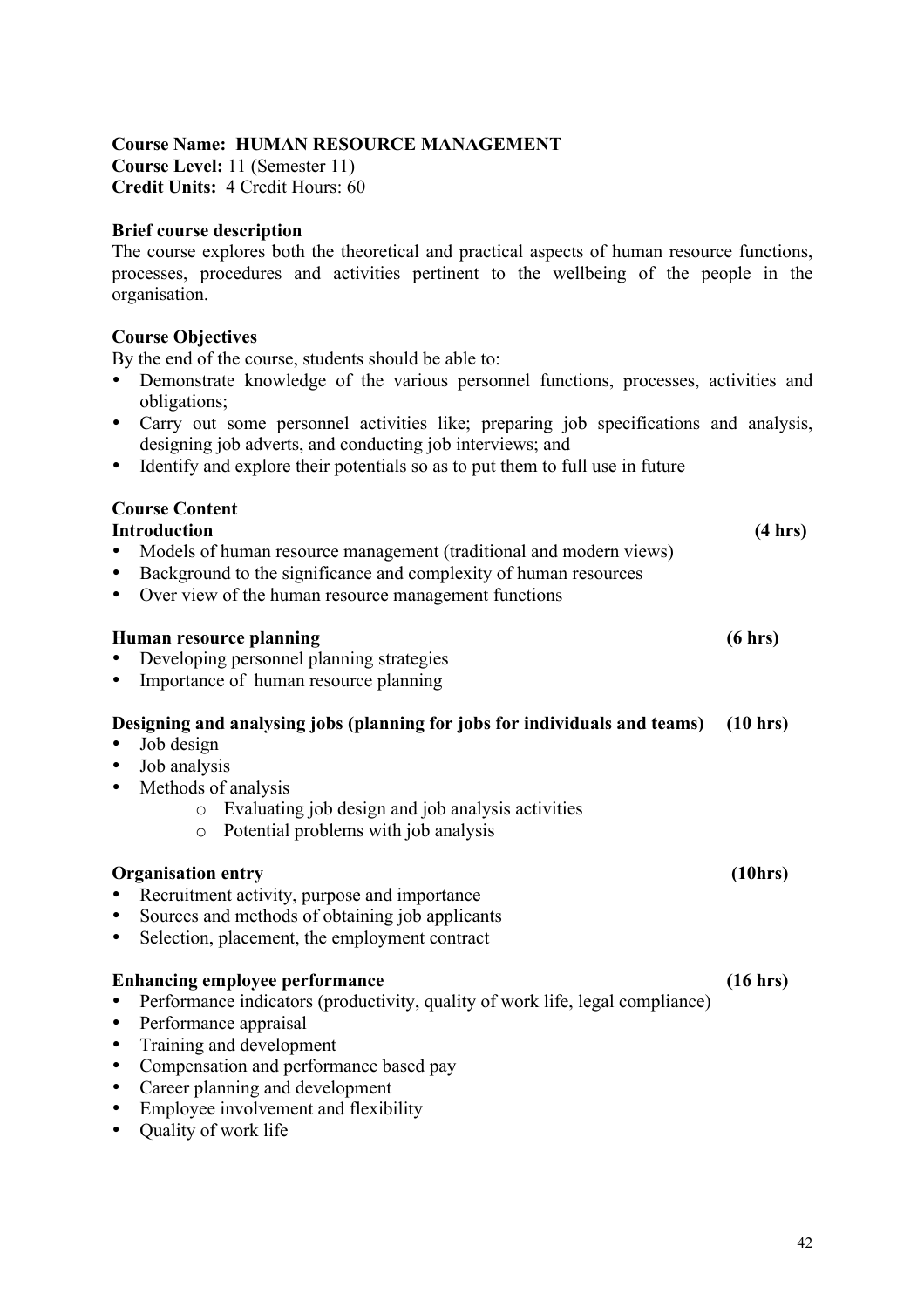#### **Course Name: HUMAN RESOURCE MANAGEMENT**

**Course Level:** 11 (Semester 11) **Credit Units:** 4 Credit Hours: 60

#### **Brief course description**

The course explores both the theoretical and practical aspects of human resource functions, processes, procedures and activities pertinent to the wellbeing of the people in the organisation.

### **Course Objectives**

By the end of the course, students should be able to:

- Demonstrate knowledge of the various personnel functions, processes, activities and obligations;
- Carry out some personnel activities like; preparing job specifications and analysis, designing job adverts, and conducting job interviews; and
- Identify and explore their potentials so as to put them to full use in future

### **Course Content**

| <b>Introduction</b><br>Models of human resource management (traditional and modern views)<br>Background to the significance and complexity of human resources<br>Over view of the human resource management functions<br>٠                                                                                                                   | (4 hrs)  |
|----------------------------------------------------------------------------------------------------------------------------------------------------------------------------------------------------------------------------------------------------------------------------------------------------------------------------------------------|----------|
| Human resource planning<br>Developing personnel planning strategies<br>Importance of human resource planning                                                                                                                                                                                                                                 | (6 hrs)  |
| Designing and analysing jobs (planning for jobs for individuals and teams)<br>Job design<br>Job analysis<br>Methods of analysis<br>Evaluating job design and job analysis activities<br>$\circ$<br>Potential problems with job analysis<br>$\circ$                                                                                           | (10 hrs) |
| <b>Organisation entry</b><br>Recruitment activity, purpose and importance<br>Sources and methods of obtaining job applicants<br>Selection, placement, the employment contract                                                                                                                                                                | (10hrs)  |
| <b>Enhancing employee performance</b><br>Performance indicators (productivity, quality of work life, legal compliance)<br>Performance appraisal<br>٠<br>Training and development<br>Compensation and performance based pay<br>٠<br>Career planning and development<br>٠<br>Employee involvement and flexibility<br>٠<br>Quality of work life | (16 hrs) |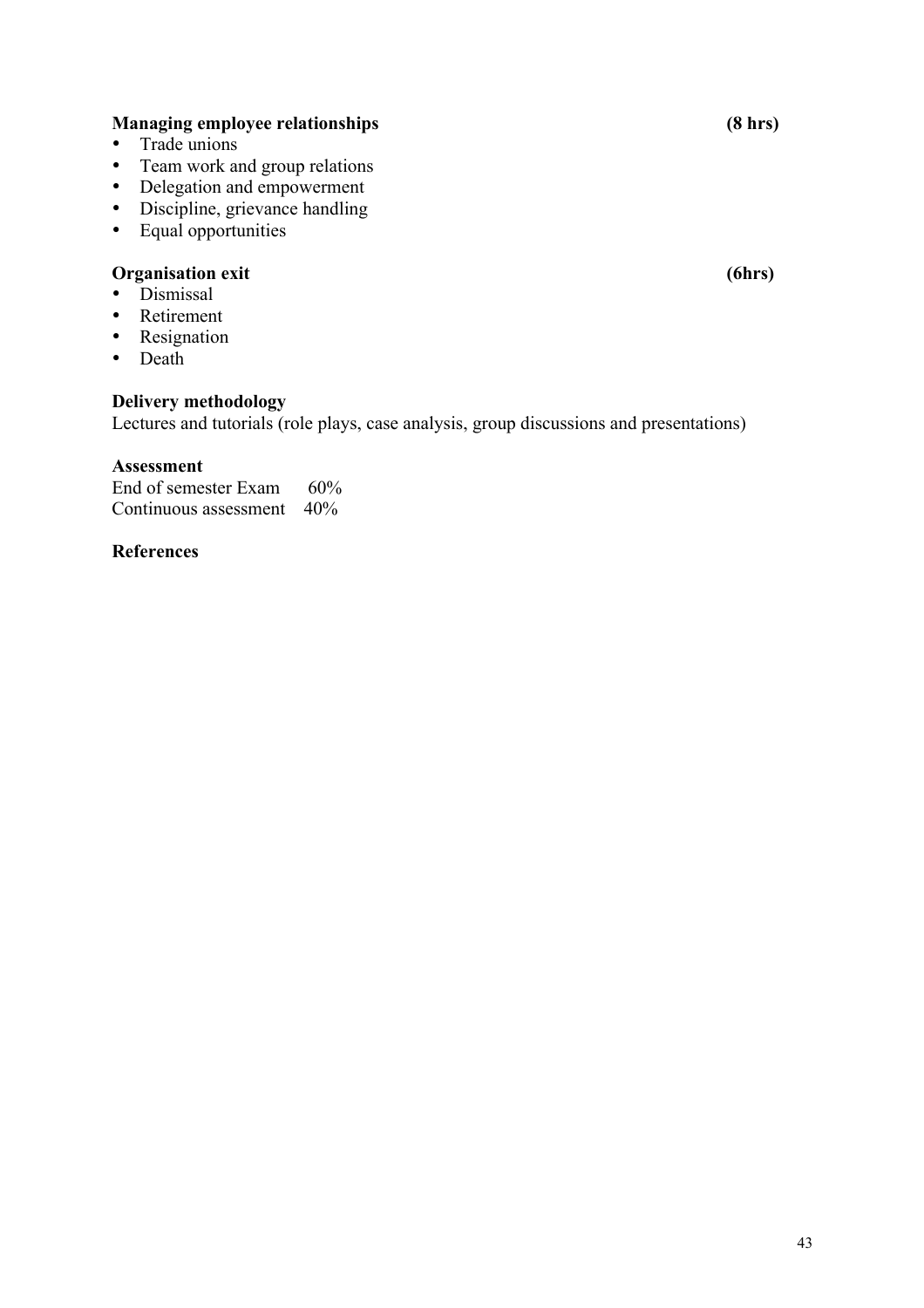#### **Managing employee relationships (8 hrs)**

- Trade unions
- Team work and group relations
- Delegation and empowerment
- Discipline, grievance handling
- Equal opportunities

#### **Organisation exit (6hrs)**

- Dismissal
- Retirement
- Resignation
- Death

#### **Delivery methodology**

Lectures and tutorials (role plays, case analysis, group discussions and presentations)

#### **Assessment**

End of semester Exam 60% Continuous assessment 40%

#### **References**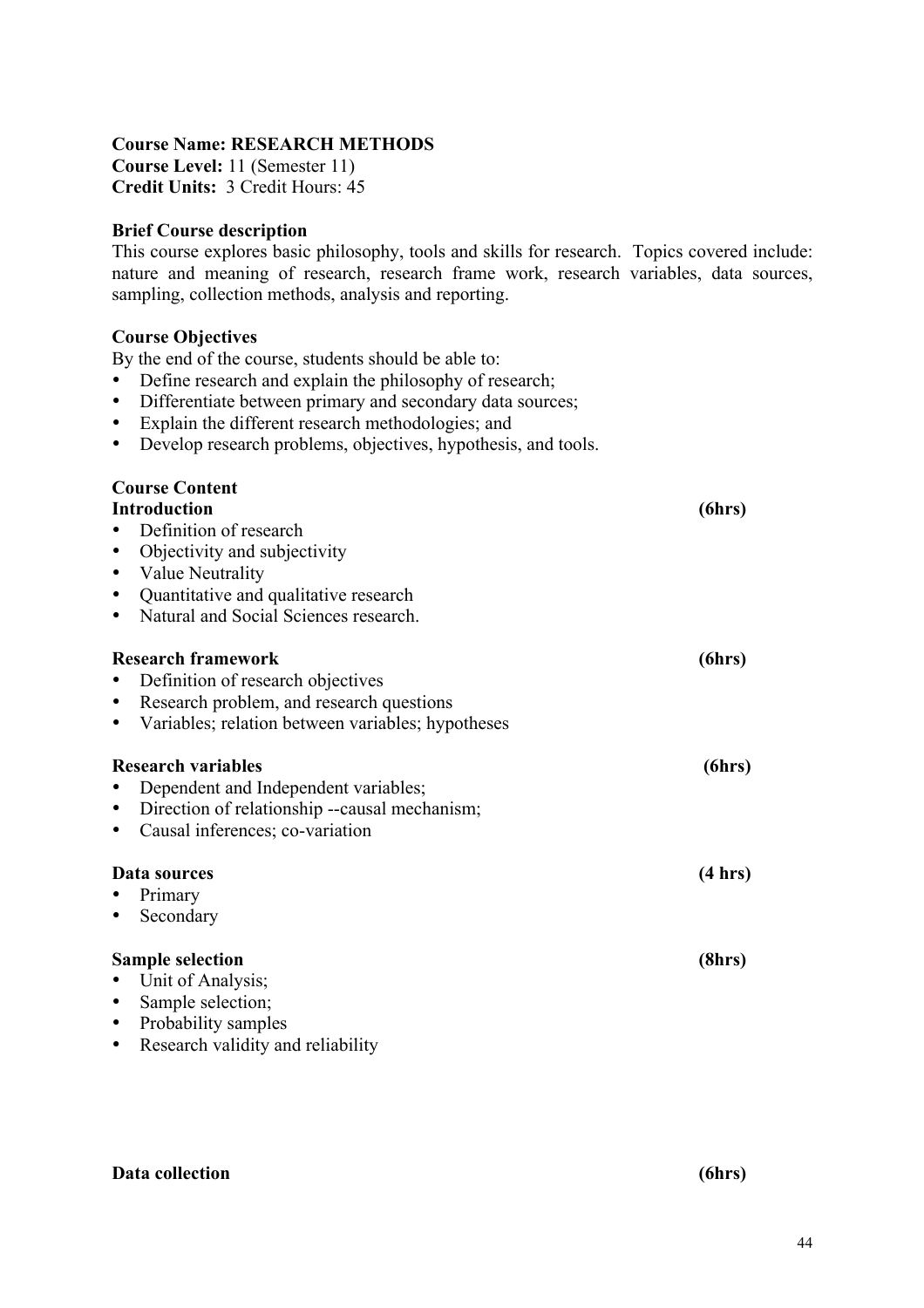#### **Course Name: RESEARCH METHODS**

**Course Level:** 11 (Semester 11) **Credit Units:** 3 Credit Hours: 45

#### **Brief Course description**

This course explores basic philosophy, tools and skills for research. Topics covered include: nature and meaning of research, research frame work, research variables, data sources, sampling, collection methods, analysis and reporting.

#### **Course Objectives**

By the end of the course, students should be able to:

- Define research and explain the philosophy of research;<br>• Differentiate between primary and secondary data source
- Differentiate between primary and secondary data sources;
- Explain the different research methodologies; and
- Develop research problems, objectives, hypothesis, and tools.

# **Course Content**

| <b>Introduction</b>                                | (6hrs)  |
|----------------------------------------------------|---------|
| Definition of research                             |         |
| Objectivity and subjectivity<br>٠                  |         |
| Value Neutrality<br>٠                              |         |
| Quantitative and qualitative research<br>٠         |         |
| Natural and Social Sciences research.<br>٠         |         |
| <b>Research framework</b>                          | (6hrs)  |
| Definition of research objectives                  |         |
| Research problem, and research questions<br>٠      |         |
| Variables; relation between variables; hypotheses  |         |
| <b>Research variables</b>                          | (6hrs)  |
| Dependent and Independent variables;               |         |
| Direction of relationship --causal mechanism;<br>٠ |         |
| Causal inferences; co-variation                    |         |
| Data sources                                       | (4 hrs) |
| Primary                                            |         |
| Secondary                                          |         |
| <b>Sample selection</b>                            | (8hrs)  |
| Unit of Analysis;                                  |         |
| Sample selection;<br>٠                             |         |
| Probability samples<br>٠                           |         |
| Research validity and reliability<br>٠             |         |

#### **Data collection (6hrs)**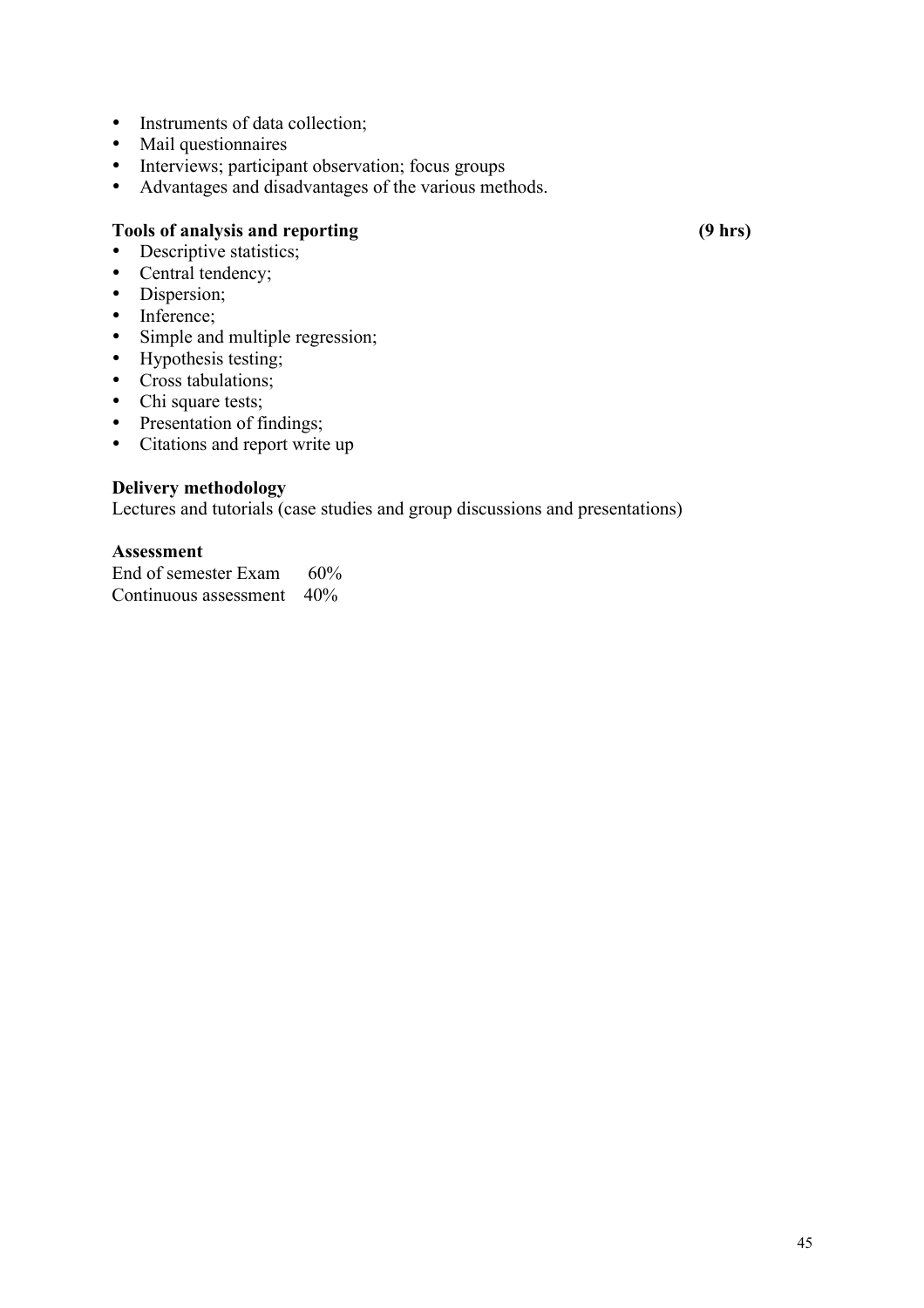- Instruments of data collection;
- Mail questionnaires
- Interviews; participant observation; focus groups
- Advantages and disadvantages of the various methods.

### **Tools of analysis and reporting (9 hrs)**

- Descriptive statistics;
- Central tendency;
- Dispersion;
- Inference;
- Simple and multiple regression;
- Hypothesis testing;
- Cross tabulations;
- Chi square tests;
- Presentation of findings;
- Citations and report write up

#### **Delivery methodology**

Lectures and tutorials (case studies and group discussions and presentations)

#### **Assessment**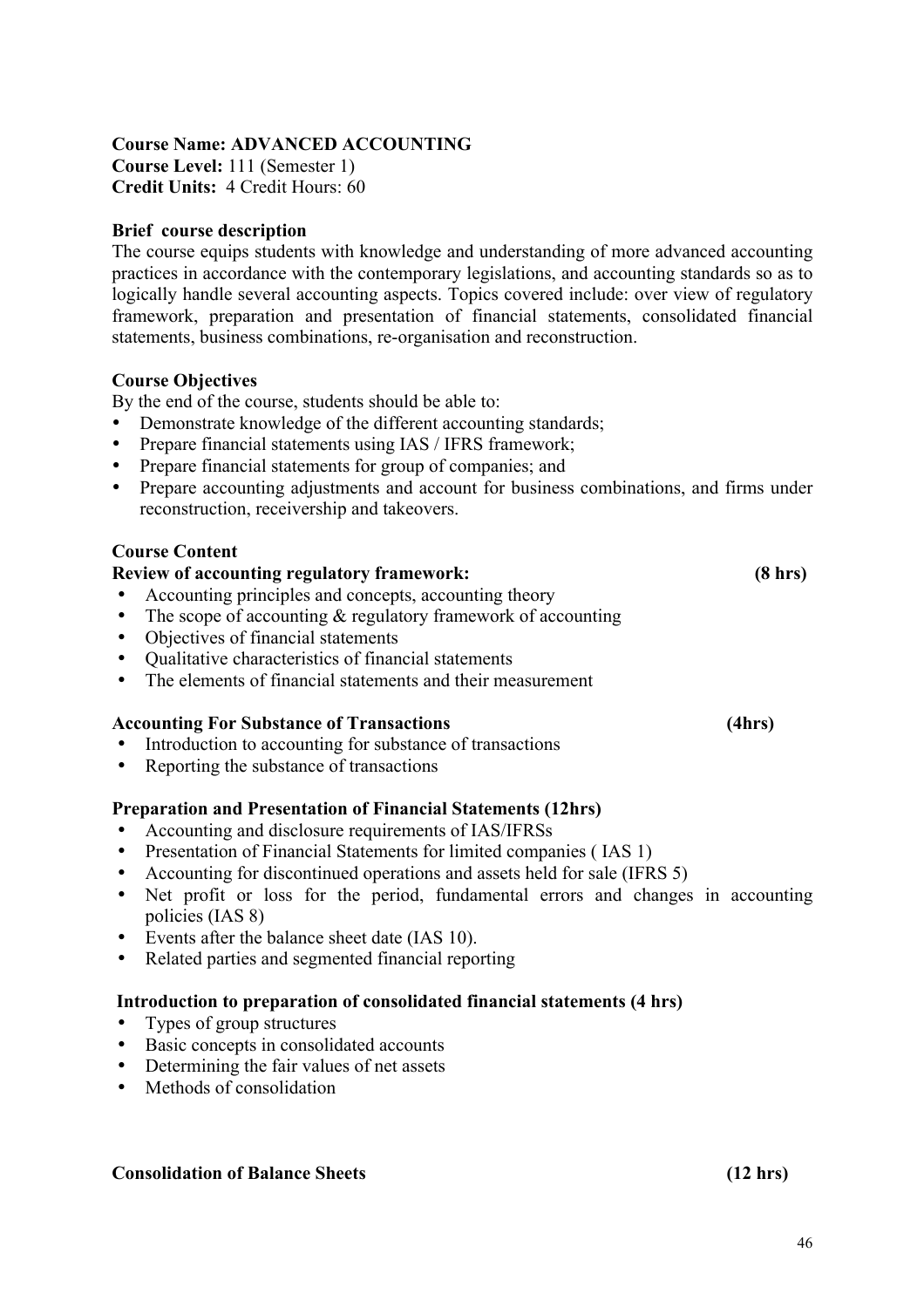# **Course Name: ADVANCED ACCOUNTING Course Level:** 111 (Semester 1)

**Credit Units:** 4 Credit Hours: 60

### **Brief course description**

The course equips students with knowledge and understanding of more advanced accounting practices in accordance with the contemporary legislations, and accounting standards so as to logically handle several accounting aspects. Topics covered include: over view of regulatory framework, preparation and presentation of financial statements, consolidated financial statements, business combinations, re-organisation and reconstruction.

#### **Course Objectives**

By the end of the course, students should be able to:

- Demonstrate knowledge of the different accounting standards;
- Prepare financial statements using IAS / IFRS framework;
- Prepare financial statements for group of companies; and
- Prepare accounting adjustments and account for business combinations, and firms under reconstruction, receivership and takeovers.

#### **Course Content**

#### **Review of accounting regulatory framework: (8 hrs)**

- Accounting principles and concepts, accounting theory
- The scope of accounting  $\&$  regulatory framework of accounting
- Objectives of financial statements<br>• Oualitative characteristics of finan
- Qualitative characteristics of financial statements
- The elements of financial statements and their measurement

#### **Accounting For Substance of Transactions (4hrs)**

- Introduction to accounting for substance of transactions
- Reporting the substance of transactions

#### **Preparation and Presentation of Financial Statements (12hrs)**

- Accounting and disclosure requirements of IAS/IFRSs
- Presentation of Financial Statements for limited companies (IAS 1)
- Accounting for discontinued operations and assets held for sale (IFRS 5)
- Net profit or loss for the period, fundamental errors and changes in accounting policies (IAS 8)
- Events after the balance sheet date (IAS 10).
- Related parties and segmented financial reporting

#### **Introduction to preparation of consolidated financial statements (4 hrs)**

- Types of group structures
- Basic concepts in consolidated accounts
- Determining the fair values of net assets
- Methods of consolidation

## **Consolidation of Balance Sheets (12 hrs)**

46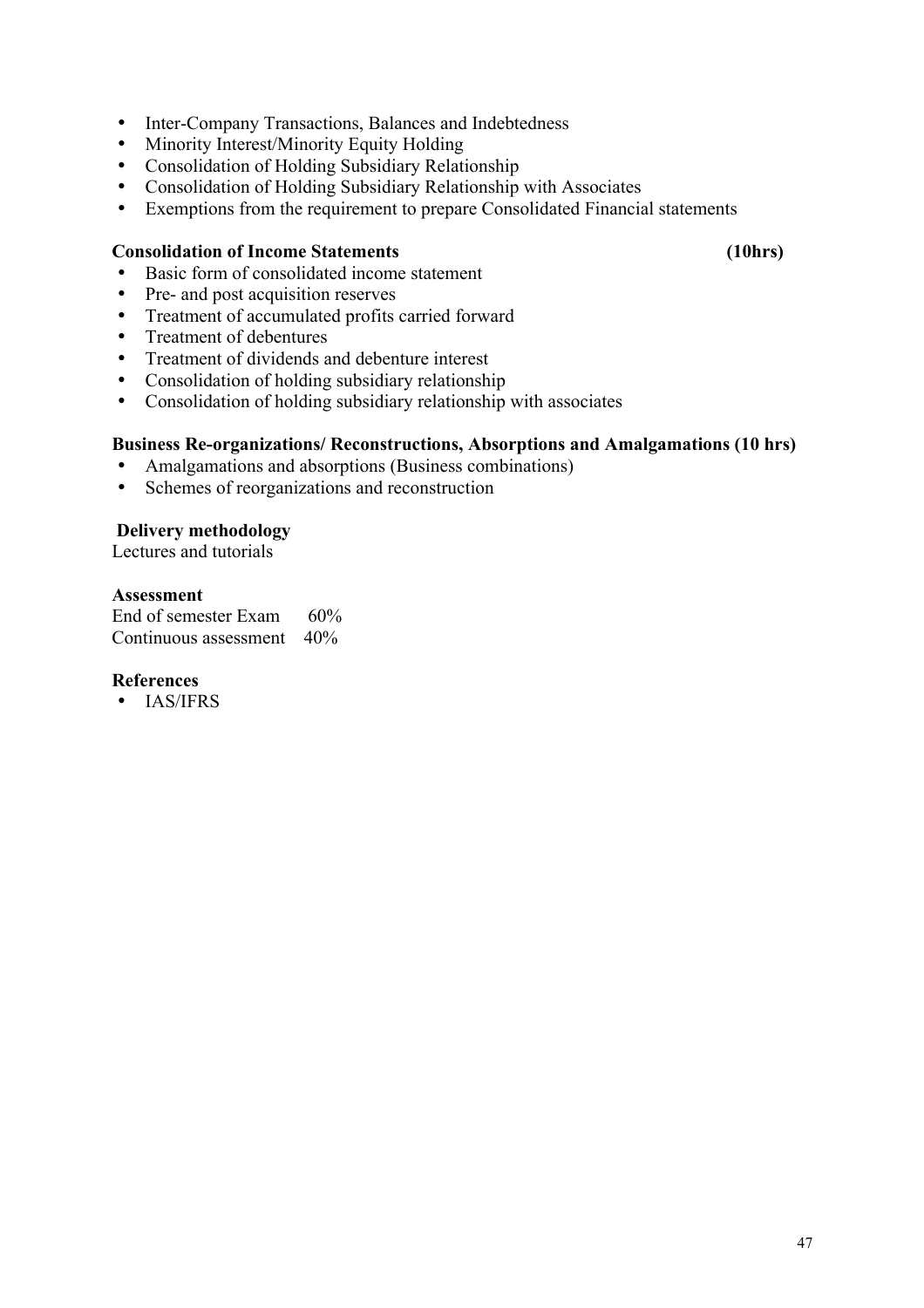- Inter-Company Transactions, Balances and Indebtedness<br>• Minority Interest/Minority Faulty Holding
- Minority Interest/Minority Equity Holding<br>• Consolidation of Holding Subsidiary Relati
- Consolidation of Holding Subsidiary Relationship<br>• Consolidation of Holding Subsidiary Relationship
- Consolidation of Holding Subsidiary Relationship with Associates
- Exemptions from the requirement to prepare Consolidated Financial statements

#### **Consolidation of Income Statements (10hrs)**

- Basic form of consolidated income statement
- Pre- and post acquisition reserves
- Treatment of accumulated profits carried forward<br>• Treatment of debentures
- Treatment of debentures<br>• Treatment of dividends
- Treatment of dividends and debenture interest
- Consolidation of holding subsidiary relationship
- Consolidation of holding subsidiary relationship with associates

#### **Business Re-organizations/ Reconstructions, Absorptions and Amalgamations (10 hrs)**

- Amalgamations and absorptions (Business combinations)
- Schemes of reorganizations and reconstruction

#### **Delivery methodology**

Lectures and tutorials

#### **Assessment**

End of semester Exam 60% Continuous assessment 40%

#### **References**

• IAS/IFRS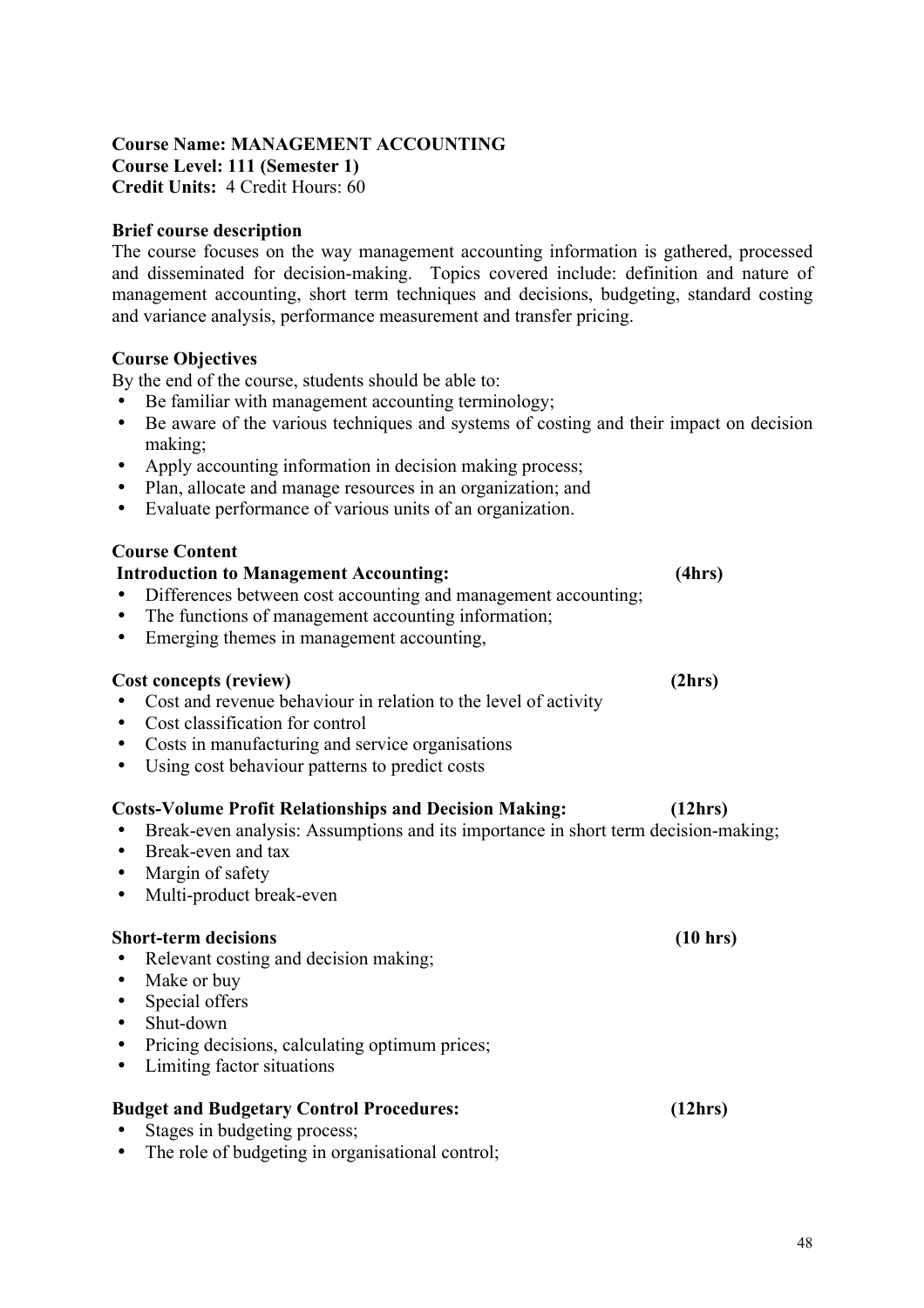#### **Course Name: MANAGEMENT ACCOUNTING Course Level: 111 (Semester 1) Credit Units:** 4 Credit Hours: 60

#### **Brief course description**

The course focuses on the way management accounting information is gathered, processed and disseminated for decision-making. Topics covered include: definition and nature of management accounting, short term techniques and decisions, budgeting, standard costing and variance analysis, performance measurement and transfer pricing.

#### **Course Objectives**

By the end of the course, students should be able to:

- Be familiar with management accounting terminology;
- Be aware of the various techniques and systems of costing and their impact on decision making;
- Apply accounting information in decision making process;
- Plan, allocate and manage resources in an organization; and
- Evaluate performance of various units of an organization.

#### **Course Content**

# **Introduction to Management Accounting: (4hrs)**

- Differences between cost accounting and management accounting;
- The functions of management accounting information;<br>• Emerging themes in management accounting
- Emerging themes in management accounting,

#### **Cost concepts (review) (2hrs)**

- Cost and revenue behaviour in relation to the level of activity
- Cost classification for control
- Costs in manufacturing and service organisations
- Using cost behaviour patterns to predict costs

#### **Costs-Volume Profit Relationships and Decision Making: (12hrs)**

- Break-even analysis: Assumptions and its importance in short term decision-making;
- Break-even and tax
- Margin of safety
- Multi-product break-even

#### **Short-term decisions (10 hrs)**

- Relevant costing and decision making;
- Make or buy
- Special offers
- Shut-down
- Pricing decisions, calculating optimum prices;
- Limiting factor situations

#### **Budget and Budgetary Control Procedures: (12hrs)**

- Stages in budgeting process;
- The role of budgeting in organisational control;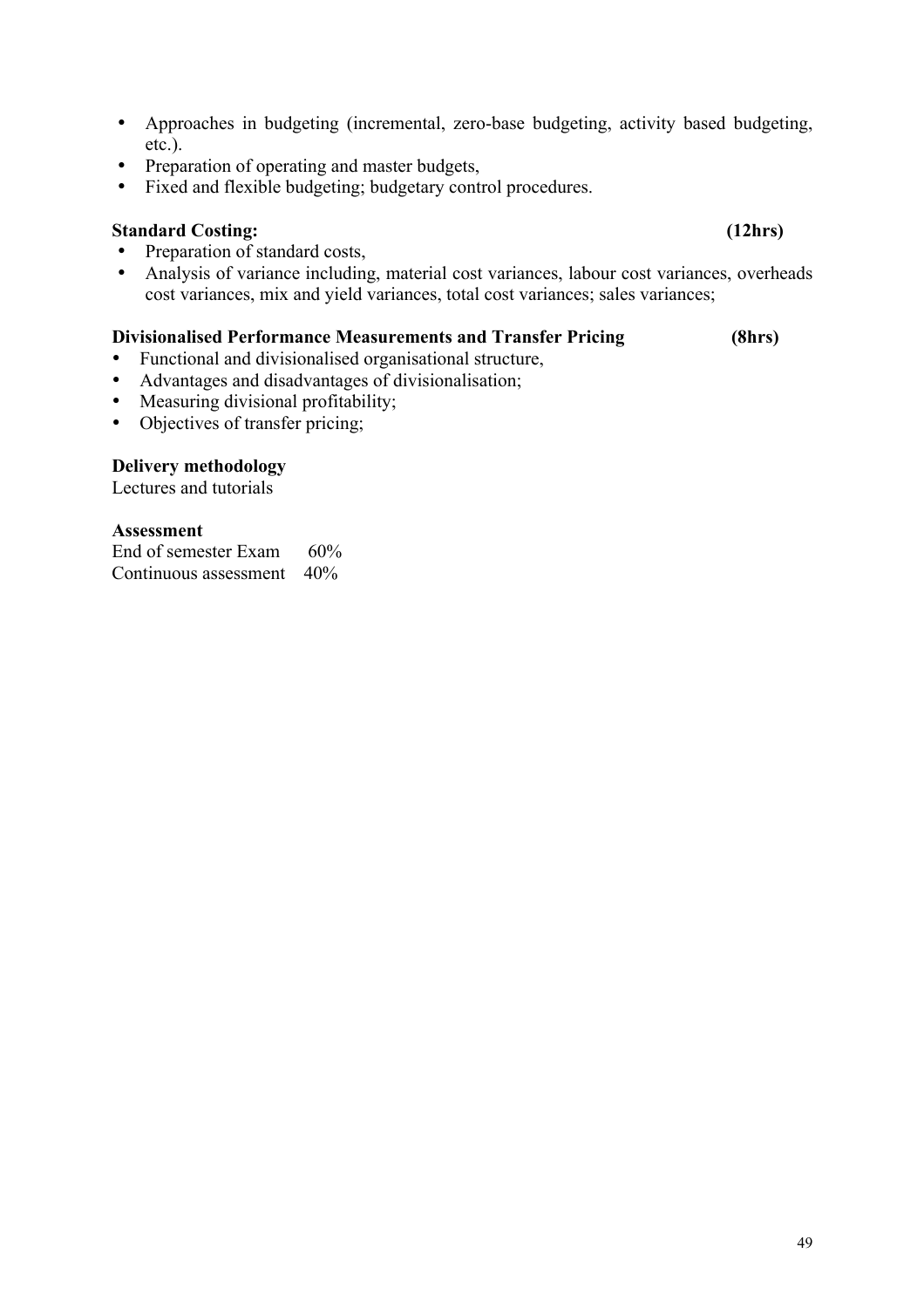- Approaches in budgeting (incremental, zero-base budgeting, activity based budgeting, etc.).
- Preparation of operating and master budgets,<br>• Fixed and flexible budgeting: budgetary conti
- Fixed and flexible budgeting; budgetary control procedures.

### **Standard Costing: (12hrs)**

- Preparation of standard costs,<br>• Analysis of variance including
- Analysis of variance including, material cost variances, labour cost variances, overheads cost variances, mix and yield variances, total cost variances; sales variances;

#### **Divisionalised Performance Measurements and Transfer Pricing (8hrs)**

- Functional and divisionalised organisational structure,
- Advantages and disadvantages of divisionalisation;<br>• Measuring divisional profitability:
- Measuring divisional profitability;
- Objectives of transfer pricing;

#### **Delivery methodology**

Lectures and tutorials

#### **Assessment**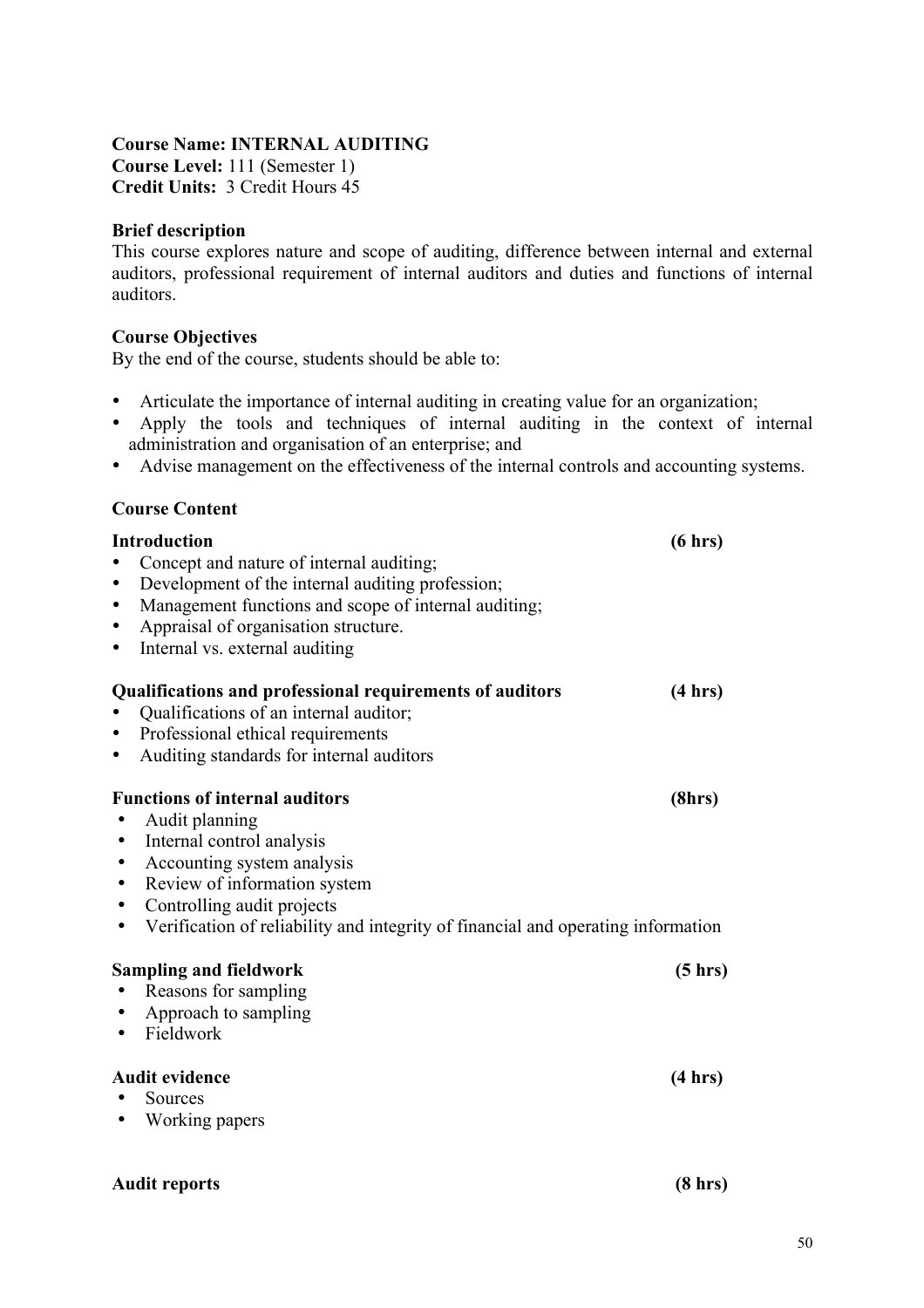#### **Course Name: INTERNAL AUDITING**

**Course Level:** 111 (Semester 1) **Credit Units:** 3 Credit Hours 45

#### **Brief description**

This course explores nature and scope of auditing, difference between internal and external auditors, professional requirement of internal auditors and duties and functions of internal auditors.

#### **Course Objectives**

By the end of the course, students should be able to:

- Articulate the importance of internal auditing in creating value for an organization;
- Apply the tools and techniques of internal auditing in the context of internal administration and organisation of an enterprise; and
- Advise management on the effectiveness of the internal controls and accounting systems.

#### **Course Content**

| <b>Introduction</b><br>Concept and nature of internal auditing;<br>Development of the internal auditing profession;<br>$\bullet$<br>Management functions and scope of internal auditing;<br>٠<br>Appraisal of organisation structure.<br>٠<br>Internal vs. external auditing<br>$\bullet$ | (6 hrs) |
|-------------------------------------------------------------------------------------------------------------------------------------------------------------------------------------------------------------------------------------------------------------------------------------------|---------|
| Qualifications and professional requirements of auditors<br>Qualifications of an internal auditor;<br>Professional ethical requirements<br>$\bullet$<br>Auditing standards for internal auditors<br>٠                                                                                     | (4 hrs) |
| <b>Functions of internal auditors</b><br>Audit planning<br>Internal control analysis<br>٠<br>Accounting system analysis<br>Review of information system<br>٠<br>Controlling audit projects<br>٠<br>Verification of reliability and integrity of financial and operating information<br>٠  | (8hrs)  |
| <b>Sampling and fieldwork</b><br>Reasons for sampling<br>Approach to sampling<br>Fieldwork<br>$\bullet$                                                                                                                                                                                   | (5 hrs) |
| <b>Audit evidence</b><br>Sources<br>Working papers<br>٠                                                                                                                                                                                                                                   | (4 hrs) |
| <b>Audit reports</b>                                                                                                                                                                                                                                                                      | (8 hr)  |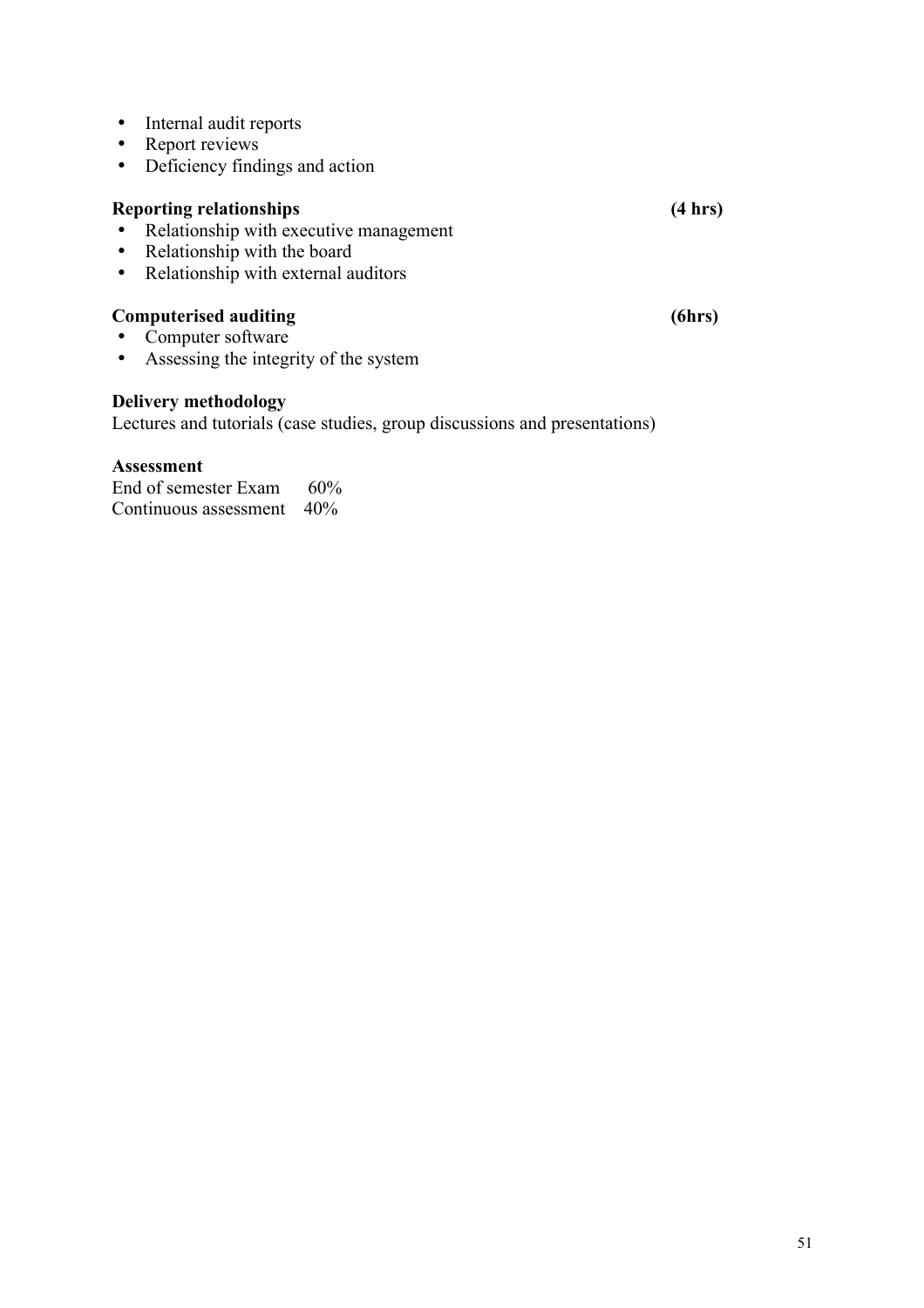- Internal audit reports
- Report reviews<br>• Deficiency find
- Deficiency findings and action

# **Reporting relationships (4 hrs)**

- Relationship with executive management<br>• Relationship with the board
- Relationship with the board<br>• Relationship with external a
- Relationship with external auditors

# **Computerised auditing (6hrs)** (6hrs)

- Computer software<br>• Assessing the integr
- Assessing the integrity of the system

#### **Delivery methodology**

Lectures and tutorials (case studies, group discussions and presentations)

#### **Assessment**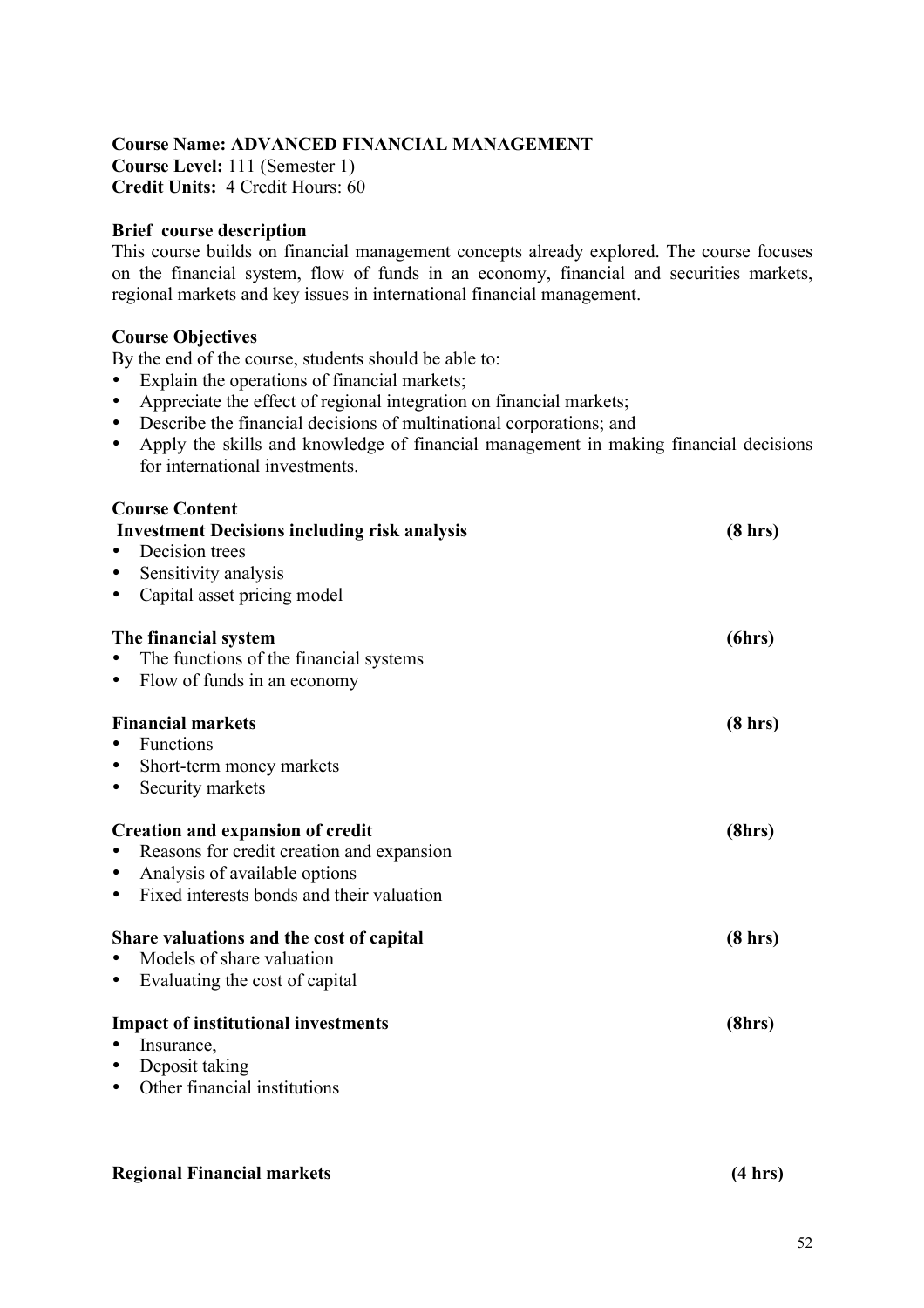#### **Course Name: ADVANCED FINANCIAL MANAGEMENT**

**Course Level:** 111 (Semester 1) **Credit Units:** 4 Credit Hours: 60

#### **Brief course description**

This course builds on financial management concepts already explored. The course focuses on the financial system, flow of funds in an economy, financial and securities markets, regional markets and key issues in international financial management.

#### **Course Objectives**

By the end of the course, students should be able to:

- Explain the operations of financial markets;
- Appreciate the effect of regional integration on financial markets;
- Describe the financial decisions of multinational corporations; and
- Apply the skills and knowledge of financial management in making financial decisions for international investments.

|           | <b>Course Content</b>                               |                   |
|-----------|-----------------------------------------------------|-------------------|
|           | <b>Investment Decisions including risk analysis</b> | $(8 \text{ hrs})$ |
|           | Decision trees                                      |                   |
|           | Sensitivity analysis                                |                   |
| ٠         | Capital asset pricing model                         |                   |
|           | The financial system                                | (6hrs)            |
|           | The functions of the financial systems              |                   |
| $\bullet$ | Flow of funds in an economy                         |                   |
|           |                                                     |                   |
|           | <b>Financial markets</b>                            | $(8 \text{ hrs})$ |
|           | Functions                                           |                   |
| ٠         | Short-term money markets                            |                   |
| $\bullet$ | Security markets                                    |                   |
|           | <b>Creation and expansion of credit</b>             | (8hrs)            |
|           | Reasons for credit creation and expansion           |                   |
| ٠         | Analysis of available options                       |                   |
| ٠         | Fixed interests bonds and their valuation           |                   |
|           |                                                     |                   |
|           | Share valuations and the cost of capital            | $(8 \text{ hrs})$ |
|           | Models of share valuation                           |                   |
| ٠         | Evaluating the cost of capital                      |                   |
|           | <b>Impact of institutional investments</b>          | (8hrs)            |
|           | Insurance,                                          |                   |
| ٠         | Deposit taking                                      |                   |
| ٠         | Other financial institutions                        |                   |
|           |                                                     |                   |
|           |                                                     |                   |

#### **Regional Financial markets (4 hrs)**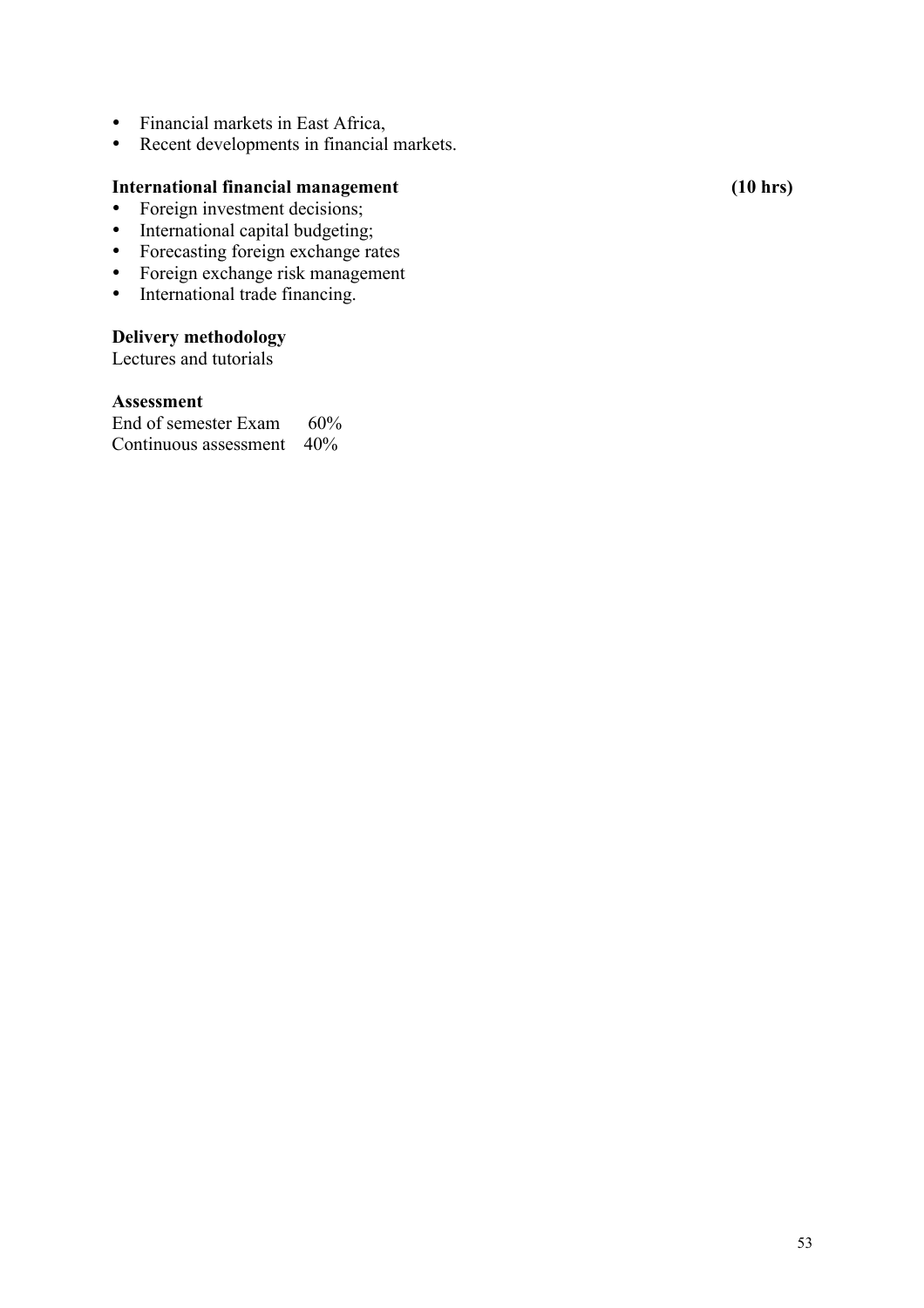- Financial markets in East Africa,
- Recent developments in financial markets.

### **International financial management** (10 hrs)

- Foreign investment decisions;
- International capital budgeting;
- Forecasting foreign exchange rates
- Foreign exchange risk management
- International trade financing.

#### **Delivery methodology**

Lectures and tutorials

#### **Assessment**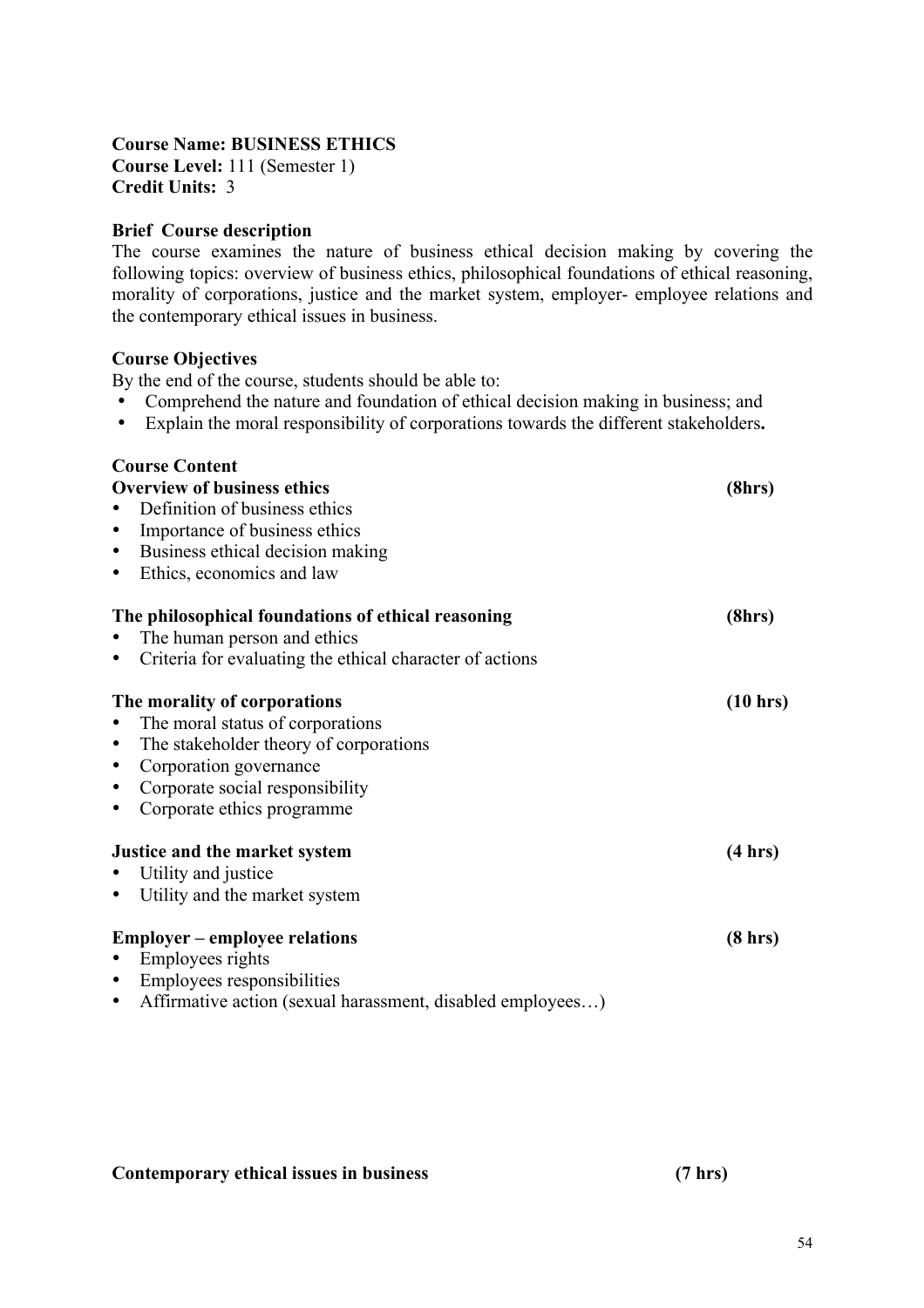# **Course Name: BUSINESS ETHICS**

**Course Level:** 111 (Semester 1) **Credit Units:** 3

### **Brief Course description**

The course examines the nature of business ethical decision making by covering the following topics: overview of business ethics, philosophical foundations of ethical reasoning, morality of corporations, justice and the market system, employer- employee relations and the contemporary ethical issues in business.

#### **Course Objectives**

By the end of the course, students should be able to:

- Comprehend the nature and foundation of ethical decision making in business; and
- Explain the moral responsibility of corporations towards the different stakeholders**.**

| <b>Course Content</b>                                                   |                   |
|-------------------------------------------------------------------------|-------------------|
| <b>Overview of business ethics</b>                                      | (8hrs)            |
| Definition of business ethics                                           |                   |
| Importance of business ethics<br>$\bullet$                              |                   |
| Business ethical decision making<br>٠                                   |                   |
| Ethics, economics and law<br>$\bullet$                                  |                   |
| The philosophical foundations of ethical reasoning                      | (8hrs)            |
| The human person and ethics                                             |                   |
| Criteria for evaluating the ethical character of actions                |                   |
| The morality of corporations                                            | (10 hrs)          |
| The moral status of corporations                                        |                   |
| The stakeholder theory of corporations<br>$\bullet$                     |                   |
| Corporation governance<br>$\bullet$                                     |                   |
| Corporate social responsibility<br>$\bullet$                            |                   |
| Corporate ethics programme<br>٠                                         |                   |
| Justice and the market system                                           | (4 hrs)           |
| Utility and justice                                                     |                   |
| Utility and the market system<br>$\bullet$                              |                   |
| <b>Employer – employee relations</b>                                    | $(8 \text{ hrs})$ |
| Employees rights<br>$\bullet$                                           |                   |
| Employees responsibilities<br>$\bullet$                                 |                   |
| Affirmative action (sexual harassment, disabled employees)<br>$\bullet$ |                   |

#### **Contemporary ethical issues in business (7 hrs)**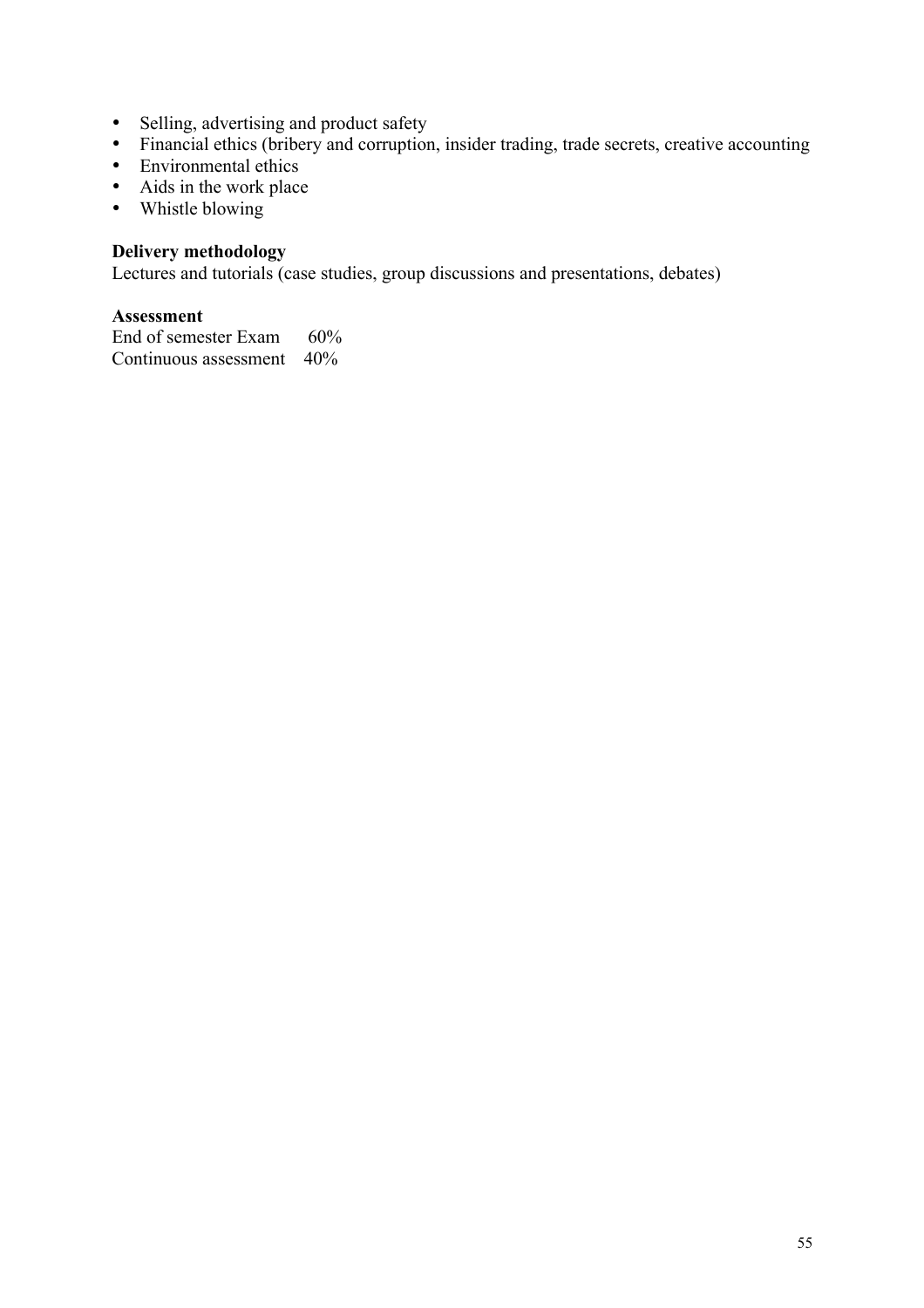- Selling, advertising and product safety
- Financial ethics (bribery and corruption, insider trading, trade secrets, creative accounting
- Environmental ethics
- Aids in the work place
- Whistle blowing

## **Delivery methodology**

Lectures and tutorials (case studies, group discussions and presentations, debates)

### **Assessment**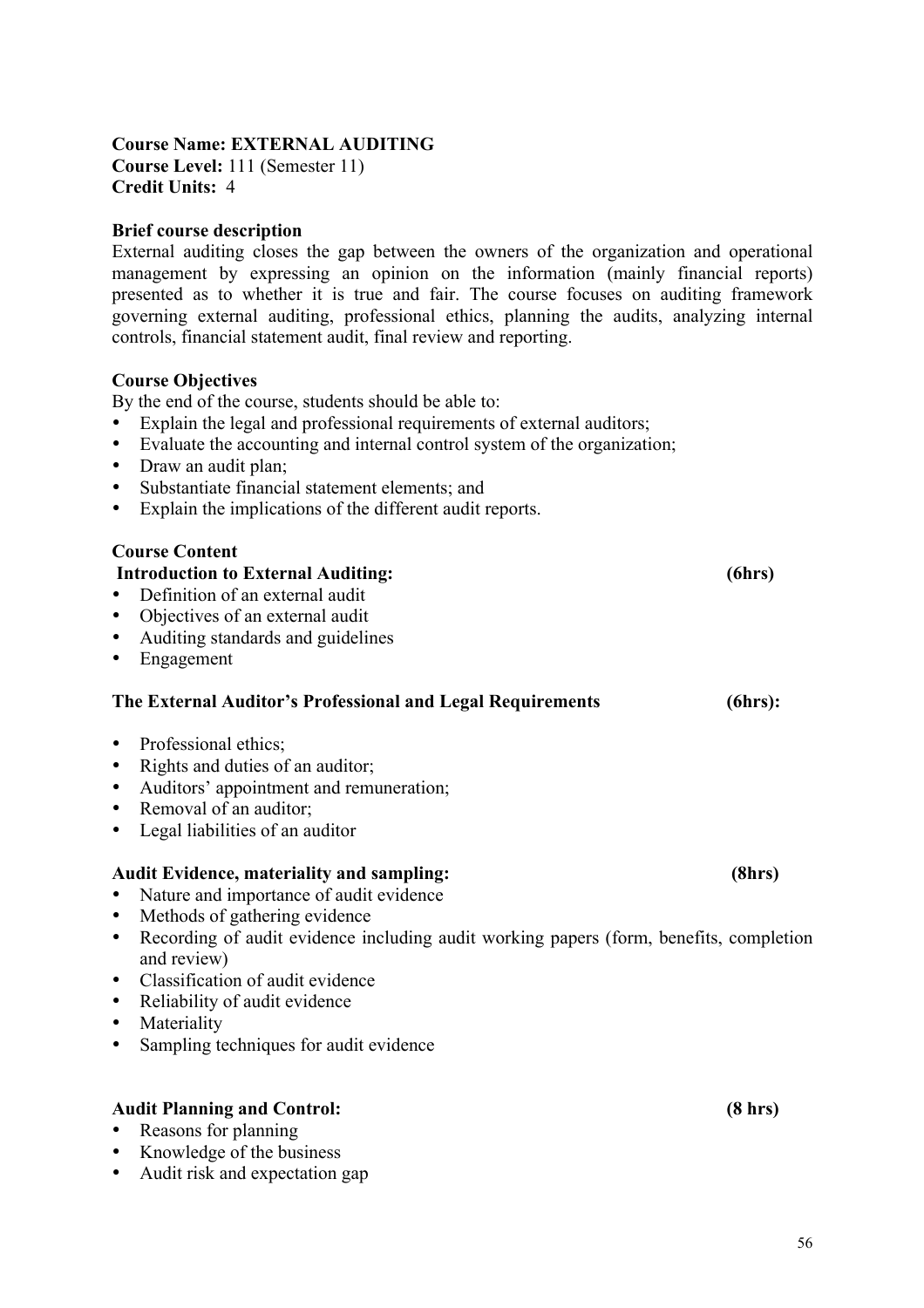#### **Course Name: EXTERNAL AUDITING Course Level:** 111 (Semester 11) **Credit Units:** 4

#### **Brief course description**

External auditing closes the gap between the owners of the organization and operational management by expressing an opinion on the information (mainly financial reports) presented as to whether it is true and fair. The course focuses on auditing framework governing external auditing, professional ethics, planning the audits, analyzing internal controls, financial statement audit, final review and reporting.

#### **Course Objectives**

By the end of the course, students should be able to:

- Explain the legal and professional requirements of external auditors;
- Evaluate the accounting and internal control system of the organization;
- Draw an audit plan:
- Substantiate financial statement elements; and
- Explain the implications of the different audit reports.

#### **Course Content**

# • Definition of an external audit • Objectives of an external audit • Auditing standards and guidelines • Engagement

 **Introduction to External Auditing: (6hrs)**

#### **The External Auditor's Professional and Legal Requirements (6hrs):**

- Professional ethics;
- Rights and duties of an auditor;
- Auditors' appointment and remuneration;
- Removal of an auditor:
- Legal liabilities of an auditor

#### **Audit Evidence, materiality and sampling: (8hrs)**

- Nature and importance of audit evidence
- Methods of gathering evidence
- Recording of audit evidence including audit working papers (form, benefits, completion and review)
- Classification of audit evidence
- Reliability of audit evidence
- Materiality
- Sampling techniques for audit evidence

#### **Audit Planning and Control: (8 hrs)**

- Reasons for planning
- Knowledge of the business
- Audit risk and expectation gap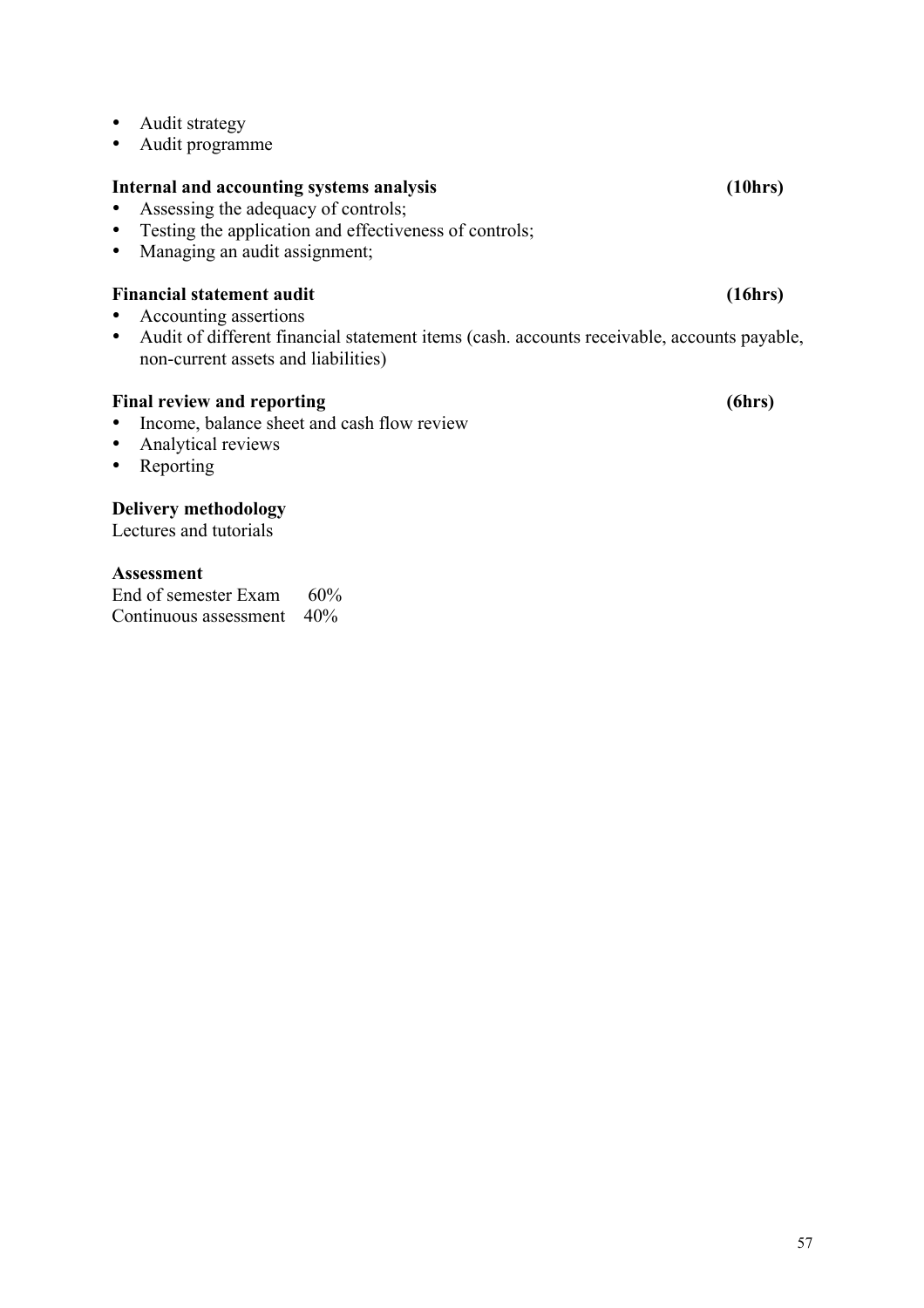- Audit strategy
- Audit programme

## **Internal and accounting systems analysis (10hrs)**

- Assessing the adequacy of controls;<br>• Testing the application and effective
- Testing the application and effectiveness of controls;<br>• Managing an audit assignment:
- Managing an audit assignment;

# Financial statement audit (16hrs)

- Accounting assertions
- Audit of different financial statement items (cash. accounts receivable, accounts payable, non-current assets and liabilities)

# Final review and reporting (6hrs)

- Income, balance sheet and cash flow review<br>• Analytical reviews
- Analytical reviews
- Reporting

# **Delivery methodology**

Lectures and tutorials

# **Assessment**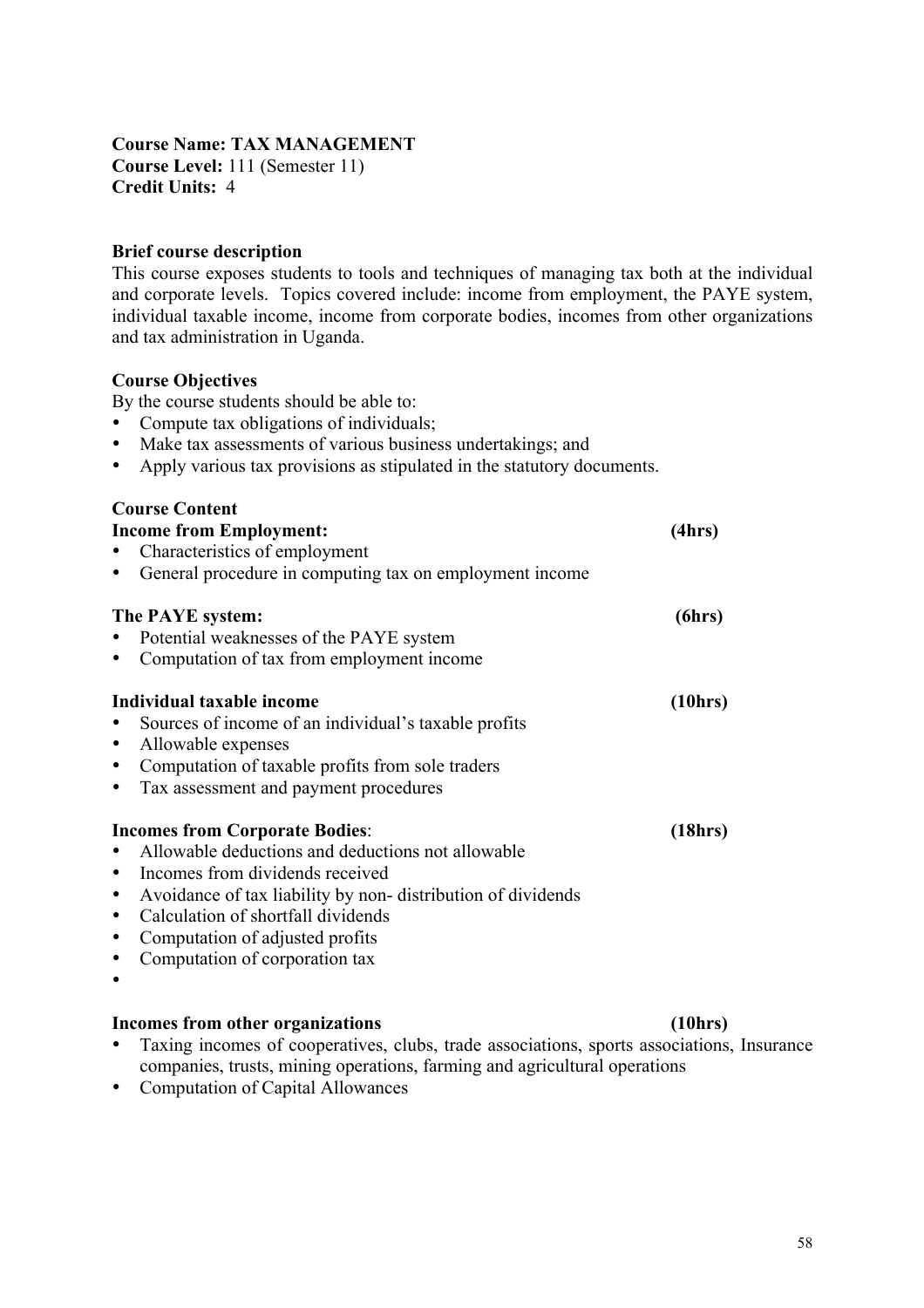#### **Course Name: TAX MANAGEMENT Course Level:** 111 (Semester 11) **Credit Units:** 4

#### **Brief course description**

This course exposes students to tools and techniques of managing tax both at the individual and corporate levels. Topics covered include: income from employment, the PAYE system, individual taxable income, income from corporate bodies, incomes from other organizations and tax administration in Uganda.

#### **Course Objectives**

By the course students should be able to:

- Compute tax obligations of individuals;
- Make tax assessments of various business undertakings; and
- Apply various tax provisions as stipulated in the statutory documents.

#### **Course Content**

| <b>Income from Employment:</b><br>Characteristics of employment                                                                                                                                                                                                                                         | (4hrs)  |
|---------------------------------------------------------------------------------------------------------------------------------------------------------------------------------------------------------------------------------------------------------------------------------------------------------|---------|
| General procedure in computing tax on employment income<br>The PAYE system:<br>Potential weaknesses of the PAYE system<br>Computation of tax from employment income                                                                                                                                     | (6hrs)  |
| Individual taxable income<br>Sources of income of an individual's taxable profits<br>Allowable expenses<br>Computation of taxable profits from sole traders<br>Tax assessment and payment procedures                                                                                                    | (10hrs) |
| <b>Incomes from Corporate Bodies:</b><br>Allowable deductions and deductions not allowable<br>Incomes from dividends received<br>Avoidance of tax liability by non-distribution of dividends<br>Calculation of shortfall dividends<br>Computation of adjusted profits<br>Computation of corporation tax | (18hrs) |

#### **Incomes from other organizations (10hrs)**

- Taxing incomes of cooperatives, clubs, trade associations, sports associations, Insurance companies, trusts, mining operations, farming and agricultural operations
- Computation of Capital Allowances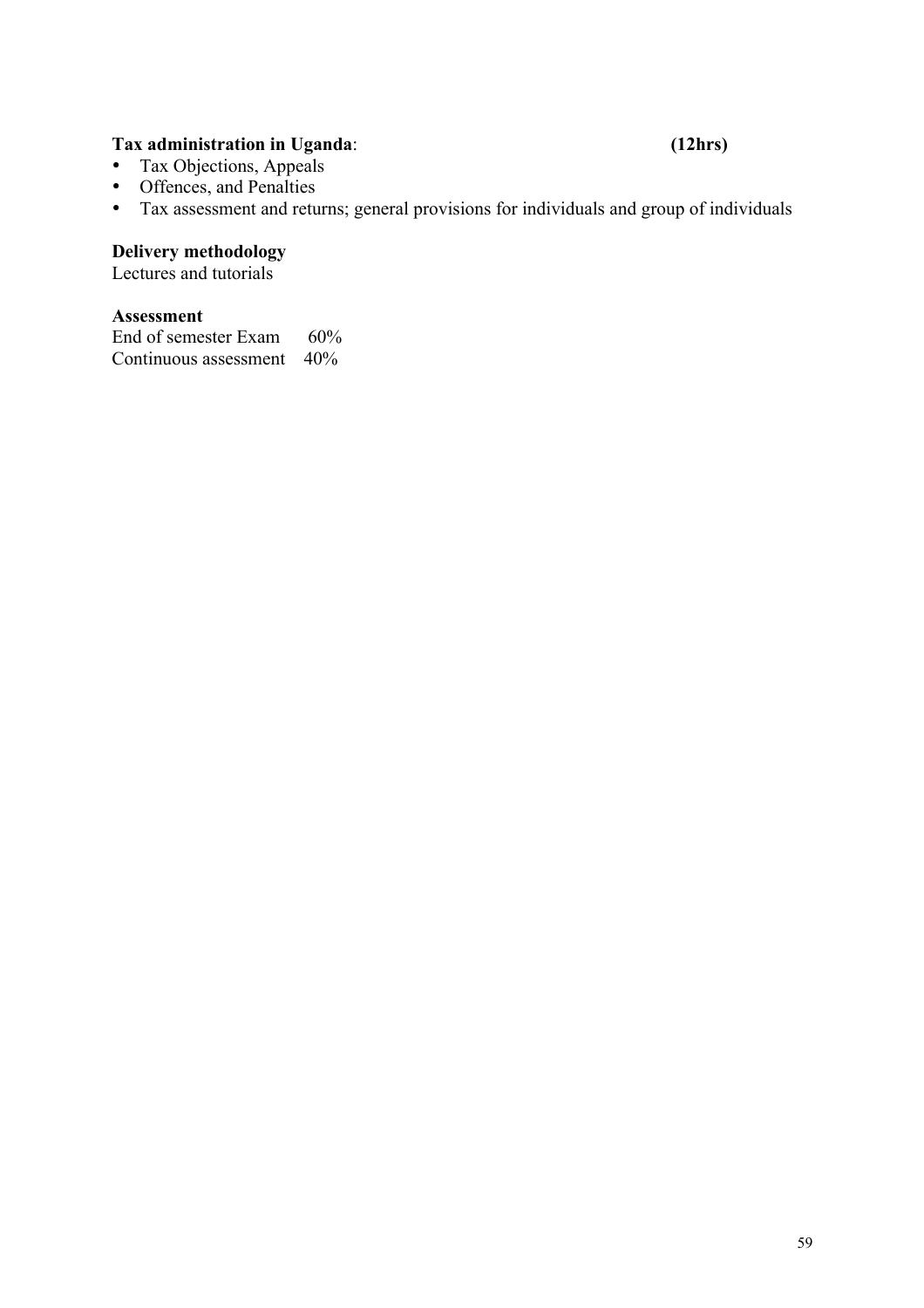#### **Tax administration in Uganda**: **(12hrs)**

- Tax Objections, Appeals
- Offences, and Penalties
- Tax assessment and returns; general provisions for individuals and group of individuals

# **Delivery methodology**

Lectures and tutorials

#### **Assessment**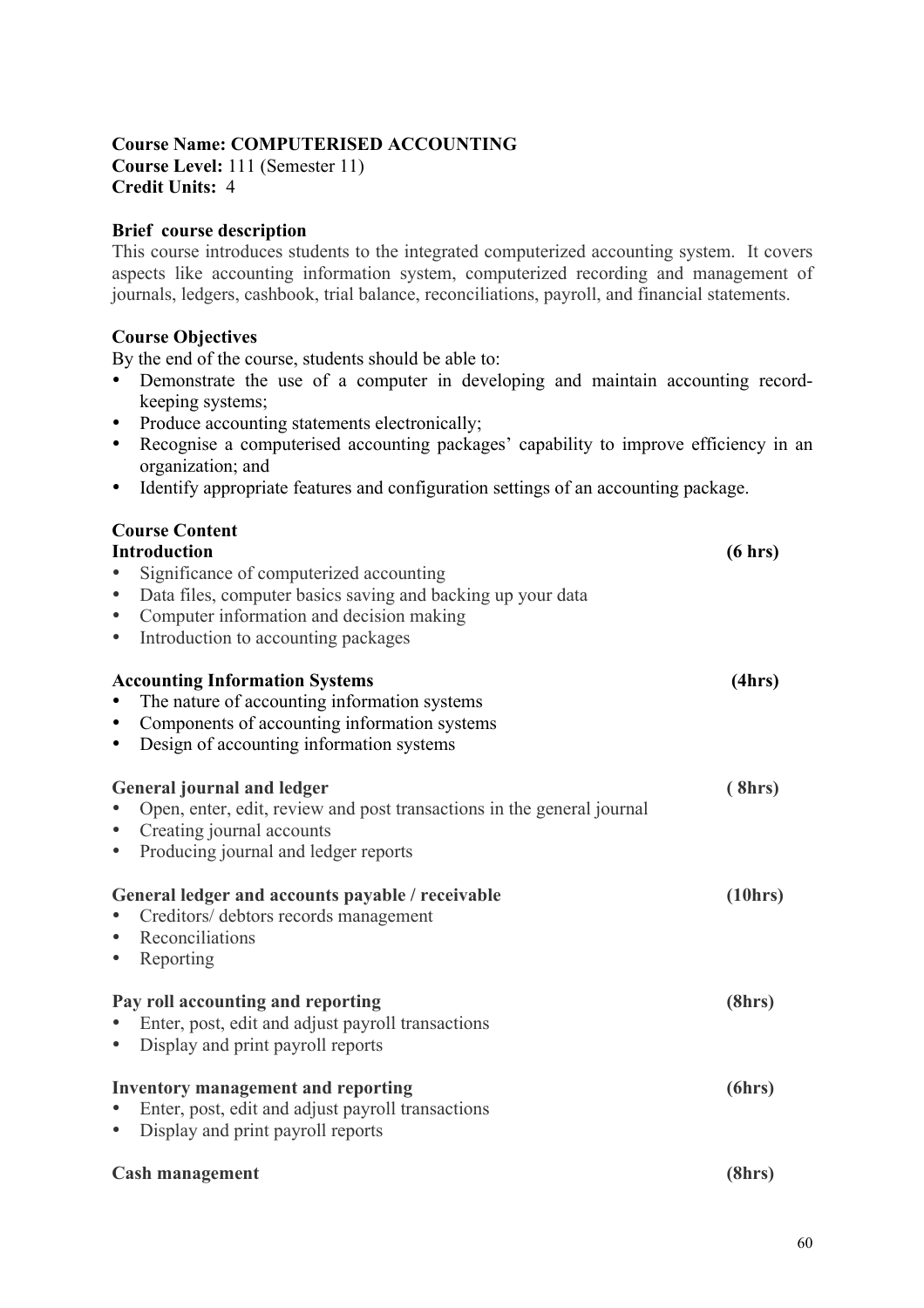#### **Course Name: COMPUTERISED ACCOUNTING Course Level:** 111 (Semester 11) **Credit Units:** 4

### **Brief course description**

This course introduces students to the integrated computerized accounting system. It covers aspects like accounting information system, computerized recording and management of journals, ledgers, cashbook, trial balance, reconciliations, payroll, and financial statements.

#### **Course Objectives**

By the end of the course, students should be able to:

- Demonstrate the use of a computer in developing and maintain accounting recordkeeping systems;
- Produce accounting statements electronically;
- Recognise a computerised accounting packages' capability to improve efficiency in an organization; and
- Identify appropriate features and configuration settings of an accounting package.

| <b>Course Content</b>                                                               |         |
|-------------------------------------------------------------------------------------|---------|
| <b>Introduction</b>                                                                 | (6 hrs) |
| Significance of computerized accounting<br>$\bullet$                                |         |
| Data files, computer basics saving and backing up your data<br>$\bullet$            |         |
| Computer information and decision making<br>$\bullet$                               |         |
| Introduction to accounting packages<br>$\bullet$                                    |         |
| <b>Accounting Information Systems</b>                                               | (4hrs)  |
| The nature of accounting information systems<br>$\bullet$                           |         |
| Components of accounting information systems<br>$\bullet$                           |         |
| Design of accounting information systems<br>$\bullet$                               |         |
| <b>General journal and ledger</b>                                                   | (8hrs)  |
| Open, enter, edit, review and post transactions in the general journal<br>$\bullet$ |         |
| Creating journal accounts<br>$\bullet$                                              |         |
| Producing journal and ledger reports<br>$\bullet$                                   |         |
| General ledger and accounts payable / receivable                                    | (10hrs) |
| Creditors/ debtors records management<br>$\bullet$                                  |         |
| Reconciliations<br>$\bullet$                                                        |         |
| Reporting<br>$\bullet$                                                              |         |
| Pay roll accounting and reporting                                                   | (8hrs)  |
| Enter, post, edit and adjust payroll transactions<br>$\bullet$                      |         |
| Display and print payroll reports<br>$\bullet$                                      |         |
| <b>Inventory management and reporting</b>                                           | (6hrs)  |
| Enter, post, edit and adjust payroll transactions<br>$\bullet$                      |         |
| Display and print payroll reports<br>$\bullet$                                      |         |
| <b>Cash management</b>                                                              | (8hrs)  |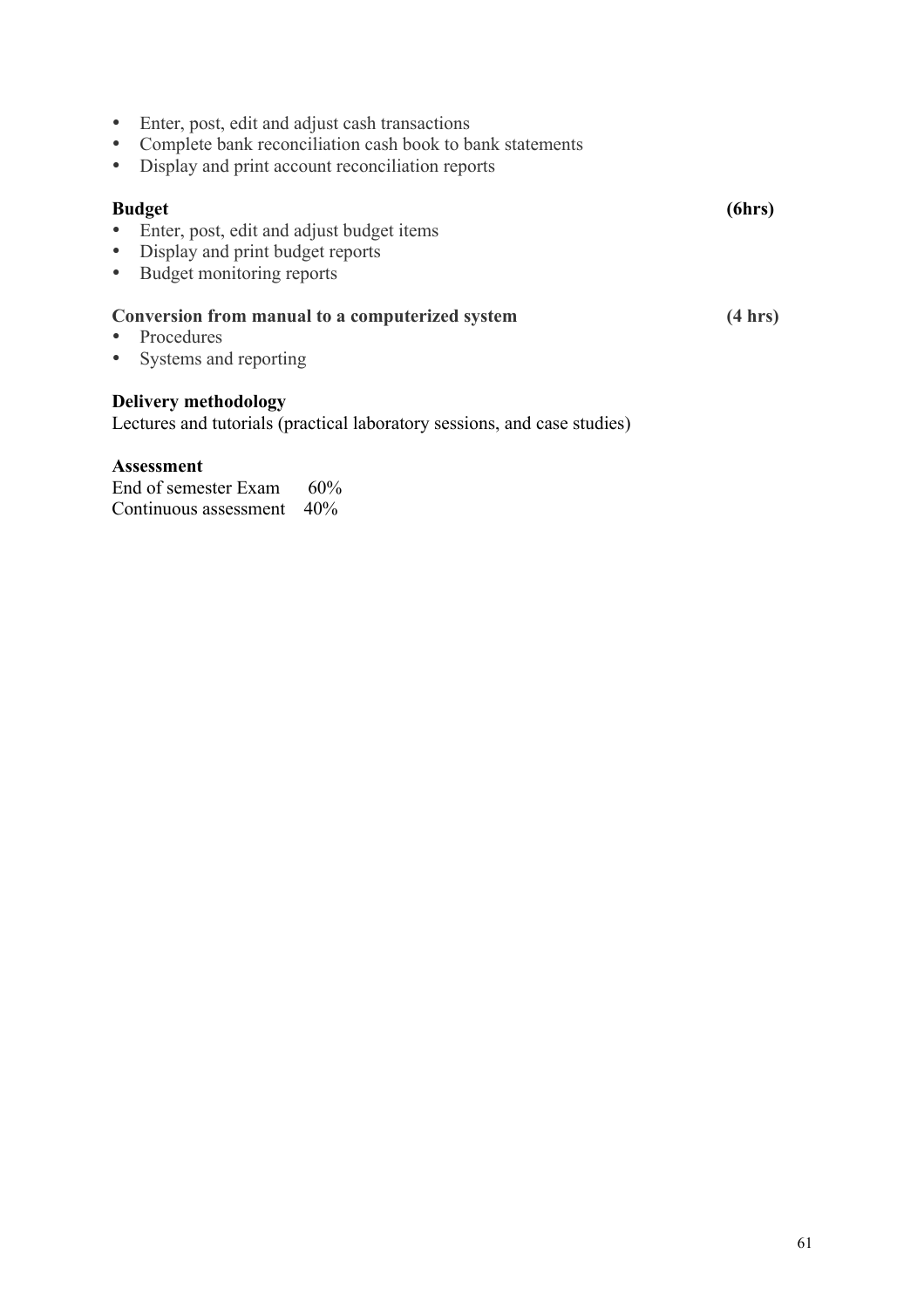- Enter, post, edit and adjust cash transactions
- Complete bank reconciliation cash book to bank statements
- Display and print account reconciliation reports

#### **Budget (6hrs)**

- Enter, post, edit and adjust budget items
- Display and print budget reports
- Budget monitoring reports

#### **Conversion from manual to a computerized system (4 hrs)**

- Procedures
- Systems and reporting

#### **Delivery methodology**

Lectures and tutorials (practical laboratory sessions, and case studies)

#### **Assessment**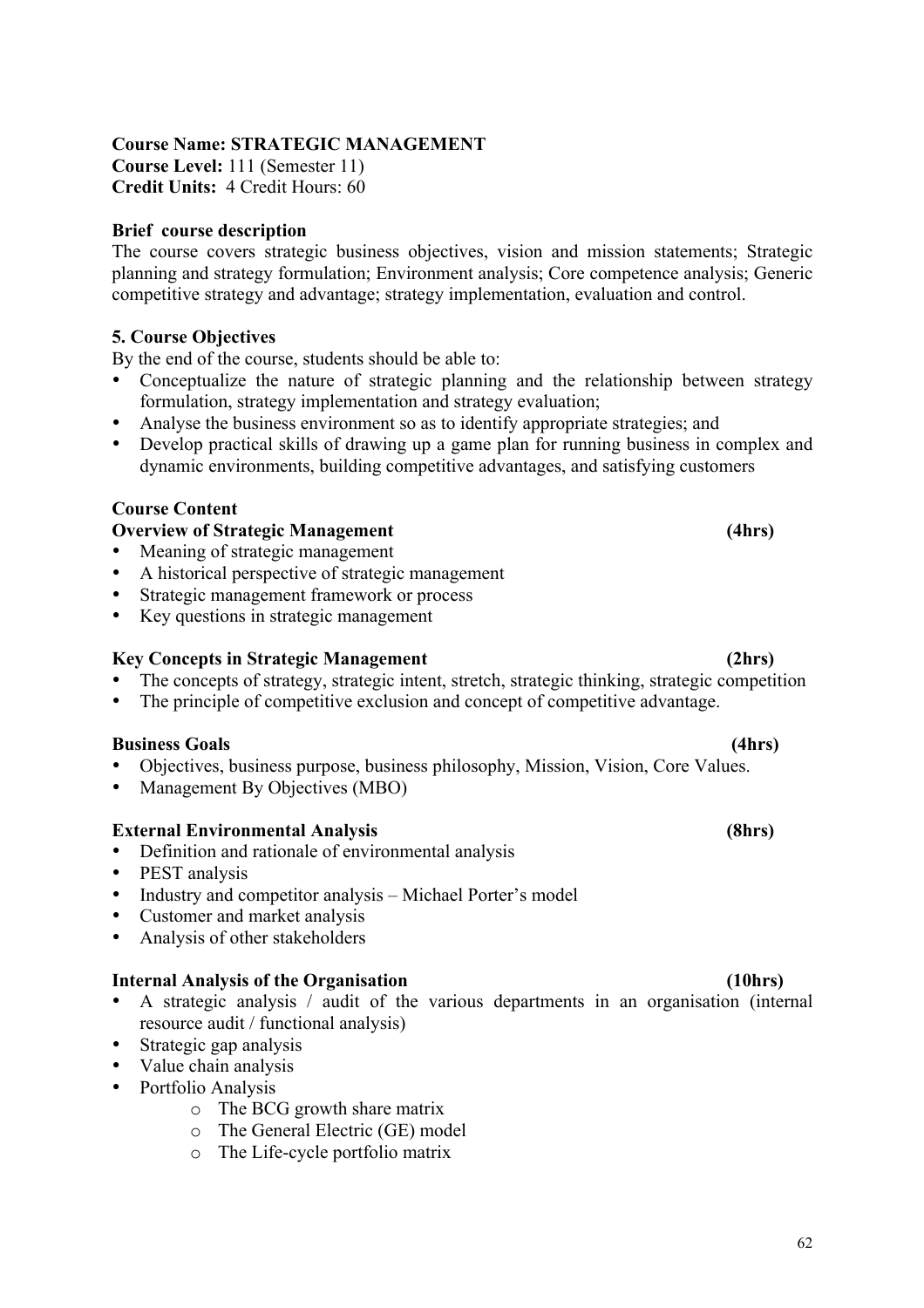### **Course Name: STRATEGIC MANAGEMENT**

**Course Level:** 111 (Semester 11) **Credit Units:** 4 Credit Hours: 60

#### **Brief course description**

The course covers strategic business objectives, vision and mission statements; Strategic planning and strategy formulation; Environment analysis; Core competence analysis; Generic competitive strategy and advantage; strategy implementation, evaluation and control.

#### **5. Course Objectives**

By the end of the course, students should be able to:

- Conceptualize the nature of strategic planning and the relationship between strategy formulation, strategy implementation and strategy evaluation;
- Analyse the business environment so as to identify appropriate strategies; and
- Develop practical skills of drawing up a game plan for running business in complex and dynamic environments, building competitive advantages, and satisfying customers

#### **Course Content**

#### **Overview of Strategic Management** (4hrs)

- Meaning of strategic management
- A historical perspective of strategic management
- Strategic management framework or process
- Key questions in strategic management

#### **Key Concepts in Strategic Management (2hrs)**

- The concepts of strategy, strategic intent, stretch, strategic thinking, strategic competition
- The principle of competitive exclusion and concept of competitive advantage.

#### **Business Goals (4hrs)**

- Objectives, business purpose, business philosophy, Mission, Vision, Core Values.
- Management By Objectives (MBO)

#### **External Environmental Analysis (8hrs)**

- Definition and rationale of environmental analysis
- PEST analysis
- Industry and competitor analysis Michael Porter's model
- Customer and market analysis
- Analysis of other stakeholders

#### **Internal Analysis of the Organisation (10hrs)**

- A strategic analysis / audit of the various departments in an organisation (internal resource audit / functional analysis)
- Strategic gap analysis
- Value chain analysis
- Portfolio Analysis
	- o The BCG growth share matrix
	- o The General Electric (GE) model
	- o The Life-cycle portfolio matrix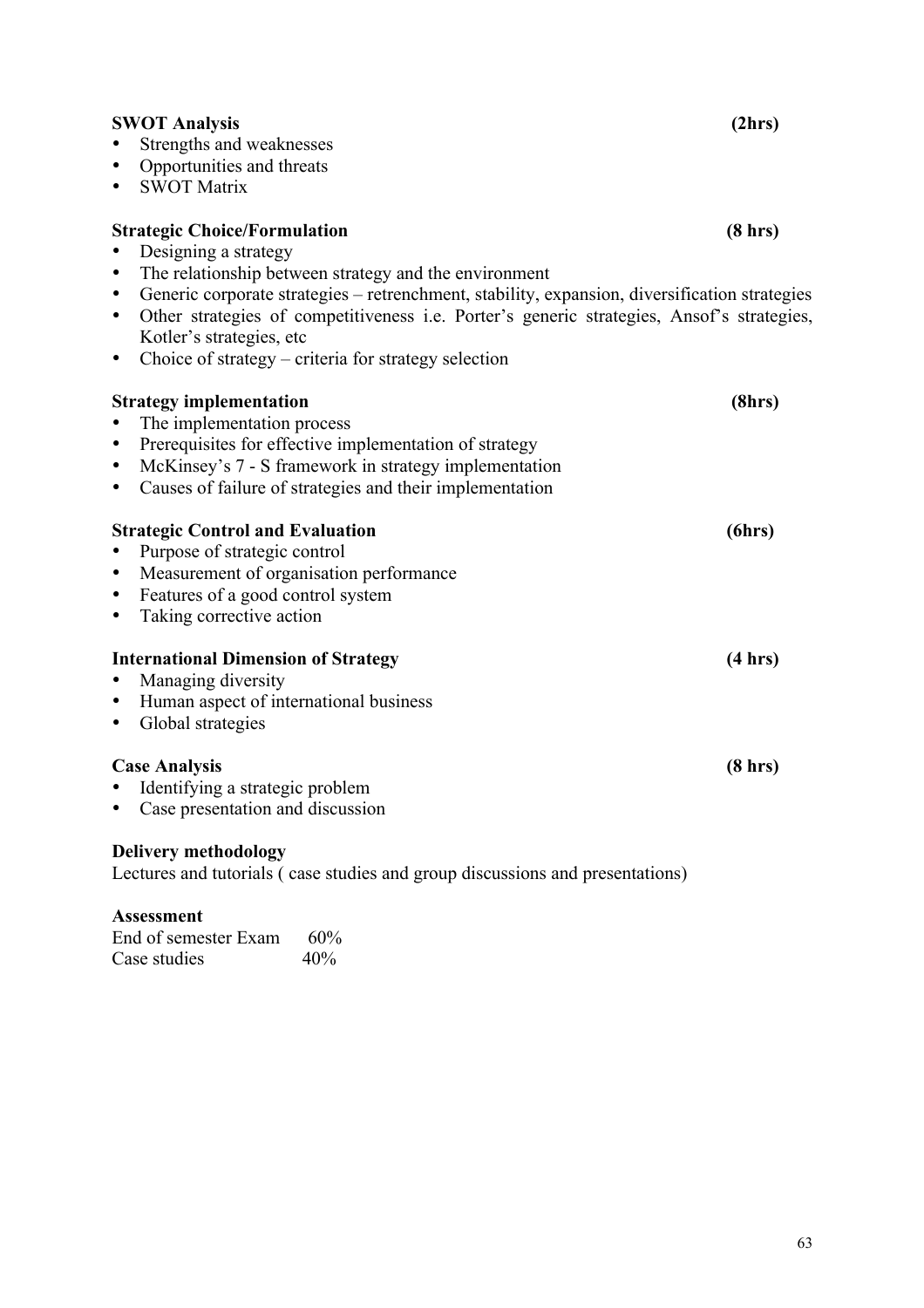| <b>SWOT Analysis</b>                                                                                       | (2hrs)  |
|------------------------------------------------------------------------------------------------------------|---------|
| Strengths and weaknesses                                                                                   |         |
| Opportunities and threats<br>$\bullet$                                                                     |         |
| <b>SWOT Matrix</b><br>$\bullet$                                                                            |         |
| <b>Strategic Choice/Formulation</b>                                                                        | (8 hrs) |
| Designing a strategy                                                                                       |         |
| The relationship between strategy and the environment<br>$\bullet$                                         |         |
| Generic corporate strategies – retrenchment, stability, expansion, diversification strategies<br>$\bullet$ |         |
| Other strategies of competitiveness i.e. Porter's generic strategies, Ansof's strategies,<br>$\bullet$     |         |
| Kotler's strategies, etc.                                                                                  |         |
| Choice of strategy – criteria for strategy selection<br>$\bullet$                                          |         |
| <b>Strategy implementation</b>                                                                             | (8hrs)  |
| The implementation process<br>$\bullet$                                                                    |         |
| Prerequisites for effective implementation of strategy<br>$\bullet$                                        |         |
| McKinsey's 7 - S framework in strategy implementation<br>$\bullet$                                         |         |
| Causes of failure of strategies and their implementation<br>$\bullet$                                      |         |
| <b>Strategic Control and Evaluation</b>                                                                    | (6hrs)  |
| Purpose of strategic control<br>$\bullet$                                                                  |         |
| Measurement of organisation performance<br>$\bullet$                                                       |         |
| Features of a good control system<br>$\bullet$                                                             |         |
| Taking corrective action<br>$\bullet$                                                                      |         |
| <b>International Dimension of Strategy</b>                                                                 | (4 hrs) |
| Managing diversity<br>$\bullet$                                                                            |         |
| Human aspect of international business<br>$\bullet$                                                        |         |
| Global strategies<br>$\bullet$                                                                             |         |
| <b>Case Analysis</b>                                                                                       | (8 hrs) |
| Identifying a strategic problem                                                                            |         |
| Case presentation and discussion<br>$\bullet$                                                              |         |
| <b>Delivery methodology</b>                                                                                |         |
|                                                                                                            |         |

Lectures and tutorials ( case studies and group discussions and presentations)

# **Assessment**

End of semester Exam 60%<br>Case studies 40% Case studies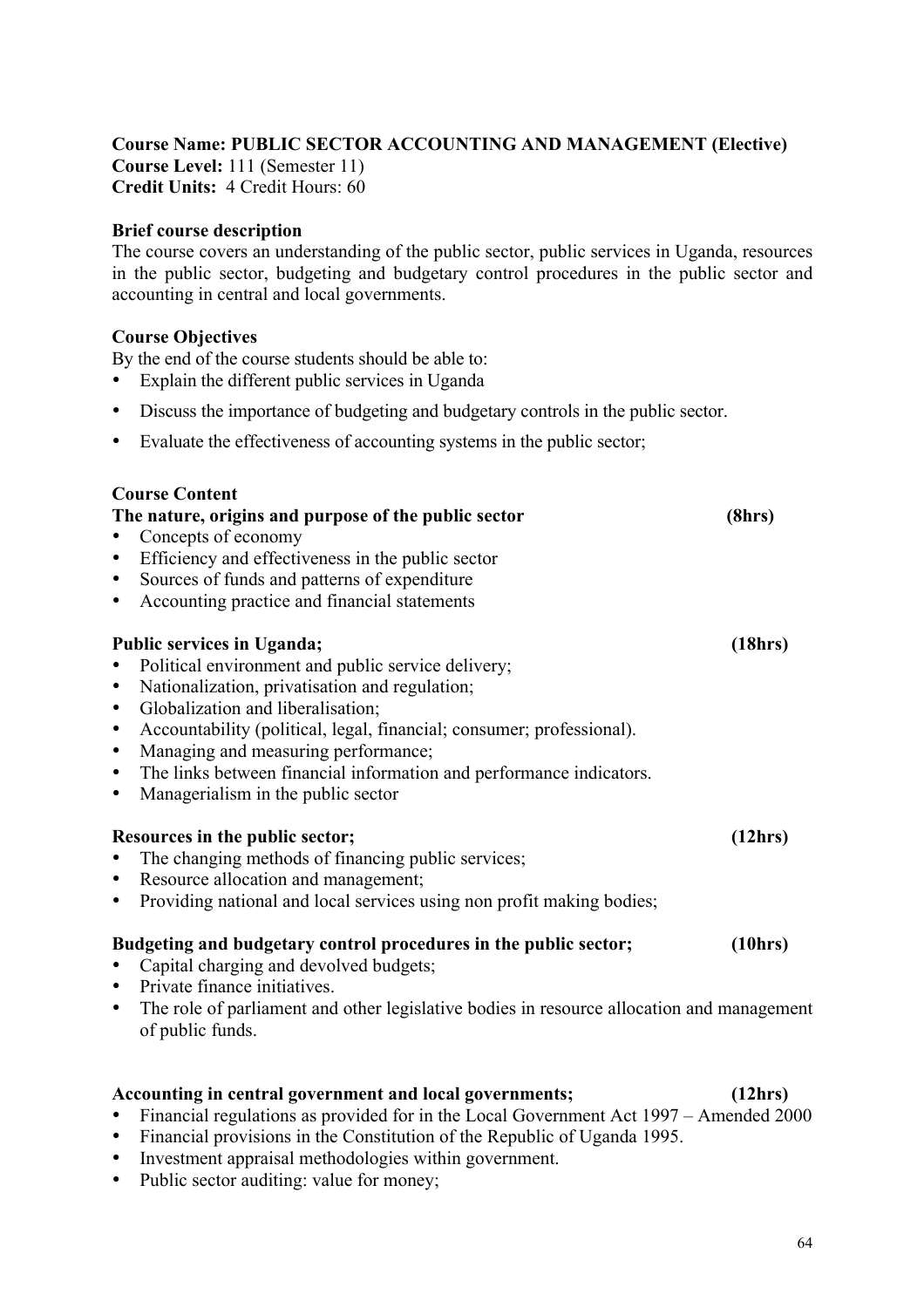#### **Course Name: PUBLIC SECTOR ACCOUNTING AND MANAGEMENT (Elective)**

**Course Level:** 111 (Semester 11) **Credit Units:** 4 Credit Hours: 60

#### **Brief course description**

The course covers an understanding of the public sector, public services in Uganda, resources in the public sector, budgeting and budgetary control procedures in the public sector and accounting in central and local governments.

#### **Course Objectives**

By the end of the course students should be able to:

- Explain the different public services in Uganda
- Discuss the importance of budgeting and budgetary controls in the public sector.
- Evaluate the effectiveness of accounting systems in the public sector;

| <b>Course Content</b>                                                                                                      |         |
|----------------------------------------------------------------------------------------------------------------------------|---------|
| The nature, origins and purpose of the public sector                                                                       | (8hrs)  |
| Concepts of economy                                                                                                        |         |
| Efficiency and effectiveness in the public sector                                                                          |         |
| Sources of funds and patterns of expenditure<br>$\bullet$                                                                  |         |
| Accounting practice and financial statements<br>$\bullet$                                                                  |         |
| <b>Public services in Uganda;</b>                                                                                          | (18hrs) |
| Political environment and public service delivery;<br>$\bullet$                                                            |         |
| Nationalization, privatisation and regulation;<br>$\bullet$                                                                |         |
| Globalization and liberalisation;<br>$\bullet$                                                                             |         |
| Accountability (political, legal, financial; consumer; professional).<br>$\bullet$                                         |         |
| Managing and measuring performance;<br>$\bullet$                                                                           |         |
| The links between financial information and performance indicators.<br>$\bullet$                                           |         |
| Managerialism in the public sector<br>$\bullet$                                                                            |         |
| Resources in the public sector;                                                                                            | (12hrs) |
| The changing methods of financing public services;                                                                         |         |
| Resource allocation and management;<br>$\bullet$                                                                           |         |
| Providing national and local services using non profit making bodies;<br>$\bullet$                                         |         |
| Budgeting and budgetary control procedures in the public sector;                                                           | (10hrs) |
| Capital charging and devolved budgets;<br>$\bullet$                                                                        |         |
| Private finance initiatives.<br>$\bullet$                                                                                  |         |
| The role of parliament and other legislative bodies in resource allocation and management<br>$\bullet$<br>of public funds. |         |
|                                                                                                                            |         |
| Accounting in central government and local governments;                                                                    | (12hrs) |

- Financial regulations as provided for in the Local Government Act 1997 Amended 2000
- Financial provisions in the Constitution of the Republic of Uganda 1995.
- Investment appraisal methodologies within government.
- Public sector auditing: value for money;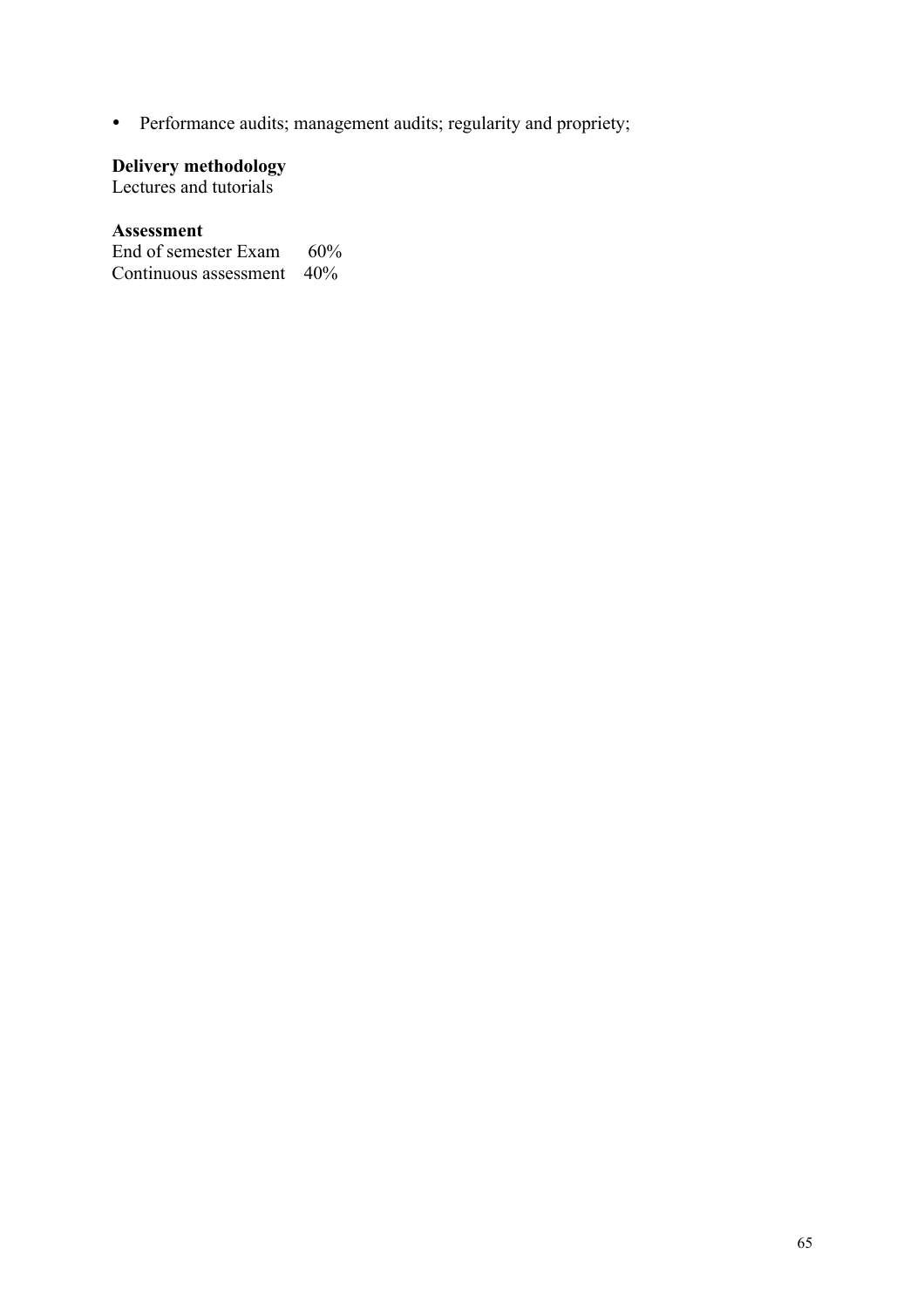• Performance audits; management audits; regularity and propriety;

#### **Delivery methodology**

Lectures and tutorials

#### **Assessment**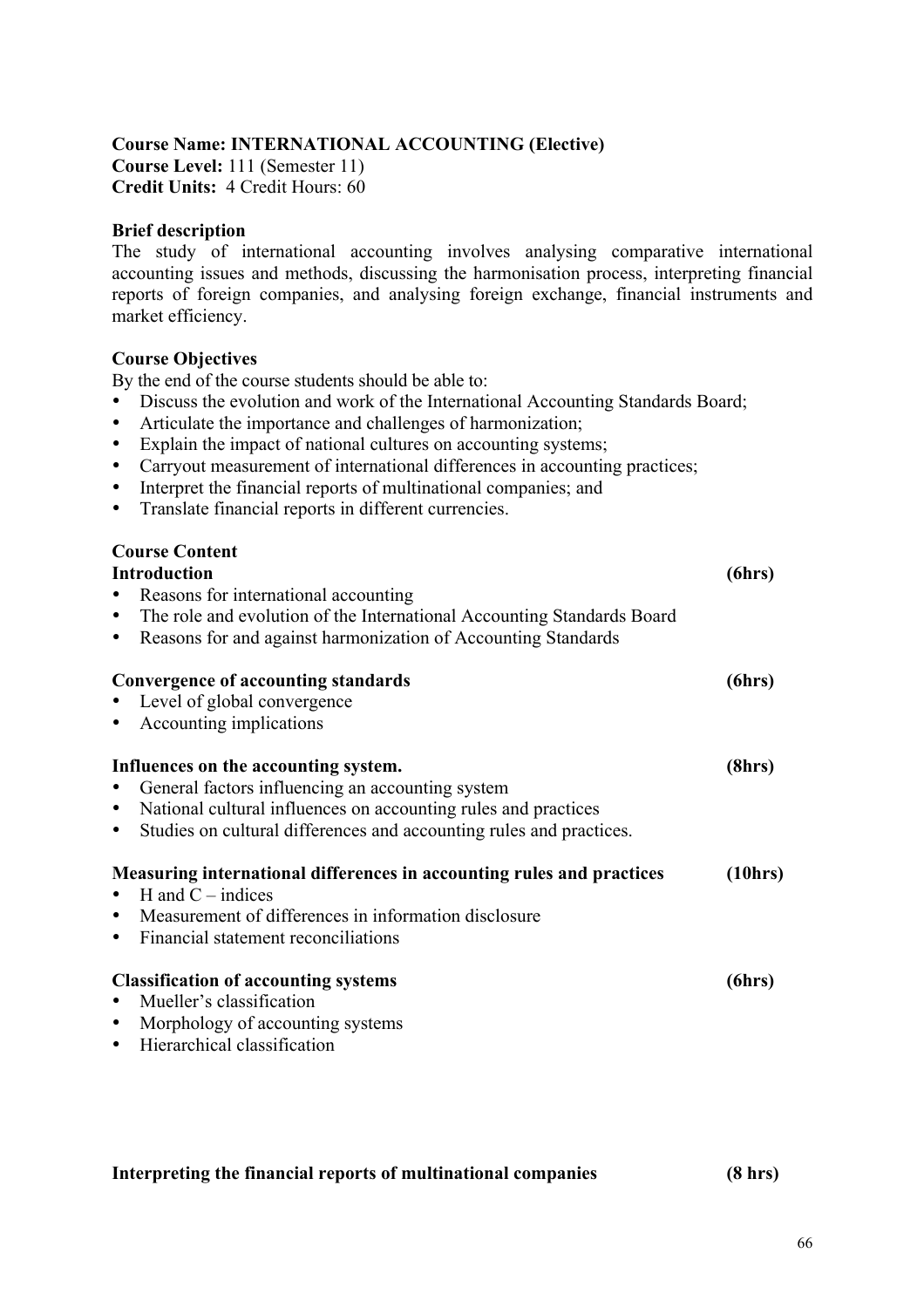#### **Course Name: INTERNATIONAL ACCOUNTING (Elective)**

**Course Level:** 111 (Semester 11) **Credit Units:** 4 Credit Hours: 60

#### **Brief description**

The study of international accounting involves analysing comparative international accounting issues and methods, discussing the harmonisation process, interpreting financial reports of foreign companies, and analysing foreign exchange, financial instruments and market efficiency.

#### **Course Objectives**

By the end of the course students should be able to:

- Discuss the evolution and work of the International Accounting Standards Board;
- Articulate the importance and challenges of harmonization;
- Explain the impact of national cultures on accounting systems;
- Carryout measurement of international differences in accounting practices;
- Interpret the financial reports of multinational companies; and
- Translate financial reports in different currencies.

| <b>Course Content</b><br><b>Introduction</b><br>Reasons for international accounting<br>The role and evolution of the International Accounting Standards Board<br>$\bullet$<br>Reasons for and against harmonization of Accounting Standards<br>$\bullet$   | (6hrs)  |
|-------------------------------------------------------------------------------------------------------------------------------------------------------------------------------------------------------------------------------------------------------------|---------|
| Convergence of accounting standards<br>Level of global convergence<br>Accounting implications<br>$\bullet$                                                                                                                                                  | (6hrs)  |
| Influences on the accounting system.<br>General factors influencing an accounting system<br>National cultural influences on accounting rules and practices<br>$\bullet$<br>Studies on cultural differences and accounting rules and practices.<br>$\bullet$ | (8hrs)  |
| Measuring international differences in accounting rules and practices<br>$\bullet$ H and C – indices<br>• Measurement of differences in information disclosure<br>Financial statement reconciliations<br>$\bullet$                                          | (10hrs) |
| <b>Classification of accounting systems</b><br>Mueller's classification<br>$\bullet$<br>Morphology of accounting systems<br>$\bullet$<br>Hierarchical classification<br>$\bullet$                                                                           | (6hrs)  |

#### **Interpreting the financial reports of multinational companies (8 hrs)**